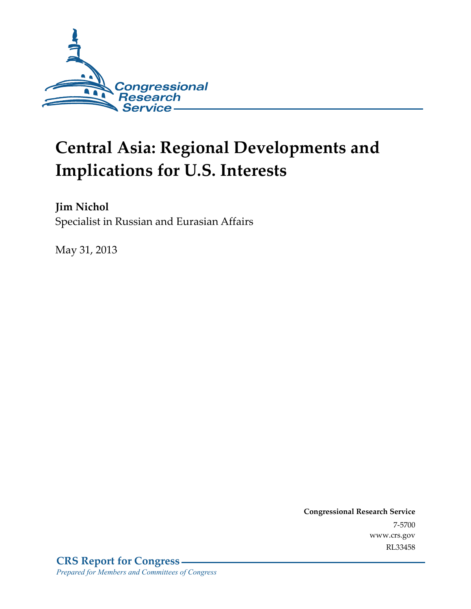

# **Central Asia: Regional Developments and Implications for U.S. Interests**

**Jim Nichol**  Specialist in Russian and Eurasian Affairs

May 31, 2013

**Congressional Research Service**  7-5700 www.crs.gov RL33458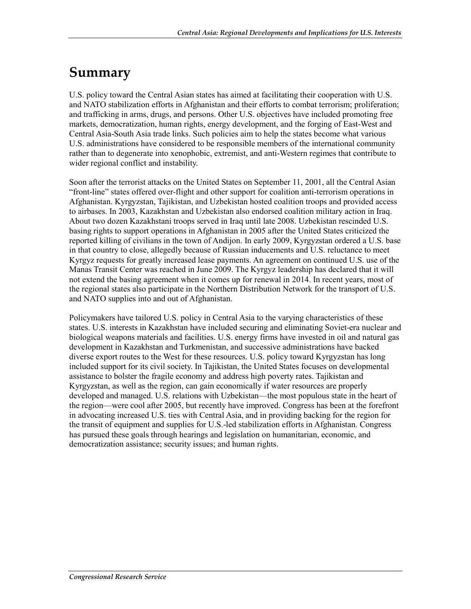## **Summary**

U.S. policy toward the Central Asian states has aimed at facilitating their cooperation with U.S. and NATO stabilization efforts in Afghanistan and their efforts to combat terrorism; proliferation; and trafficking in arms, drugs, and persons. Other U.S. objectives have included promoting free markets, democratization, human rights, energy development, and the forging of East-West and Central Asia-South Asia trade links. Such policies aim to help the states become what various U.S. administrations have considered to be responsible members of the international community rather than to degenerate into xenophobic, extremist, and anti-Western regimes that contribute to wider regional conflict and instability.

Soon after the terrorist attacks on the United States on September 11, 2001, all the Central Asian "front-line" states offered over-flight and other support for coalition anti-terrorism operations in Afghanistan. Kyrgyzstan, Tajikistan, and Uzbekistan hosted coalition troops and provided access to airbases. In 2003, Kazakhstan and Uzbekistan also endorsed coalition military action in Iraq. About two dozen Kazakhstani troops served in Iraq until late 2008. Uzbekistan rescinded U.S. basing rights to support operations in Afghanistan in 2005 after the United States criticized the reported killing of civilians in the town of Andijon. In early 2009, Kyrgyzstan ordered a U.S. base in that country to close, allegedly because of Russian inducements and U.S. reluctance to meet Kyrgyz requests for greatly increased lease payments. An agreement on continued U.S. use of the Manas Transit Center was reached in June 2009. The Kyrgyz leadership has declared that it will not extend the basing agreement when it comes up for renewal in 2014. In recent years, most of the regional states also participate in the Northern Distribution Network for the transport of U.S. and NATO supplies into and out of Afghanistan.

Policymakers have tailored U.S. policy in Central Asia to the varying characteristics of these states. U.S. interests in Kazakhstan have included securing and eliminating Soviet-era nuclear and biological weapons materials and facilities. U.S. energy firms have invested in oil and natural gas development in Kazakhstan and Turkmenistan, and successive administrations have backed diverse export routes to the West for these resources. U.S. policy toward Kyrgyzstan has long included support for its civil society. In Tajikistan, the United States focuses on developmental assistance to bolster the fragile economy and address high poverty rates. Tajikistan and Kyrgyzstan, as well as the region, can gain economically if water resources are properly developed and managed. U.S. relations with Uzbekistan—the most populous state in the heart of the region—were cool after 2005, but recently have improved. Congress has been at the forefront in advocating increased U.S. ties with Central Asia, and in providing backing for the region for the transit of equipment and supplies for U.S.-led stabilization efforts in Afghanistan. Congress has pursued these goals through hearings and legislation on humanitarian, economic, and democratization assistance; security issues; and human rights.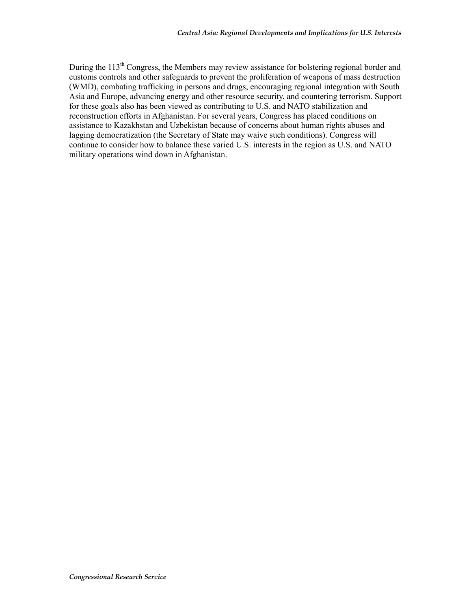During the 113<sup>th</sup> Congress, the Members may review assistance for bolstering regional border and customs controls and other safeguards to prevent the proliferation of weapons of mass destruction (WMD), combating trafficking in persons and drugs, encouraging regional integration with South Asia and Europe, advancing energy and other resource security, and countering terrorism. Support for these goals also has been viewed as contributing to U.S. and NATO stabilization and reconstruction efforts in Afghanistan. For several years, Congress has placed conditions on assistance to Kazakhstan and Uzbekistan because of concerns about human rights abuses and lagging democratization (the Secretary of State may waive such conditions). Congress will continue to consider how to balance these varied U.S. interests in the region as U.S. and NATO military operations wind down in Afghanistan.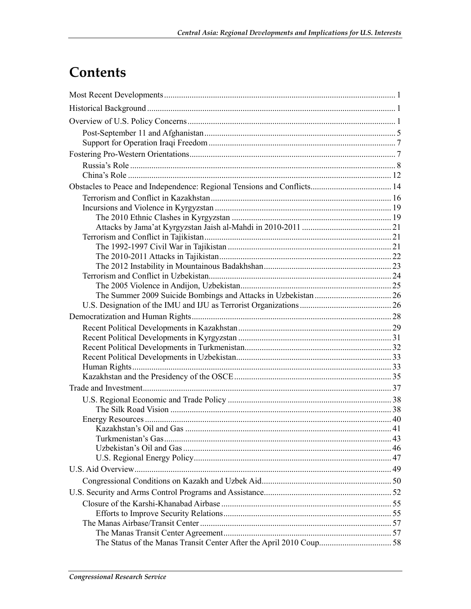## Contents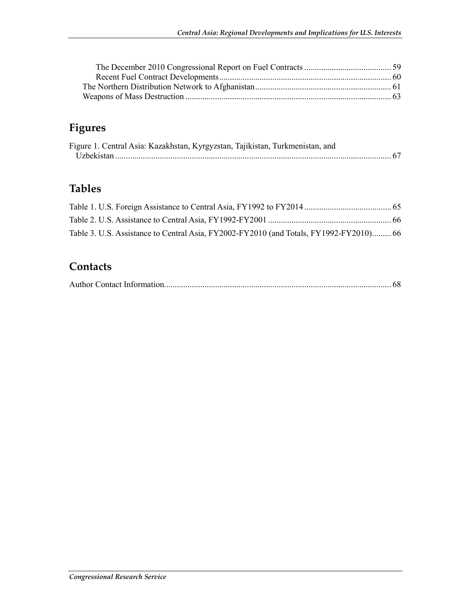### **Figures**

| Figure 1. Central Asia: Kazakhstan, Kyrgyzstan, Tajikistan, Turkmenistan, and |  |
|-------------------------------------------------------------------------------|--|
|                                                                               |  |

### **Tables**

| Table 3. U.S. Assistance to Central Asia, FY2002-FY2010 (and Totals, FY1992-FY2010) 66 |  |
|----------------------------------------------------------------------------------------|--|

### **Contacts**

|--|--|--|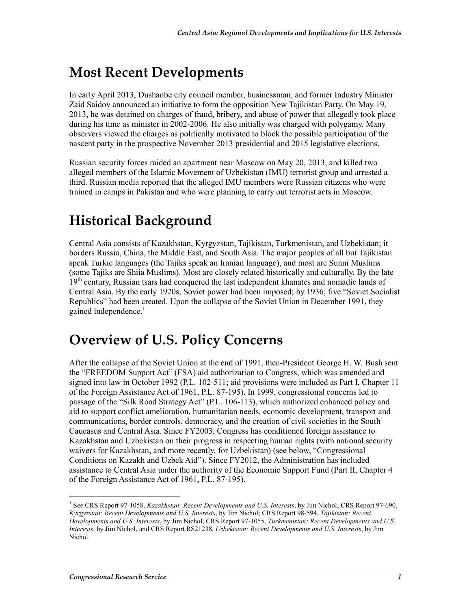## **Most Recent Developments**

In early April 2013, Dushanbe city council member, businessman, and former Industry Minister Zaid Saidov announced an initiative to form the opposition New Tajikistan Party. On May 19, 2013, he was detained on charges of fraud, bribery, and abuse of power that allegedly took place during his time as minister in 2002-2006. He also initially was charged with polygamy. Many observers viewed the charges as politically motivated to block the possible participation of the nascent party in the prospective November 2013 presidential and 2015 legislative elections.

Russian security forces raided an apartment near Moscow on May 20, 2013, and killed two alleged members of the Islamic Movement of Uzbekistan (IMU) terrorist group and arrested a third. Russian media reported that the alleged IMU members were Russian citizens who were trained in camps in Pakistan and who were planning to carry out terrorist acts in Moscow.

## **Historical Background**

Central Asia consists of Kazakhstan, Kyrgyzstan, Tajikistan, Turkmenistan, and Uzbekistan; it borders Russia, China, the Middle East, and South Asia. The major peoples of all but Tajikistan speak Turkic languages (the Tajiks speak an Iranian language), and most are Sunni Muslims (some Tajiks are Shiia Muslims). Most are closely related historically and culturally. By the late 19<sup>th</sup> century, Russian tsars had conquered the last independent khanates and nomadic lands of Central Asia. By the early 1920s, Soviet power had been imposed; by 1936, five "Soviet Socialist Republics" had been created. Upon the collapse of the Soviet Union in December 1991, they gained independence.<sup>1</sup>

## **Overview of U.S. Policy Concerns**

After the collapse of the Soviet Union at the end of 1991, then-President George H. W. Bush sent the "FREEDOM Support Act" (FSA) aid authorization to Congress, which was amended and signed into law in October 1992 (P.L. 102-511; aid provisions were included as Part I, Chapter 11 of the Foreign Assistance Act of 1961, P.L. 87-195). In 1999, congressional concerns led to passage of the "Silk Road Strategy Act" (P.L. 106-113), which authorized enhanced policy and aid to support conflict amelioration, humanitarian needs, economic development, transport and communications, border controls, democracy, and the creation of civil societies in the South Caucasus and Central Asia. Since FY2003, Congress has conditioned foreign assistance to Kazakhstan and Uzbekistan on their progress in respecting human rights (with national security waivers for Kazakhstan, and more recently, for Uzbekistan) (see below, "Congressional Conditions on Kazakh and Uzbek Aid"). Since FY2012, the Administration has included assistance to Central Asia under the authority of the Economic Support Fund (Part II, Chapter 4 of the Foreign Assistance Act of 1961, P.L. 87-195).

<sup>&</sup>lt;sup>1</sup> See CRS Report 97-1058, *Kazakhstan: Recent Developments and U.S. Interests*, by Jim Nichol; CRS Report 97-690, *Kyrgyzstan: Recent Developments and U.S. Interests*, by Jim Nichol; CRS Report 98-594, *Tajikistan: Recent Developments and U.S. Interests*, by Jim Nichol, CRS Report 97-1055, *Turkmenistan: Recent Developments and U.S. Interests*, by Jim Nichol, and CRS Report RS21238, *Uzbekistan: Recent Developments and U.S. Interests*, by Jim Nichol.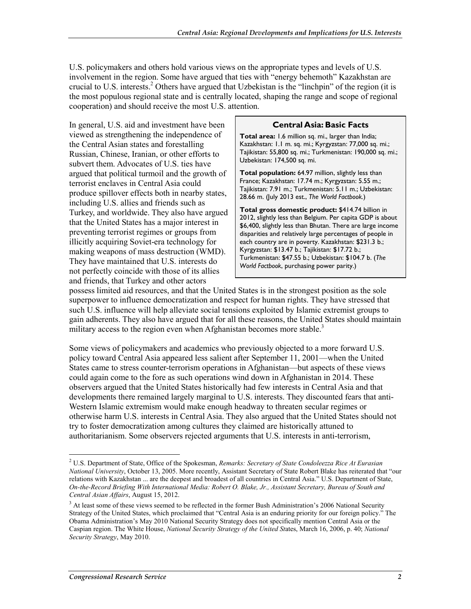U.S. policymakers and others hold various views on the appropriate types and levels of U.S. involvement in the region. Some have argued that ties with "energy behemoth" Kazakhstan are crucial to U.S. interests.<sup>2</sup> Others have argued that Uzbekistan is the "linchpin" of the region (it is the most populous regional state and is centrally located, shaping the range and scope of regional cooperation) and should receive the most U.S. attention.

In general, U.S. aid and investment have been viewed as strengthening the independence of the Central Asian states and forestalling Russian, Chinese, Iranian, or other efforts to subvert them. Advocates of U.S. ties have argued that political turmoil and the growth of terrorist enclaves in Central Asia could produce spillover effects both in nearby states, including U.S. allies and friends such as Turkey, and worldwide. They also have argued that the United States has a major interest in preventing terrorist regimes or groups from illicitly acquiring Soviet-era technology for making weapons of mass destruction (WMD). They have maintained that U.S. interests do not perfectly coincide with those of its allies and friends, that Turkey and other actors

#### **Central Asia: Basic Facts**

**Total area:** 1.6 million sq. mi., larger than India; Kazakhstan: 1.1 m. sq. mi.; Kyrgyzstan: 77,000 sq. mi.; Tajikistan: 55,800 sq. mi.; Turkmenistan: 190,000 sq. mi.; Uzbekistan: 174,500 sq. mi.

**Total population:** 64.97 million, slightly less than France; Kazakhstan: 17.74 m.; Kyrgyzstan: 5.55 m.; Tajikistan: 7.91 m.; Turkmenistan: 5.11 m.; Uzbekistan: 28.66 m. (July 2013 est., *The World Factbook.*)

**Total gross domestic product:** \$414.74 billion in 2012, slightly less than Belgium. Per capita GDP is about \$6,400, slightly less than Bhutan. There are large income disparities and relatively large percentages of people in each country are in poverty. Kazakhstan: \$231.3 b.; Kyrgyzstan: \$13.47 b.; Tajikistan: \$17.72 b.; Turkmenistan: \$47.55 b.; Uzbekistan: \$104.7 b. (*The World Factbook*, purchasing power parity.)

possess limited aid resources, and that the United States is in the strongest position as the sole superpower to influence democratization and respect for human rights. They have stressed that such U.S. influence will help alleviate social tensions exploited by Islamic extremist groups to gain adherents. They also have argued that for all these reasons, the United States should maintain military access to the region even when Afghanistan becomes more stable.<sup>3</sup>

Some views of policymakers and academics who previously objected to a more forward U.S. policy toward Central Asia appeared less salient after September 11, 2001—when the United States came to stress counter-terrorism operations in Afghanistan—but aspects of these views could again come to the fore as such operations wind down in Afghanistan in 2014. These observers argued that the United States historically had few interests in Central Asia and that developments there remained largely marginal to U.S. interests. They discounted fears that anti-Western Islamic extremism would make enough headway to threaten secular regimes or otherwise harm U.S. interests in Central Asia. They also argued that the United States should not try to foster democratization among cultures they claimed are historically attuned to authoritarianism. Some observers rejected arguments that U.S. interests in anti-terrorism,

<sup>2</sup> U.S. Department of State, Office of the Spokesman, *Remarks: Secretary of State Condoleezza Rice At Eurasian National University*, October 13, 2005. More recently, Assistant Secretary of State Robert Blake has reiterated that "our relations with Kazakhstan ... are the deepest and broadest of all countries in Central Asia." U.S. Department of State, *On-the-Record Briefing With International Media: Robert O. Blake, Jr., Assistant Secretary, Bureau of South and Central Asian Affairs*, August 15, 2012.

<sup>&</sup>lt;sup>3</sup> At least some of these views seemed to be reflected in the former Bush Administration's 2006 National Security Strategy of the United States, which proclaimed that "Central Asia is an enduring priority for our foreign policy." The Obama Administration's May 2010 National Security Strategy does not specifically mention Central Asia or the Caspian region. The White House, *National Security Strategy of the United St*ates, March 16, 2006, p. 40; *National Security Strategy*, May 2010.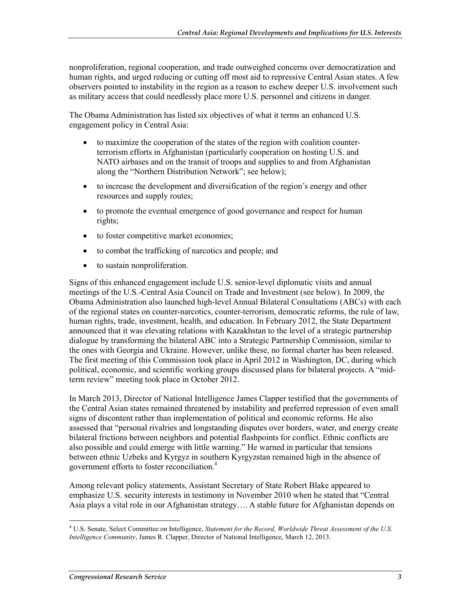nonproliferation, regional cooperation, and trade outweighed concerns over democratization and human rights, and urged reducing or cutting off most aid to repressive Central Asian states. A few observers pointed to instability in the region as a reason to eschew deeper U.S. involvement such as military access that could needlessly place more U.S. personnel and citizens in danger.

The Obama Administration has listed six objectives of what it terms an enhanced U.S. engagement policy in Central Asia:

- to maximize the cooperation of the states of the region with coalition counterterrorism efforts in Afghanistan (particularly cooperation on hosting U.S. and NATO airbases and on the transit of troops and supplies to and from Afghanistan along the "Northern Distribution Network"; see below);
- to increase the development and diversification of the region's energy and other resources and supply routes;
- to promote the eventual emergence of good governance and respect for human rights;
- to foster competitive market economies;
- to combat the trafficking of narcotics and people; and
- to sustain nonproliferation.

Signs of this enhanced engagement include U.S. senior-level diplomatic visits and annual meetings of the U.S.-Central Asia Council on Trade and Investment (see below). In 2009, the Obama Administration also launched high-level Annual Bilateral Consultations (ABCs) with each of the regional states on counter-narcotics, counter-terrorism, democratic reforms, the rule of law, human rights, trade, investment, health, and education. In February 2012, the State Department announced that it was elevating relations with Kazakhstan to the level of a strategic partnership dialogue by transforming the bilateral ABC into a Strategic Partnership Commission, similar to the ones with Georgia and Ukraine. However, unlike these, no formal charter has been released. The first meeting of this Commission took place in April 2012 in Washington, DC, during which political, economic, and scientific working groups discussed plans for bilateral projects. A "midterm review" meeting took place in October 2012.

In March 2013, Director of National Intelligence James Clapper testified that the governments of the Central Asian states remained threatened by instability and preferred repression of even small signs of discontent rather than implementation of political and economic reforms. He also assessed that "personal rivalries and longstanding disputes over borders, water, and energy create bilateral frictions between neighbors and potential flashpoints for conflict. Ethnic conflicts are also possible and could emerge with little warning." He warned in particular that tensions between ethnic Uzbeks and Kyrgyz in southern Kyrgyzstan remained high in the absence of government efforts to foster reconciliation.4

Among relevant policy statements, Assistant Secretary of State Robert Blake appeared to emphasize U.S. security interests in testimony in November 2010 when he stated that "Central Asia plays a vital role in our Afghanistan strategy…. A stable future for Afghanistan depends on

 4 U.S. Senate, Select Committee on Intelligence, *Statement for the Record, Worldwide Threat Assessment of the U.S. Intelligence Community*, James R. Clapper, Director of National Intelligence, March 12, 2013.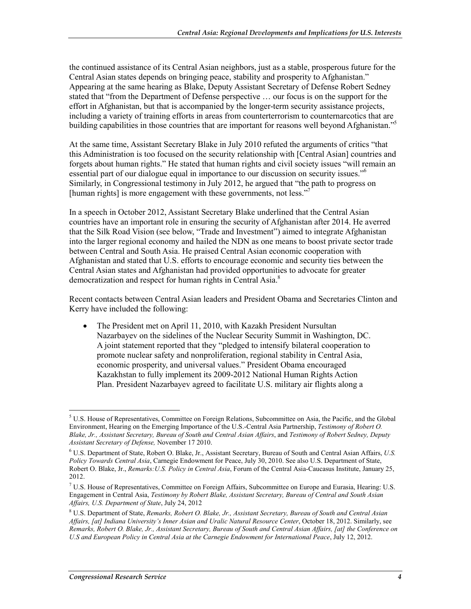the continued assistance of its Central Asian neighbors, just as a stable, prosperous future for the Central Asian states depends on bringing peace, stability and prosperity to Afghanistan." Appearing at the same hearing as Blake, Deputy Assistant Secretary of Defense Robert Sedney stated that "from the Department of Defense perspective … our focus is on the support for the effort in Afghanistan, but that is accompanied by the longer-term security assistance projects, including a variety of training efforts in areas from counterterrorism to counternarcotics that are building capabilities in those countries that are important for reasons well beyond Afghanistan."<sup>5</sup>

At the same time, Assistant Secretary Blake in July 2010 refuted the arguments of critics "that this Administration is too focused on the security relationship with [Central Asian] countries and forgets about human rights." He stated that human rights and civil society issues "will remain an essential part of our dialogue equal in importance to our discussion on security issues."6 Similarly, in Congressional testimony in July 2012, he argued that "the path to progress on [human rights] is more engagement with these governments, not less."

In a speech in October 2012, Assistant Secretary Blake underlined that the Central Asian countries have an important role in ensuring the security of Afghanistan after 2014. He averred that the Silk Road Vision (see below, "Trade and Investment") aimed to integrate Afghanistan into the larger regional economy and hailed the NDN as one means to boost private sector trade between Central and South Asia. He praised Central Asian economic cooperation with Afghanistan and stated that U.S. efforts to encourage economic and security ties between the Central Asian states and Afghanistan had provided opportunities to advocate for greater democratization and respect for human rights in Central Asia.<sup>8</sup>

Recent contacts between Central Asian leaders and President Obama and Secretaries Clinton and Kerry have included the following:

• The President met on April 11, 2010, with Kazakh President Nursultan Nazarbayev on the sidelines of the Nuclear Security Summit in Washington, DC. A joint statement reported that they "pledged to intensify bilateral cooperation to promote nuclear safety and nonproliferation, regional stability in Central Asia, economic prosperity, and universal values." President Obama encouraged Kazakhstan to fully implement its 2009-2012 National Human Rights Action Plan. President Nazarbayev agreed to facilitate U.S. military air flights along a

<sup>&</sup>lt;sup>5</sup> U.S. House of Representatives, Committee on Foreign Relations, Subcommittee on Asia, the Pacific, and the Global Environment, Hearing on the Emerging Importance of the U.S.-Central Asia Partnership, *Testimony of Robert O. Blake, Jr., Assistant Secretary, Bureau of South and Central Asian Affairs*, and *Testimony of Robert Sedney, Deputy Assistant Secretary of Defense,* November 17 2010.

<sup>6</sup> U.S. Department of State, Robert O. Blake, Jr., Assistant Secretary, Bureau of South and Central Asian Affairs, *U.S. Policy Towards Central Asia*, Carnegie Endowment for Peace, July 30, 2010. See also U.S. Department of State, Robert O. Blake, Jr., *Remarks:U.S. Policy in Central Asia*, Forum of the Central Asia-Caucasus Institute, January 25, 2012.

<sup>7</sup> U.S. House of Representatives, Committee on Foreign Affairs, Subcommittee on Europe and Eurasia, Hearing: U.S. Engagement in Central Asia, *Testimony by Robert Blake, Assistant Secretary, Bureau of Central and South Asian Affairs, U.S. Department of State*, July 24, 2012

<sup>8</sup> U.S. Department of State, *Remarks, Robert O. Blake, Jr., Assistant Secretary, Bureau of South and Central Asian Affairs, [at] Indiana University's Inner Asian and Uralic Natural Resource Center*, October 18, 2012. Similarly, see *Remarks, Robert O. Blake, Jr., Assistant Secretary, Bureau of South and Central Asian Affairs, [at] the Conference on U.S and European Policy in Central Asia at the Carnegie Endowment for International Peace*, July 12, 2012.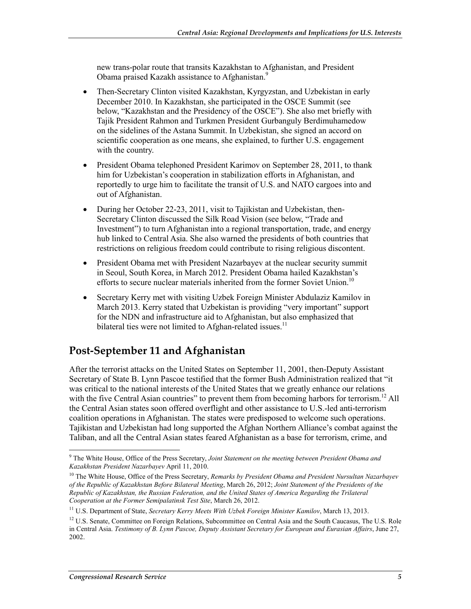new trans-polar route that transits Kazakhstan to Afghanistan, and President Obama praised Kazakh assistance to Afghanistan.9

- Then-Secretary Clinton visited Kazakhstan, Kyrgyzstan, and Uzbekistan in early December 2010. In Kazakhstan, she participated in the OSCE Summit (see below, "Kazakhstan and the Presidency of the OSCE"). She also met briefly with Tajik President Rahmon and Turkmen President Gurbanguly Berdimuhamedow on the sidelines of the Astana Summit. In Uzbekistan, she signed an accord on scientific cooperation as one means, she explained, to further U.S. engagement with the country.
- President Obama telephoned President Karimov on September 28, 2011, to thank him for Uzbekistan's cooperation in stabilization efforts in Afghanistan, and reportedly to urge him to facilitate the transit of U.S. and NATO cargoes into and out of Afghanistan.
- During her October 22-23, 2011, visit to Tajikistan and Uzbekistan, then-Secretary Clinton discussed the Silk Road Vision (see below, "Trade and Investment") to turn Afghanistan into a regional transportation, trade, and energy hub linked to Central Asia. She also warned the presidents of both countries that restrictions on religious freedom could contribute to rising religious discontent.
- President Obama met with President Nazarbayev at the nuclear security summit in Seoul, South Korea, in March 2012. President Obama hailed Kazakhstan's efforts to secure nuclear materials inherited from the former Soviet Union.<sup>10</sup>
- Secretary Kerry met with visiting Uzbek Foreign Minister Abdulaziz Kamilov in March 2013. Kerry stated that Uzbekistan is providing "very important" support for the NDN and infrastructure aid to Afghanistan, but also emphasized that bilateral ties were not limited to Afghan-related issues.<sup>11</sup>

### **Post-September 11 and Afghanistan**

After the terrorist attacks on the United States on September 11, 2001, then-Deputy Assistant Secretary of State B. Lynn Pascoe testified that the former Bush Administration realized that "it was critical to the national interests of the United States that we greatly enhance our relations with the five Central Asian countries" to prevent them from becoming harbors for terrorism.<sup>12</sup> All the Central Asian states soon offered overflight and other assistance to U.S.-led anti-terrorism coalition operations in Afghanistan. The states were predisposed to welcome such operations. Tajikistan and Uzbekistan had long supported the Afghan Northern Alliance's combat against the Taliban, and all the Central Asian states feared Afghanistan as a base for terrorism, crime, and

<sup>9</sup> The White House, Office of the Press Secretary, *Joint Statement on the meeting between President Obama and Kazakhstan President Nazarbayev* April 11, 2010.

<sup>&</sup>lt;sup>10</sup> The White House, Office of the Press Secretary, *Remarks by President Obama and President Nursultan Nazarbayev of the Republic of Kazakhstan Before Bilateral Meeting*, March 26, 2012; *Joint Statement of the Presidents of the Republic of Kazakhstan, the Russian Federation, and the United States of America Regarding the Trilateral Cooperation at the Former Semipalatinsk Test Site*, March 26, 2012.

<sup>11</sup> U.S. Department of State, *Secretary Kerry Meets With Uzbek Foreign Minister Kamilov*, March 13, 2013.

 $12$  U.S. Senate, Committee on Foreign Relations, Subcommittee on Central Asia and the South Caucasus, The U.S. Role in Central Asia. *Testimony of B. Lynn Pascoe, Deputy Assistant Secretary for European and Eurasian Affairs*, June 27, 2002.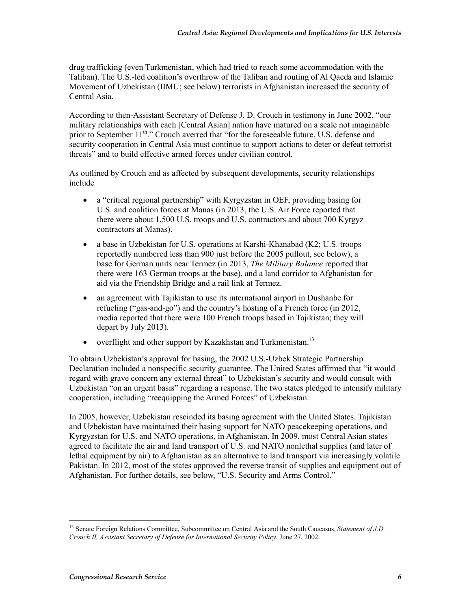drug trafficking (even Turkmenistan, which had tried to reach some accommodation with the Taliban). The U.S.-led coalition's overthrow of the Taliban and routing of Al Qaeda and Islamic Movement of Uzbekistan (IIMU; see below) terrorists in Afghanistan increased the security of Central Asia.

According to then-Assistant Secretary of Defense J. D. Crouch in testimony in June 2002, "our military relationships with each [Central Asian] nation have matured on a scale not imaginable prior to September  $11^{th}$ ." Crouch averred that "for the foreseeable future, U.S. defense and security cooperation in Central Asia must continue to support actions to deter or defeat terrorist threats" and to build effective armed forces under civilian control.

As outlined by Crouch and as affected by subsequent developments, security relationships include

- a "critical regional partnership" with Kyrgyzstan in OEF, providing basing for U.S. and coalition forces at Manas (in 2013, the U.S. Air Force reported that there were about 1,500 U.S. troops and U.S. contractors and about 700 Kyrgyz contractors at Manas).
- a base in Uzbekistan for U.S. operations at Karshi-Khanabad (K2; U.S. troops reportedly numbered less than 900 just before the 2005 pullout, see below), a base for German units near Termez (in 2013, *The Military Balance* reported that there were 163 German troops at the base), and a land corridor to Afghanistan for aid via the Friendship Bridge and a rail link at Termez.
- an agreement with Tajikistan to use its international airport in Dushanbe for refueling ("gas-and-go") and the country's hosting of a French force (in 2012, media reported that there were 100 French troops based in Tajikistan; they will depart by July 2013).
- overflight and other support by Kazakhstan and Turkmenistan.<sup>13</sup>

To obtain Uzbekistan's approval for basing, the 2002 U.S.-Uzbek Strategic Partnership Declaration included a nonspecific security guarantee. The United States affirmed that "it would regard with grave concern any external threat" to Uzbekistan's security and would consult with Uzbekistan "on an urgent basis" regarding a response. The two states pledged to intensify military cooperation, including "reequipping the Armed Forces" of Uzbekistan.

In 2005, however, Uzbekistan rescinded its basing agreement with the United States. Tajikistan and Uzbekistan have maintained their basing support for NATO peacekeeping operations, and Kyrgyzstan for U.S. and NATO operations, in Afghanistan. In 2009, most Central Asian states agreed to facilitate the air and land transport of U.S. and NATO nonlethal supplies (and later of lethal equipment by air) to Afghanistan as an alternative to land transport via increasingly volatile Pakistan. In 2012, most of the states approved the reverse transit of supplies and equipment out of Afghanistan. For further details, see below, "U.S. Security and Arms Control."

<sup>1</sup> 13 Senate Foreign Relations Committee, Subcommittee on Central Asia and the South Caucasus, *Statement of J.D. Crouch II, Assistant Secretary of Defense for International Security Policy*, June 27, 2002.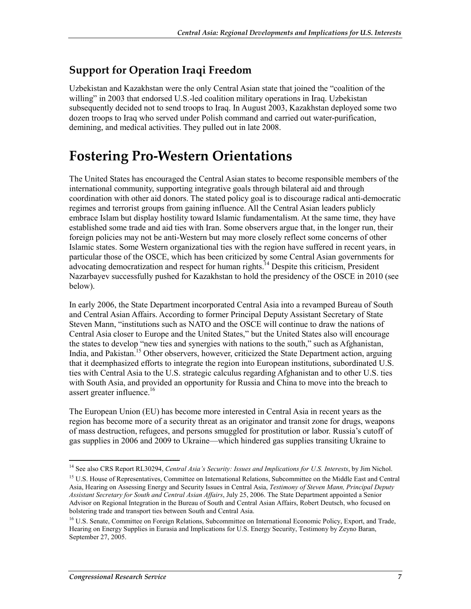### **Support for Operation Iraqi Freedom**

Uzbekistan and Kazakhstan were the only Central Asian state that joined the "coalition of the willing" in 2003 that endorsed U.S.-led coalition military operations in Iraq. Uzbekistan subsequently decided not to send troops to Iraq. In August 2003, Kazakhstan deployed some two dozen troops to Iraq who served under Polish command and carried out water-purification, demining, and medical activities. They pulled out in late 2008.

## **Fostering Pro-Western Orientations**

The United States has encouraged the Central Asian states to become responsible members of the international community, supporting integrative goals through bilateral aid and through coordination with other aid donors. The stated policy goal is to discourage radical anti-democratic regimes and terrorist groups from gaining influence. All the Central Asian leaders publicly embrace Islam but display hostility toward Islamic fundamentalism. At the same time, they have established some trade and aid ties with Iran. Some observers argue that, in the longer run, their foreign policies may not be anti-Western but may more closely reflect some concerns of other Islamic states. Some Western organizational ties with the region have suffered in recent years, in particular those of the OSCE, which has been criticized by some Central Asian governments for advocating democratization and respect for human rights.<sup>14</sup> Despite this criticism, President Nazarbayev successfully pushed for Kazakhstan to hold the presidency of the OSCE in 2010 (see below).

In early 2006, the State Department incorporated Central Asia into a revamped Bureau of South and Central Asian Affairs. According to former Principal Deputy Assistant Secretary of State Steven Mann, "institutions such as NATO and the OSCE will continue to draw the nations of Central Asia closer to Europe and the United States," but the United States also will encourage the states to develop "new ties and synergies with nations to the south," such as Afghanistan, India, and Pakistan.<sup>15</sup> Other observers, however, criticized the State Department action, arguing that it deemphasized efforts to integrate the region into European institutions, subordinated U.S. ties with Central Asia to the U.S. strategic calculus regarding Afghanistan and to other U.S. ties with South Asia, and provided an opportunity for Russia and China to move into the breach to assert greater influence.<sup>16</sup>

The European Union (EU) has become more interested in Central Asia in recent years as the region has become more of a security threat as an originator and transit zone for drugs, weapons of mass destruction, refugees, and persons smuggled for prostitution or labor. Russia's cutoff of gas supplies in 2006 and 2009 to Ukraine—which hindered gas supplies transiting Ukraine to

<sup>&</sup>lt;sup>14</sup> See also CRS Report RL30294, *Central Asia's Security: Issues and Implications for U.S. Interests*, by Jim Nichol.

<sup>&</sup>lt;sup>15</sup> U.S. House of Representatives, Committee on International Relations, Subcommittee on the Middle East and Central Asia, Hearing on Assessing Energy and Security Issues in Central Asia, *Testimony of Steven Mann, Principal Deputy Assistant Secretary for South and Central Asian Affairs*, July 25, 2006. The State Department appointed a Senior Advisor on Regional Integration in the Bureau of South and Central Asian Affairs, Robert Deutsch, who focused on bolstering trade and transport ties between South and Central Asia.

<sup>&</sup>lt;sup>16</sup> U.S. Senate, Committee on Foreign Relations, Subcommittee on International Economic Policy, Export, and Trade, Hearing on Energy Supplies in Eurasia and Implications for U.S. Energy Security, Testimony by Zeyno Baran, September 27, 2005.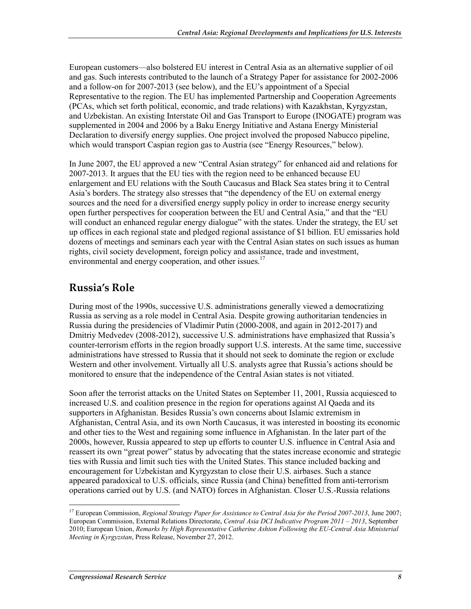European customers—also bolstered EU interest in Central Asia as an alternative supplier of oil and gas. Such interests contributed to the launch of a Strategy Paper for assistance for 2002-2006 and a follow-on for 2007-2013 (see below), and the EU's appointment of a Special Representative to the region. The EU has implemented Partnership and Cooperation Agreements (PCAs, which set forth political, economic, and trade relations) with Kazakhstan, Kyrgyzstan, and Uzbekistan. An existing Interstate Oil and Gas Transport to Europe (INOGATE) program was supplemented in 2004 and 2006 by a Baku Energy Initiative and Astana Energy Ministerial Declaration to diversify energy supplies. One project involved the proposed Nabucco pipeline, which would transport Caspian region gas to Austria (see "Energy Resources," below).

In June 2007, the EU approved a new "Central Asian strategy" for enhanced aid and relations for 2007-2013. It argues that the EU ties with the region need to be enhanced because EU enlargement and EU relations with the South Caucasus and Black Sea states bring it to Central Asia's borders. The strategy also stresses that "the dependency of the EU on external energy sources and the need for a diversified energy supply policy in order to increase energy security open further perspectives for cooperation between the EU and Central Asia," and that the "EU will conduct an enhanced regular energy dialogue" with the states. Under the strategy, the EU set up offices in each regional state and pledged regional assistance of \$1 billion. EU emissaries hold dozens of meetings and seminars each year with the Central Asian states on such issues as human rights, civil society development, foreign policy and assistance, trade and investment, environmental and energy cooperation, and other issues.<sup>17</sup>

### **Russia's Role**

During most of the 1990s, successive U.S. administrations generally viewed a democratizing Russia as serving as a role model in Central Asia. Despite growing authoritarian tendencies in Russia during the presidencies of Vladimir Putin (2000-2008, and again in 2012-2017) and Dmitriy Medvedev (2008-2012), successive U.S. administrations have emphasized that Russia's counter-terrorism efforts in the region broadly support U.S. interests. At the same time, successive administrations have stressed to Russia that it should not seek to dominate the region or exclude Western and other involvement. Virtually all U.S. analysts agree that Russia's actions should be monitored to ensure that the independence of the Central Asian states is not vitiated.

Soon after the terrorist attacks on the United States on September 11, 2001, Russia acquiesced to increased U.S. and coalition presence in the region for operations against Al Qaeda and its supporters in Afghanistan. Besides Russia's own concerns about Islamic extremism in Afghanistan, Central Asia, and its own North Caucasus, it was interested in boosting its economic and other ties to the West and regaining some influence in Afghanistan. In the later part of the 2000s, however, Russia appeared to step up efforts to counter U.S. influence in Central Asia and reassert its own "great power" status by advocating that the states increase economic and strategic ties with Russia and limit such ties with the United States. This stance included backing and encouragement for Uzbekistan and Kyrgyzstan to close their U.S. airbases. Such a stance appeared paradoxical to U.S. officials, since Russia (and China) benefitted from anti-terrorism operations carried out by U.S. (and NATO) forces in Afghanistan. Closer U.S.-Russia relations

<sup>&</sup>lt;sup>17</sup> European Commission, *Regional Strategy Paper for Assistance to Central Asia for the Period 2007-2013*, June 2007; European Commission, External Relations Directorate, *Central Asia DCI Indicative Program 2011 – 2013*, September 2010; European Union, *Remarks by High Representative Catherine Ashton Following the EU-Central Asia Ministerial Meeting in Kyrgyzstan*, Press Release, November 27, 2012.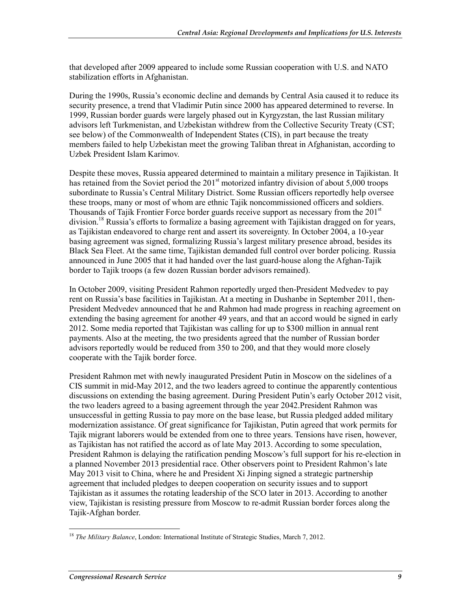that developed after 2009 appeared to include some Russian cooperation with U.S. and NATO stabilization efforts in Afghanistan.

During the 1990s, Russia's economic decline and demands by Central Asia caused it to reduce its security presence, a trend that Vladimir Putin since 2000 has appeared determined to reverse. In 1999, Russian border guards were largely phased out in Kyrgyzstan, the last Russian military advisors left Turkmenistan, and Uzbekistan withdrew from the Collective Security Treaty (CST; see below) of the Commonwealth of Independent States (CIS), in part because the treaty members failed to help Uzbekistan meet the growing Taliban threat in Afghanistan, according to Uzbek President Islam Karimov.

Despite these moves, Russia appeared determined to maintain a military presence in Tajikistan. It has retained from the Soviet period the  $201<sup>st</sup>$  motorized infantry division of about 5,000 troops subordinate to Russia's Central Military District. Some Russian officers reportedly help oversee these troops, many or most of whom are ethnic Tajik noncommissioned officers and soldiers. Thousands of Tajik Frontier Force border guards receive support as necessary from the 201<sup>st</sup> division.<sup>18</sup> Russia's efforts to formalize a basing agreement with Tajikistan dragged on for years, as Tajikistan endeavored to charge rent and assert its sovereignty. In October 2004, a 10-year basing agreement was signed, formalizing Russia's largest military presence abroad, besides its Black Sea Fleet. At the same time, Tajikistan demanded full control over border policing. Russia announced in June 2005 that it had handed over the last guard-house along the Afghan-Tajik border to Tajik troops (a few dozen Russian border advisors remained).

In October 2009, visiting President Rahmon reportedly urged then-President Medvedev to pay rent on Russia's base facilities in Tajikistan. At a meeting in Dushanbe in September 2011, then-President Medvedev announced that he and Rahmon had made progress in reaching agreement on extending the basing agreement for another 49 years, and that an accord would be signed in early 2012. Some media reported that Tajikistan was calling for up to \$300 million in annual rent payments. Also at the meeting, the two presidents agreed that the number of Russian border advisors reportedly would be reduced from 350 to 200, and that they would more closely cooperate with the Tajik border force.

President Rahmon met with newly inaugurated President Putin in Moscow on the sidelines of a CIS summit in mid-May 2012, and the two leaders agreed to continue the apparently contentious discussions on extending the basing agreement. During President Putin's early October 2012 visit, the two leaders agreed to a basing agreement through the year 2042.President Rahmon was unsuccessful in getting Russia to pay more on the base lease, but Russia pledged added military modernization assistance. Of great significance for Tajikistan, Putin agreed that work permits for Tajik migrant laborers would be extended from one to three years. Tensions have risen, however, as Tajikistan has not ratified the accord as of late May 2013. According to some speculation, President Rahmon is delaying the ratification pending Moscow's full support for his re-election in a planned November 2013 presidential race. Other observers point to President Rahmon's late May 2013 visit to China, where he and President Xi Jinping signed a strategic partnership agreement that included pledges to deepen cooperation on security issues and to support Tajikistan as it assumes the rotating leadership of the SCO later in 2013. According to another view, Tajikistan is resisting pressure from Moscow to re-admit Russian border forces along the Tajik-Afghan border.

<sup>&</sup>lt;u>.</u> <sup>18</sup> *The Military Balance*, London: International Institute of Strategic Studies, March 7, 2012.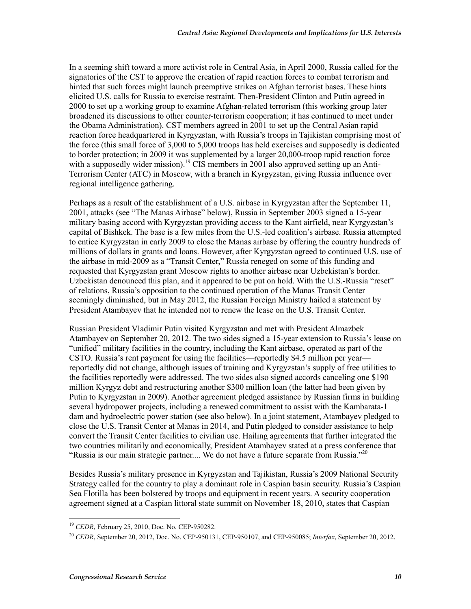In a seeming shift toward a more activist role in Central Asia, in April 2000, Russia called for the signatories of the CST to approve the creation of rapid reaction forces to combat terrorism and hinted that such forces might launch preemptive strikes on Afghan terrorist bases. These hints elicited U.S. calls for Russia to exercise restraint. Then-President Clinton and Putin agreed in 2000 to set up a working group to examine Afghan-related terrorism (this working group later broadened its discussions to other counter-terrorism cooperation; it has continued to meet under the Obama Administration). CST members agreed in 2001 to set up the Central Asian rapid reaction force headquartered in Kyrgyzstan, with Russia's troops in Tajikistan comprising most of the force (this small force of 3,000 to 5,000 troops has held exercises and supposedly is dedicated to border protection; in 2009 it was supplemented by a larger 20,000-troop rapid reaction force with a supposedly wider mission).<sup>19</sup> CIS members in 2001 also approved setting up an Anti-Terrorism Center (ATC) in Moscow, with a branch in Kyrgyzstan, giving Russia influence over regional intelligence gathering.

Perhaps as a result of the establishment of a U.S. airbase in Kyrgyzstan after the September 11, 2001, attacks (see "The Manas Airbase" below), Russia in September 2003 signed a 15-year military basing accord with Kyrgyzstan providing access to the Kant airfield, near Kyrgyzstan's capital of Bishkek. The base is a few miles from the U.S.-led coalition's airbase. Russia attempted to entice Kyrgyzstan in early 2009 to close the Manas airbase by offering the country hundreds of millions of dollars in grants and loans. However, after Kyrgyzstan agreed to continued U.S. use of the airbase in mid-2009 as a "Transit Center," Russia reneged on some of this funding and requested that Kyrgyzstan grant Moscow rights to another airbase near Uzbekistan's border. Uzbekistan denounced this plan, and it appeared to be put on hold. With the U.S.-Russia "reset" of relations, Russia's opposition to the continued operation of the Manas Transit Center seemingly diminished, but in May 2012, the Russian Foreign Ministry hailed a statement by President Atambayev that he intended not to renew the lease on the U.S. Transit Center.

Russian President Vladimir Putin visited Kyrgyzstan and met with President Almazbek Atambayev on September 20, 2012. The two sides signed a 15-year extension to Russia's lease on "unified" military facilities in the country, including the Kant airbase, operated as part of the CSTO. Russia's rent payment for using the facilities—reportedly \$4.5 million per year reportedly did not change, although issues of training and Kyrgyzstan's supply of free utilities to the facilities reportedly were addressed. The two sides also signed accords canceling one \$190 million Kyrgyz debt and restructuring another \$300 million loan (the latter had been given by Putin to Kyrgyzstan in 2009). Another agreement pledged assistance by Russian firms in building several hydropower projects, including a renewed commitment to assist with the Kambarata-1 dam and hydroelectric power station (see also below). In a joint statement, Atambayev pledged to close the U.S. Transit Center at Manas in 2014, and Putin pledged to consider assistance to help convert the Transit Center facilities to civilian use. Hailing agreements that further integrated the two countries militarily and economically, President Atambayev stated at a press conference that "Russia is our main strategic partner.... We do not have a future separate from Russia."20

Besides Russia's military presence in Kyrgyzstan and Tajikistan, Russia's 2009 National Security Strategy called for the country to play a dominant role in Caspian basin security. Russia's Caspian Sea Flotilla has been bolstered by troops and equipment in recent years. A security cooperation agreement signed at a Caspian littoral state summit on November 18, 2010, states that Caspian

<sup>1</sup> <sup>19</sup> *CEDR*, February 25, 2010, Doc. No. CEP-950282.

<sup>20</sup> *CEDR*, September 20, 2012, Doc. No. CEP-950131, CEP-950107, and CEP-950085; *Interfax*, September 20, 2012.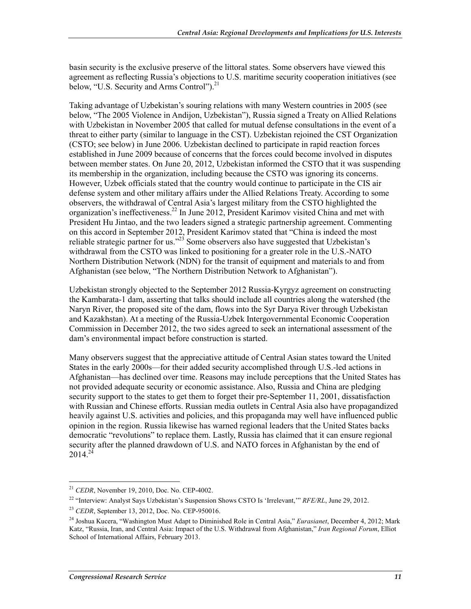basin security is the exclusive preserve of the littoral states. Some observers have viewed this agreement as reflecting Russia's objections to U.S. maritime security cooperation initiatives (see below, "U.S. Security and Arms Control").<sup>21</sup>

Taking advantage of Uzbekistan's souring relations with many Western countries in 2005 (see below, "The 2005 Violence in Andijon, Uzbekistan"), Russia signed a Treaty on Allied Relations with Uzbekistan in November 2005 that called for mutual defense consultations in the event of a threat to either party (similar to language in the CST). Uzbekistan rejoined the CST Organization (CSTO; see below) in June 2006. Uzbekistan declined to participate in rapid reaction forces established in June 2009 because of concerns that the forces could become involved in disputes between member states. On June 20, 2012, Uzbekistan informed the CSTO that it was suspending its membership in the organization, including because the CSTO was ignoring its concerns. However, Uzbek officials stated that the country would continue to participate in the CIS air defense system and other military affairs under the Allied Relations Treaty. According to some observers, the withdrawal of Central Asia's largest military from the CSTO highlighted the organization's ineffectiveness.<sup>22</sup> In June 2012, President Karimov visited China and met with President Hu Jintao, and the two leaders signed a strategic partnership agreement. Commenting on this accord in September 2012, President Karimov stated that "China is indeed the most reliable strategic partner for us.<sup> $223$ </sup> Some observers also have suggested that Uzbekistan's withdrawal from the CSTO was linked to positioning for a greater role in the U.S.-NATO Northern Distribution Network (NDN) for the transit of equipment and materials to and from Afghanistan (see below, "The Northern Distribution Network to Afghanistan").

Uzbekistan strongly objected to the September 2012 Russia-Kyrgyz agreement on constructing the Kambarata-1 dam, asserting that talks should include all countries along the watershed (the Naryn River, the proposed site of the dam, flows into the Syr Darya River through Uzbekistan and Kazakhstan). At a meeting of the Russia-Uzbek Intergovernmental Economic Cooperation Commission in December 2012, the two sides agreed to seek an international assessment of the dam's environmental impact before construction is started.

Many observers suggest that the appreciative attitude of Central Asian states toward the United States in the early 2000s—for their added security accomplished through U.S.-led actions in Afghanistan—has declined over time. Reasons may include perceptions that the United States has not provided adequate security or economic assistance. Also, Russia and China are pledging security support to the states to get them to forget their pre-September 11, 2001, dissatisfaction with Russian and Chinese efforts. Russian media outlets in Central Asia also have propagandized heavily against U.S. activities and policies, and this propaganda may well have influenced public opinion in the region. Russia likewise has warned regional leaders that the United States backs democratic "revolutions" to replace them. Lastly, Russia has claimed that it can ensure regional security after the planned drawdown of U.S. and NATO forces in Afghanistan by the end of  $2014^{24}$ 

<sup>1</sup> <sup>21</sup> *CEDR*, November 19, 2010, Doc. No. CEP-4002.

<sup>22 &</sup>quot;Interview: Analyst Says Uzbekistan's Suspension Shows CSTO Is 'Irrelevant,'" *RFE/RL*, June 29, 2012.

<sup>23</sup> *CEDR*, September 13, 2012, Doc. No. CEP-950016.

<sup>24</sup> Joshua Kucera, "Washington Must Adapt to Diminished Role in Central Asia," *Eurasianet*, December 4, 2012; Mark Katz, "Russia, Iran, and Central Asia: Impact of the U.S. Withdrawal from Afghanistan," *Iran Regional Forum*, Elliot School of International Affairs, February 2013.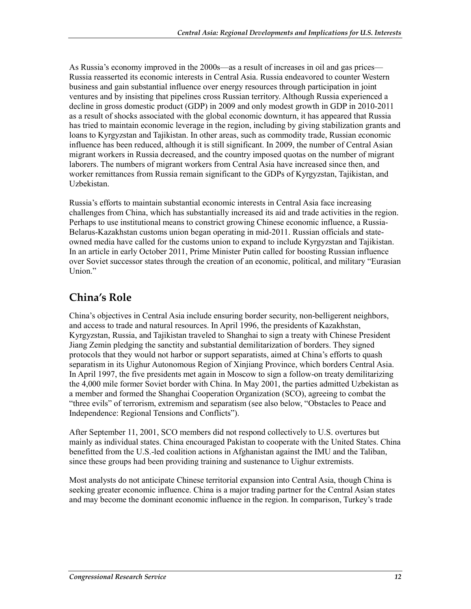As Russia's economy improved in the 2000s—as a result of increases in oil and gas prices— Russia reasserted its economic interests in Central Asia. Russia endeavored to counter Western business and gain substantial influence over energy resources through participation in joint ventures and by insisting that pipelines cross Russian territory. Although Russia experienced a decline in gross domestic product (GDP) in 2009 and only modest growth in GDP in 2010-2011 as a result of shocks associated with the global economic downturn, it has appeared that Russia has tried to maintain economic leverage in the region, including by giving stabilization grants and loans to Kyrgyzstan and Tajikistan. In other areas, such as commodity trade, Russian economic influence has been reduced, although it is still significant. In 2009, the number of Central Asian migrant workers in Russia decreased, and the country imposed quotas on the number of migrant laborers. The numbers of migrant workers from Central Asia have increased since then, and worker remittances from Russia remain significant to the GDPs of Kyrgyzstan, Tajikistan, and Uzbekistan.

Russia's efforts to maintain substantial economic interests in Central Asia face increasing challenges from China, which has substantially increased its aid and trade activities in the region. Perhaps to use institutional means to constrict growing Chinese economic influence, a Russia-Belarus-Kazakhstan customs union began operating in mid-2011. Russian officials and stateowned media have called for the customs union to expand to include Kyrgyzstan and Tajikistan. In an article in early October 2011, Prime Minister Putin called for boosting Russian influence over Soviet successor states through the creation of an economic, political, and military "Eurasian Union."

### **China's Role**

China's objectives in Central Asia include ensuring border security, non-belligerent neighbors, and access to trade and natural resources. In April 1996, the presidents of Kazakhstan, Kyrgyzstan, Russia, and Tajikistan traveled to Shanghai to sign a treaty with Chinese President Jiang Zemin pledging the sanctity and substantial demilitarization of borders. They signed protocols that they would not harbor or support separatists, aimed at China's efforts to quash separatism in its Uighur Autonomous Region of Xinjiang Province, which borders Central Asia. In April 1997, the five presidents met again in Moscow to sign a follow-on treaty demilitarizing the 4,000 mile former Soviet border with China. In May 2001, the parties admitted Uzbekistan as a member and formed the Shanghai Cooperation Organization (SCO), agreeing to combat the "three evils" of terrorism, extremism and separatism (see also below, "Obstacles to Peace and Independence: Regional Tensions and Conflicts").

After September 11, 2001, SCO members did not respond collectively to U.S. overtures but mainly as individual states. China encouraged Pakistan to cooperate with the United States. China benefitted from the U.S.-led coalition actions in Afghanistan against the IMU and the Taliban, since these groups had been providing training and sustenance to Uighur extremists.

Most analysts do not anticipate Chinese territorial expansion into Central Asia, though China is seeking greater economic influence. China is a major trading partner for the Central Asian states and may become the dominant economic influence in the region. In comparison, Turkey's trade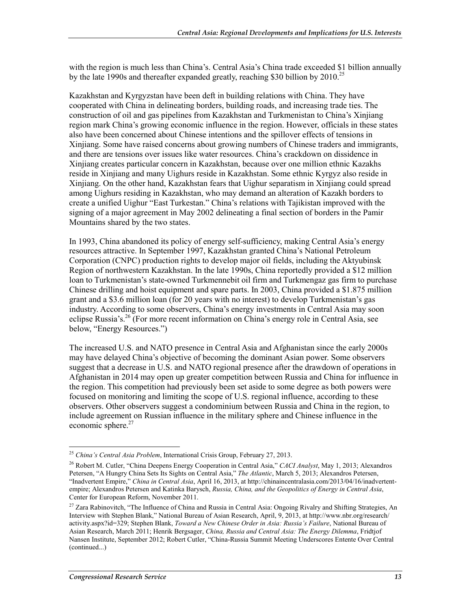with the region is much less than China's. Central Asia's China trade exceeded \$1 billion annually by the late 1990s and thereafter expanded greatly, reaching \$30 billion by  $2010^{25}$ 

Kazakhstan and Kyrgyzstan have been deft in building relations with China. They have cooperated with China in delineating borders, building roads, and increasing trade ties. The construction of oil and gas pipelines from Kazakhstan and Turkmenistan to China's Xinjiang region mark China's growing economic influence in the region. However, officials in these states also have been concerned about Chinese intentions and the spillover effects of tensions in Xinjiang. Some have raised concerns about growing numbers of Chinese traders and immigrants, and there are tensions over issues like water resources. China's crackdown on dissidence in Xinjiang creates particular concern in Kazakhstan, because over one million ethnic Kazakhs reside in Xinjiang and many Uighurs reside in Kazakhstan. Some ethnic Kyrgyz also reside in Xinjiang. On the other hand, Kazakhstan fears that Uighur separatism in Xinjiang could spread among Uighurs residing in Kazakhstan, who may demand an alteration of Kazakh borders to create a unified Uighur "East Turkestan." China's relations with Tajikistan improved with the signing of a major agreement in May 2002 delineating a final section of borders in the Pamir Mountains shared by the two states.

In 1993, China abandoned its policy of energy self-sufficiency, making Central Asia's energy resources attractive. In September 1997, Kazakhstan granted China's National Petroleum Corporation (CNPC) production rights to develop major oil fields, including the Aktyubinsk Region of northwestern Kazakhstan. In the late 1990s, China reportedly provided a \$12 million loan to Turkmenistan's state-owned Turkmennebit oil firm and Turkmengaz gas firm to purchase Chinese drilling and hoist equipment and spare parts. In 2003, China provided a \$1.875 million grant and a \$3.6 million loan (for 20 years with no interest) to develop Turkmenistan's gas industry. According to some observers, China's energy investments in Central Asia may soon eclipse Russia's.<sup>26</sup> (For more recent information on China's energy role in Central Asia, see below, "Energy Resources.")

The increased U.S. and NATO presence in Central Asia and Afghanistan since the early 2000s may have delayed China's objective of becoming the dominant Asian power. Some observers suggest that a decrease in U.S. and NATO regional presence after the drawdown of operations in Afghanistan in 2014 may open up greater competition between Russia and China for influence in the region. This competition had previously been set aside to some degree as both powers were focused on monitoring and limiting the scope of U.S. regional influence, according to these observers. Other observers suggest a condominium between Russia and China in the region, to include agreement on Russian influence in the military sphere and Chinese influence in the economic sphere. $27$ 

<u>.</u>

<sup>25</sup> *China's Central Asia Problem*, International Crisis Group, February 27, 2013.

<sup>26</sup> Robert M. Cutler, "China Deepens Energy Cooperation in Central Asia," *CACI Analyst*, May 1, 2013; Alexandros Petersen, "A Hungry China Sets Its Sights on Central Asia," *The Atlantic*, March 5, 2013; Alexandros Petersen, "Inadvertent Empire," *China in Central Asia*, April 16, 2013, at http://chinaincentralasia.com/2013/04/16/inadvertentempire; Alexandros Petersen and Katinka Barysch, *Russia, China, and the Geopolitics of Energy in Central Asia*, Center for European Reform, November 2011.

<sup>&</sup>lt;sup>27</sup> Zara Rabinovitch, "The Influence of China and Russia in Central Asia: Ongoing Rivalry and Shifting Strategies, An Interview with Stephen Blank," National Bureau of Asian Research, April, 9, 2013, at http://www.nbr.org/research/ activity.aspx?id=329; Stephen Blank, *Toward a New Chinese Order in Asia: Russia's Failure*, National Bureau of Asian Research, March 2011; Henrik Bergsager, *China, Russia and Central Asia: The Energy Dilemma*, Fridtjof Nansen Institute, September 2012; Robert Cutler, "China-Russia Summit Meeting Underscores Entente Over Central (continued...)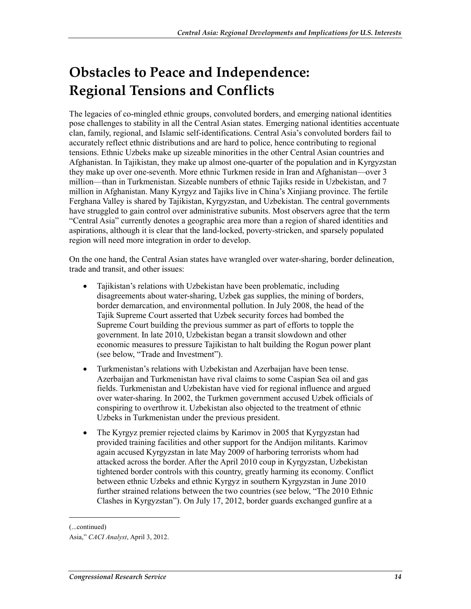## **Obstacles to Peace and Independence: Regional Tensions and Conflicts**

The legacies of co-mingled ethnic groups, convoluted borders, and emerging national identities pose challenges to stability in all the Central Asian states. Emerging national identities accentuate clan, family, regional, and Islamic self-identifications. Central Asia's convoluted borders fail to accurately reflect ethnic distributions and are hard to police, hence contributing to regional tensions. Ethnic Uzbeks make up sizeable minorities in the other Central Asian countries and Afghanistan. In Tajikistan, they make up almost one-quarter of the population and in Kyrgyzstan they make up over one-seventh. More ethnic Turkmen reside in Iran and Afghanistan—over 3 million—than in Turkmenistan. Sizeable numbers of ethnic Tajiks reside in Uzbekistan, and 7 million in Afghanistan. Many Kyrgyz and Tajiks live in China's Xinjiang province. The fertile Ferghana Valley is shared by Tajikistan, Kyrgyzstan, and Uzbekistan. The central governments have struggled to gain control over administrative subunits. Most observers agree that the term "Central Asia" currently denotes a geographic area more than a region of shared identities and aspirations, although it is clear that the land-locked, poverty-stricken, and sparsely populated region will need more integration in order to develop.

On the one hand, the Central Asian states have wrangled over water-sharing, border delineation, trade and transit, and other issues:

- Tajikistan's relations with Uzbekistan have been problematic, including disagreements about water-sharing, Uzbek gas supplies, the mining of borders, border demarcation, and environmental pollution. In July 2008, the head of the Tajik Supreme Court asserted that Uzbek security forces had bombed the Supreme Court building the previous summer as part of efforts to topple the government. In late 2010, Uzbekistan began a transit slowdown and other economic measures to pressure Tajikistan to halt building the Rogun power plant (see below, "Trade and Investment").
- Turkmenistan's relations with Uzbekistan and Azerbaijan have been tense. Azerbaijan and Turkmenistan have rival claims to some Caspian Sea oil and gas fields. Turkmenistan and Uzbekistan have vied for regional influence and argued over water-sharing. In 2002, the Turkmen government accused Uzbek officials of conspiring to overthrow it. Uzbekistan also objected to the treatment of ethnic Uzbeks in Turkmenistan under the previous president.
- The Kyrgyz premier rejected claims by Karimov in 2005 that Kyrgyzstan had provided training facilities and other support for the Andijon militants. Karimov again accused Kyrgyzstan in late May 2009 of harboring terrorists whom had attacked across the border. After the April 2010 coup in Kyrgyzstan, Uzbekistan tightened border controls with this country, greatly harming its economy. Conflict between ethnic Uzbeks and ethnic Kyrgyz in southern Kyrgyzstan in June 2010 further strained relations between the two countries (see below, "The 2010 Ethnic Clashes in Kyrgyzstan"). On July 17, 2012, border guards exchanged gunfire at a

<sup>(...</sup>continued)

Asia," *CACI Analyst*, April 3, 2012.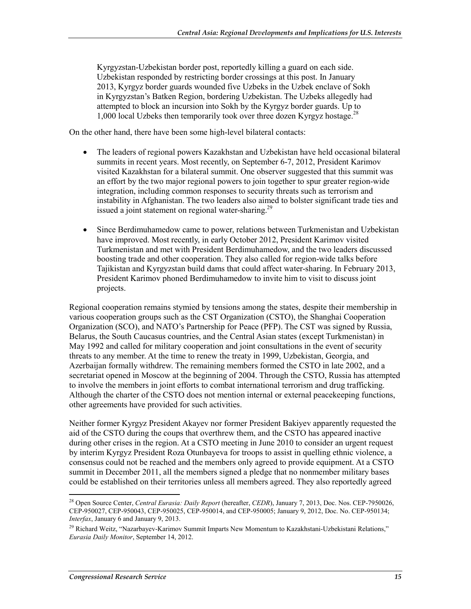Kyrgyzstan-Uzbekistan border post, reportedly killing a guard on each side. Uzbekistan responded by restricting border crossings at this post. In January 2013, Kyrgyz border guards wounded five Uzbeks in the Uzbek enclave of Sokh in Kyrgyzstan's Batken Region, bordering Uzbekistan. The Uzbeks allegedly had attempted to block an incursion into Sokh by the Kyrgyz border guards. Up to 1,000 local Uzbeks then temporarily took over three dozen Kyrgyz hostage.<sup>28</sup>

On the other hand, there have been some high-level bilateral contacts:

- The leaders of regional powers Kazakhstan and Uzbekistan have held occasional bilateral summits in recent years. Most recently, on September 6-7, 2012, President Karimov visited Kazakhstan for a bilateral summit. One observer suggested that this summit was an effort by the two major regional powers to join together to spur greater region-wide integration, including common responses to security threats such as terrorism and instability in Afghanistan. The two leaders also aimed to bolster significant trade ties and issued a joint statement on regional water-sharing.<sup>29</sup>
- Since Berdimuhamedow came to power, relations between Turkmenistan and Uzbekistan have improved. Most recently, in early October 2012, President Karimov visited Turkmenistan and met with President Berdimuhamedow, and the two leaders discussed boosting trade and other cooperation. They also called for region-wide talks before Tajikistan and Kyrgyzstan build dams that could affect water-sharing. In February 2013, President Karimov phoned Berdimuhamedow to invite him to visit to discuss joint projects.

Regional cooperation remains stymied by tensions among the states, despite their membership in various cooperation groups such as the CST Organization (CSTO), the Shanghai Cooperation Organization (SCO), and NATO's Partnership for Peace (PFP). The CST was signed by Russia, Belarus, the South Caucasus countries, and the Central Asian states (except Turkmenistan) in May 1992 and called for military cooperation and joint consultations in the event of security threats to any member. At the time to renew the treaty in 1999, Uzbekistan, Georgia, and Azerbaijan formally withdrew. The remaining members formed the CSTO in late 2002, and a secretariat opened in Moscow at the beginning of 2004. Through the CSTO, Russia has attempted to involve the members in joint efforts to combat international terrorism and drug trafficking. Although the charter of the CSTO does not mention internal or external peacekeeping functions, other agreements have provided for such activities.

Neither former Kyrgyz President Akayev nor former President Bakiyev apparently requested the aid of the CSTO during the coups that overthrew them, and the CSTO has appeared inactive during other crises in the region. At a CSTO meeting in June 2010 to consider an urgent request by interim Kyrgyz President Roza Otunbayeva for troops to assist in quelling ethnic violence, a consensus could not be reached and the members only agreed to provide equipment. At a CSTO summit in December 2011, all the members signed a pledge that no nonmember military bases could be established on their territories unless all members agreed. They also reportedly agreed

<sup>28</sup> Open Source Center, *Central Eurasia: Daily Report* (hereafter, *CEDR*), January 7, 2013, Doc. Nos. CEP-7950026, CEP-950027, CEP-950043, CEP-950025, CEP-950014, and CEP-950005; January 9, 2012, Doc. No. CEP-950134; *Interfax*, January 6 and January 9, 2013.

<sup>&</sup>lt;sup>29</sup> Richard Weitz, "Nazarbavev-Karimov Summit Imparts New Momentum to Kazakhstani-Uzbekistani Relations," *Eurasia Daily Monitor*, September 14, 2012.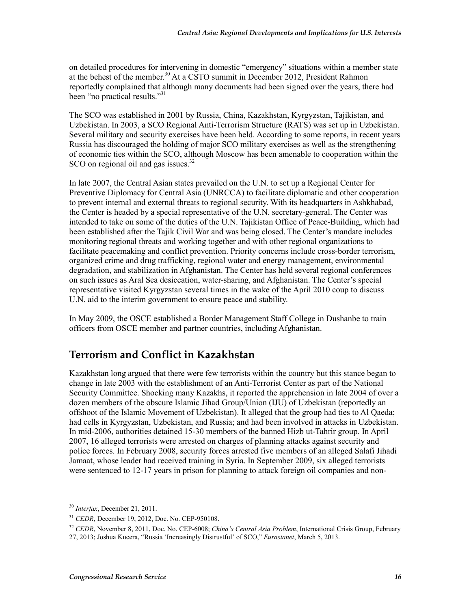on detailed procedures for intervening in domestic "emergency" situations within a member state at the behest of the member.<sup>30</sup> At a CSTO summit in December 2012, President Rahmon reportedly complained that although many documents had been signed over the years, there had been "no practical results."<sup>31</sup>

The SCO was established in 2001 by Russia, China, Kazakhstan, Kyrgyzstan, Tajikistan, and Uzbekistan. In 2003, a SCO Regional Anti-Terrorism Structure (RATS) was set up in Uzbekistan. Several military and security exercises have been held. According to some reports, in recent years Russia has discouraged the holding of major SCO military exercises as well as the strengthening of economic ties within the SCO, although Moscow has been amenable to cooperation within the SCO on regional oil and gas issues.<sup>32</sup>

In late 2007, the Central Asian states prevailed on the U.N. to set up a Regional Center for Preventive Diplomacy for Central Asia (UNRCCA) to facilitate diplomatic and other cooperation to prevent internal and external threats to regional security. With its headquarters in Ashkhabad, the Center is headed by a special representative of the U.N. secretary-general. The Center was intended to take on some of the duties of the U.N. Tajikistan Office of Peace-Building, which had been established after the Tajik Civil War and was being closed. The Center's mandate includes monitoring regional threats and working together and with other regional organizations to facilitate peacemaking and conflict prevention. Priority concerns include cross-border terrorism, organized crime and drug trafficking, regional water and energy management, environmental degradation, and stabilization in Afghanistan. The Center has held several regional conferences on such issues as Aral Sea desiccation, water-sharing, and Afghanistan. The Center's special representative visited Kyrgyzstan several times in the wake of the April 2010 coup to discuss U.N. aid to the interim government to ensure peace and stability.

In May 2009, the OSCE established a Border Management Staff College in Dushanbe to train officers from OSCE member and partner countries, including Afghanistan.

### **Terrorism and Conflict in Kazakhstan**

Kazakhstan long argued that there were few terrorists within the country but this stance began to change in late 2003 with the establishment of an Anti-Terrorist Center as part of the National Security Committee. Shocking many Kazakhs, it reported the apprehension in late 2004 of over a dozen members of the obscure Islamic Jihad Group/Union (IJU) of Uzbekistan (reportedly an offshoot of the Islamic Movement of Uzbekistan). It alleged that the group had ties to Al Qaeda; had cells in Kyrgyzstan, Uzbekistan, and Russia; and had been involved in attacks in Uzbekistan. In mid-2006, authorities detained 15-30 members of the banned Hizb ut-Tahrir group. In April 2007, 16 alleged terrorists were arrested on charges of planning attacks against security and police forces. In February 2008, security forces arrested five members of an alleged Salafi Jihadi Jamaat, whose leader had received training in Syria. In September 2009, six alleged terrorists were sentenced to 12-17 years in prison for planning to attack foreign oil companies and non-

<sup>30</sup> *Interfax*, December 21, 2011.

<sup>31</sup> *CEDR*, December 19, 2012, Doc. No. CEP-950108.

<sup>32</sup> *CEDR*, November 8, 2011, Doc. No. CEP-6008; *China's Central Asia Problem*, International Crisis Group, February

<sup>27, 2013;</sup> Joshua Kucera, "Russia 'Increasingly Distrustful' of SCO," *Eurasianet*, March 5, 2013.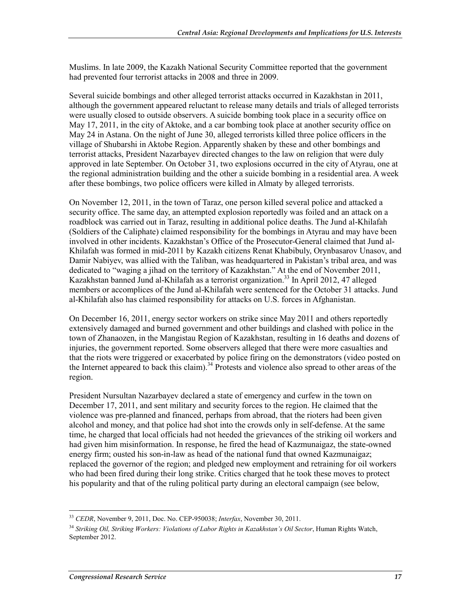Muslims. In late 2009, the Kazakh National Security Committee reported that the government had prevented four terrorist attacks in 2008 and three in 2009.

Several suicide bombings and other alleged terrorist attacks occurred in Kazakhstan in 2011, although the government appeared reluctant to release many details and trials of alleged terrorists were usually closed to outside observers. A suicide bombing took place in a security office on May 17, 2011, in the city of Aktoke, and a car bombing took place at another security office on May 24 in Astana. On the night of June 30, alleged terrorists killed three police officers in the village of Shubarshi in Aktobe Region. Apparently shaken by these and other bombings and terrorist attacks, President Nazarbayev directed changes to the law on religion that were duly approved in late September. On October 31, two explosions occurred in the city of Atyrau, one at the regional administration building and the other a suicide bombing in a residential area. A week after these bombings, two police officers were killed in Almaty by alleged terrorists.

On November 12, 2011, in the town of Taraz, one person killed several police and attacked a security office. The same day, an attempted explosion reportedly was foiled and an attack on a roadblock was carried out in Taraz, resulting in additional police deaths. The Jund al-Khilafah (Soldiers of the Caliphate) claimed responsibility for the bombings in Atyrau and may have been involved in other incidents. Kazakhstan's Office of the Prosecutor-General claimed that Jund al-Khilafah was formed in mid-2011 by Kazakh citizens Renat Khabibuly, Orynbasarov Unasov, and Damir Nabiyev, was allied with the Taliban, was headquartered in Pakistan's tribal area, and was dedicated to "waging a jihad on the territory of Kazakhstan." At the end of November 2011, Kazakhstan banned Jund al-Khilafah as a terrorist organization.<sup>33</sup> In April 2012, 47 alleged members or accomplices of the Jund al-Khilafah were sentenced for the October 31 attacks. Jund al-Khilafah also has claimed responsibility for attacks on U.S. forces in Afghanistan.

On December 16, 2011, energy sector workers on strike since May 2011 and others reportedly extensively damaged and burned government and other buildings and clashed with police in the town of Zhanaozen, in the Mangistau Region of Kazakhstan, resulting in 16 deaths and dozens of injuries, the government reported. Some observers alleged that there were more casualties and that the riots were triggered or exacerbated by police firing on the demonstrators (video posted on the Internet appeared to back this claim).<sup>34</sup> Protests and violence also spread to other areas of the region.

President Nursultan Nazarbayev declared a state of emergency and curfew in the town on December 17, 2011, and sent military and security forces to the region. He claimed that the violence was pre-planned and financed, perhaps from abroad, that the rioters had been given alcohol and money, and that police had shot into the crowds only in self-defense. At the same time, he charged that local officials had not heeded the grievances of the striking oil workers and had given him misinformation. In response, he fired the head of Kazmunaigaz, the state-owned energy firm; ousted his son-in-law as head of the national fund that owned Kazmunaigaz; replaced the governor of the region; and pledged new employment and retraining for oil workers who had been fired during their long strike. Critics charged that he took these moves to protect his popularity and that of the ruling political party during an electoral campaign (see below,

<sup>33</sup> *CEDR*, November 9, 2011, Doc. No. CEP-950038; *Interfax*, November 30, 2011.

<sup>34</sup> *Striking Oil, Striking Workers: Violations of Labor Rights in Kazakhstan's Oil Sector*, Human Rights Watch, September 2012.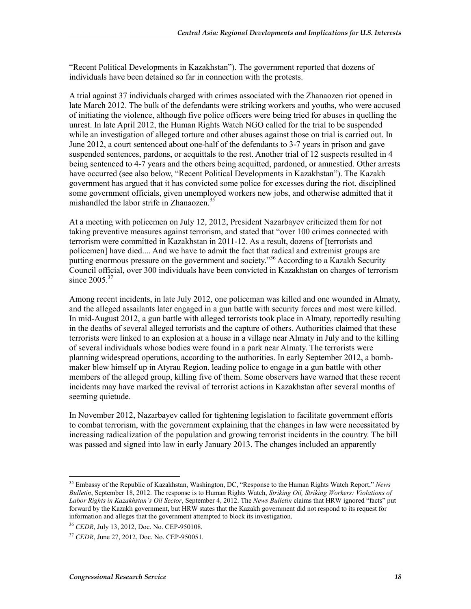"Recent Political Developments in Kazakhstan"). The government reported that dozens of individuals have been detained so far in connection with the protests.

A trial against 37 individuals charged with crimes associated with the Zhanaozen riot opened in late March 2012. The bulk of the defendants were striking workers and youths, who were accused of initiating the violence, although five police officers were being tried for abuses in quelling the unrest. In late April 2012, the Human Rights Watch NGO called for the trial to be suspended while an investigation of alleged torture and other abuses against those on trial is carried out. In June 2012, a court sentenced about one-half of the defendants to 3-7 years in prison and gave suspended sentences, pardons, or acquittals to the rest. Another trial of 12 suspects resulted in 4 being sentenced to 4-7 years and the others being acquitted, pardoned, or amnestied. Other arrests have occurred (see also below, "Recent Political Developments in Kazakhstan"). The Kazakh government has argued that it has convicted some police for excesses during the riot, disciplined some government officials, given unemployed workers new jobs, and otherwise admitted that it mishandled the labor strife in Zhanaozen.<sup>35</sup>

At a meeting with policemen on July 12, 2012, President Nazarbayev criticized them for not taking preventive measures against terrorism, and stated that "over 100 crimes connected with terrorism were committed in Kazakhstan in 2011-12. As a result, dozens of [terrorists and policemen] have died.... And we have to admit the fact that radical and extremist groups are putting enormous pressure on the government and society."36 According to a Kazakh Security Council official, over 300 individuals have been convicted in Kazakhstan on charges of terrorism since  $2005.^{37}$ 

Among recent incidents, in late July 2012, one policeman was killed and one wounded in Almaty, and the alleged assailants later engaged in a gun battle with security forces and most were killed. In mid-August 2012, a gun battle with alleged terrorists took place in Almaty, reportedly resulting in the deaths of several alleged terrorists and the capture of others. Authorities claimed that these terrorists were linked to an explosion at a house in a village near Almaty in July and to the killing of several individuals whose bodies were found in a park near Almaty. The terrorists were planning widespread operations, according to the authorities. In early September 2012, a bombmaker blew himself up in Atyrau Region, leading police to engage in a gun battle with other members of the alleged group, killing five of them. Some observers have warned that these recent incidents may have marked the revival of terrorist actions in Kazakhstan after several months of seeming quietude.

In November 2012, Nazarbayev called for tightening legislation to facilitate government efforts to combat terrorism, with the government explaining that the changes in law were necessitated by increasing radicalization of the population and growing terrorist incidents in the country. The bill was passed and signed into law in early January 2013. The changes included an apparently

<sup>35</sup> Embassy of the Republic of Kazakhstan, Washington, DC, "Response to the Human Rights Watch Report," *News Bulletin*, September 18, 2012. The response is to Human Rights Watch, *Striking Oil, Striking Workers: Violations of Labor Rights in Kazakhstan's Oil Sector*, September 4, 2012. The *News Bulletin* claims that HRW ignored "facts" put forward by the Kazakh government, but HRW states that the Kazakh government did not respond to its request for information and alleges that the government attempted to block its investigation.

<sup>36</sup> *CEDR*, July 13, 2012, Doc. No. CEP-950108.

<sup>37</sup> *CEDR*, June 27, 2012, Doc. No. CEP-950051.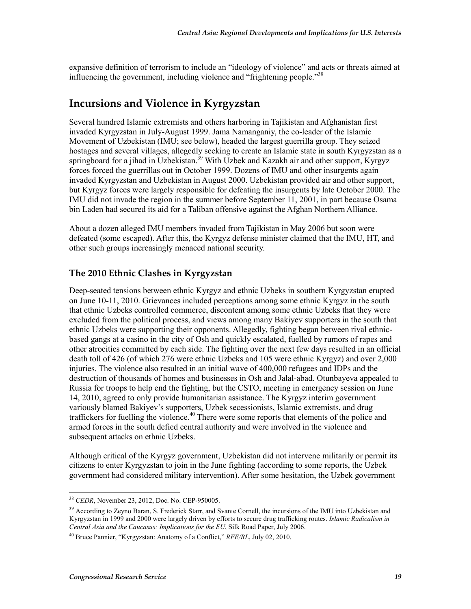expansive definition of terrorism to include an "ideology of violence" and acts or threats aimed at influencing the government, including violence and "frightening people."38

### **Incursions and Violence in Kyrgyzstan**

Several hundred Islamic extremists and others harboring in Tajikistan and Afghanistan first invaded Kyrgyzstan in July-August 1999. Jama Namanganiy, the co-leader of the Islamic Movement of Uzbekistan (IMU; see below), headed the largest guerrilla group. They seized hostages and several villages, allegedly seeking to create an Islamic state in south Kyrgyzstan as a springboard for a jihad in Uzbekistan.<sup>39</sup> With Uzbek and Kazakh air and other support, Kyrgyz forces forced the guerrillas out in October 1999. Dozens of IMU and other insurgents again invaded Kyrgyzstan and Uzbekistan in August 2000. Uzbekistan provided air and other support, but Kyrgyz forces were largely responsible for defeating the insurgents by late October 2000. The IMU did not invade the region in the summer before September 11, 2001, in part because Osama bin Laden had secured its aid for a Taliban offensive against the Afghan Northern Alliance.

About a dozen alleged IMU members invaded from Tajikistan in May 2006 but soon were defeated (some escaped). After this, the Kyrgyz defense minister claimed that the IMU, HT, and other such groups increasingly menaced national security.

#### **The 2010 Ethnic Clashes in Kyrgyzstan**

Deep-seated tensions between ethnic Kyrgyz and ethnic Uzbeks in southern Kyrgyzstan erupted on June 10-11, 2010. Grievances included perceptions among some ethnic Kyrgyz in the south that ethnic Uzbeks controlled commerce, discontent among some ethnic Uzbeks that they were excluded from the political process, and views among many Bakiyev supporters in the south that ethnic Uzbeks were supporting their opponents. Allegedly, fighting began between rival ethnicbased gangs at a casino in the city of Osh and quickly escalated, fuelled by rumors of rapes and other atrocities committed by each side. The fighting over the next few days resulted in an official death toll of 426 (of which 276 were ethnic Uzbeks and 105 were ethnic Kyrgyz) and over 2,000 injuries. The violence also resulted in an initial wave of 400,000 refugees and IDPs and the destruction of thousands of homes and businesses in Osh and Jalal-abad. Otunbayeva appealed to Russia for troops to help end the fighting, but the CSTO, meeting in emergency session on June 14, 2010, agreed to only provide humanitarian assistance. The Kyrgyz interim government variously blamed Bakiyev's supporters, Uzbek secessionists, Islamic extremists, and drug traffickers for fuelling the violence.<sup>40</sup> There were some reports that elements of the police and armed forces in the south defied central authority and were involved in the violence and subsequent attacks on ethnic Uzbeks.

Although critical of the Kyrgyz government, Uzbekistan did not intervene militarily or permit its citizens to enter Kyrgyzstan to join in the June fighting (according to some reports, the Uzbek government had considered military intervention). After some hesitation, the Uzbek government

<sup>1</sup> <sup>38</sup> *CEDR*, November 23, 2012, Doc. No. CEP-950005.

<sup>&</sup>lt;sup>39</sup> According to Zeyno Baran, S. Frederick Starr, and Svante Cornell, the incursions of the IMU into Uzbekistan and Kyrgyzstan in 1999 and 2000 were largely driven by efforts to secure drug trafficking routes. *Islamic Radicalism in Central Asia and the Caucasus: Implications for the EU*, Silk Road Paper, July 2006.

<sup>40</sup> Bruce Pannier, "Kyrgyzstan: Anatomy of a Conflict," *RFE/RL*, July 02, 2010.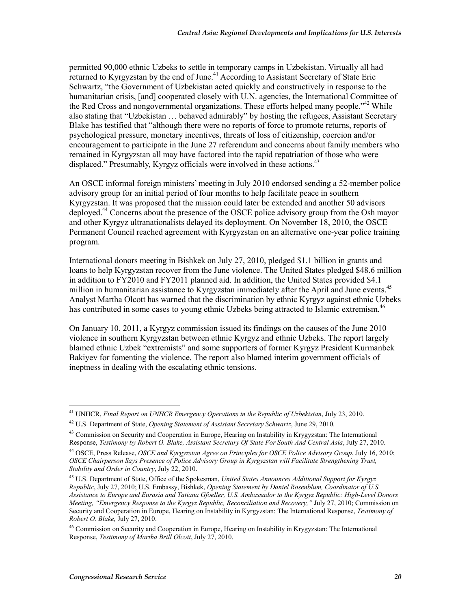permitted 90,000 ethnic Uzbeks to settle in temporary camps in Uzbekistan. Virtually all had returned to Kyrgyzstan by the end of June.<sup>41</sup> According to Assistant Secretary of State Eric Schwartz, "the Government of Uzbekistan acted quickly and constructively in response to the humanitarian crisis, [and] cooperated closely with U.N. agencies, the International Committee of the Red Cross and nongovernmental organizations. These efforts helped many people.<sup>"42</sup> While also stating that "Uzbekistan … behaved admirably" by hosting the refugees, Assistant Secretary Blake has testified that "although there were no reports of force to promote returns, reports of psychological pressure, monetary incentives, threats of loss of citizenship, coercion and/or encouragement to participate in the June 27 referendum and concerns about family members who remained in Kyrgyzstan all may have factored into the rapid repatriation of those who were displaced." Presumably, Kyrgyz officials were involved in these actions.<sup>43</sup>

An OSCE informal foreign ministers' meeting in July 2010 endorsed sending a 52-member police advisory group for an initial period of four months to help facilitate peace in southern Kyrgyzstan. It was proposed that the mission could later be extended and another 50 advisors deployed.<sup>44</sup> Concerns about the presence of the OSCE police advisory group from the Osh mayor and other Kyrgyz ultranationalists delayed its deployment. On November 18, 2010, the OSCE Permanent Council reached agreement with Kyrgyzstan on an alternative one-year police training program.

International donors meeting in Bishkek on July 27, 2010, pledged \$1.1 billion in grants and loans to help Kyrgyzstan recover from the June violence. The United States pledged \$48.6 million in addition to FY2010 and FY2011 planned aid. In addition, the United States provided \$4.1 million in humanitarian assistance to Kyrgyzstan immediately after the April and June events.<sup>45</sup> Analyst Martha Olcott has warned that the discrimination by ethnic Kyrgyz against ethnic Uzbeks has contributed in some cases to young ethnic Uzbeks being attracted to Islamic extremism.<sup>46</sup>

On January 10, 2011, a Kyrgyz commission issued its findings on the causes of the June 2010 violence in southern Kyrgyzstan between ethnic Kyrgyz and ethnic Uzbeks. The report largely blamed ethnic Uzbek "extremists" and some supporters of former Kyrgyz President Kurmanbek Bakiyev for fomenting the violence. The report also blamed interim government officials of ineptness in dealing with the escalating ethnic tensions.

<sup>41</sup> UNHCR, *Final Report on UNHCR Emergency Operations in the Republic of Uzbekistan*, July 23, 2010.

<sup>42</sup> U.S. Department of State, *Opening Statement of Assistant Secretary Schwartz*, June 29, 2010.

<sup>&</sup>lt;sup>43</sup> Commission on Security and Cooperation in Europe, Hearing on Instability in Krygyzstan: The International Response, *Testimony by Robert O. Blake, Assistant Secretary Of State For South And Central Asia*, July 27, 2010.

<sup>44</sup> OSCE, Press Release, *OSCE and Kyrgyzstan Agree on Principles for OSCE Police Advisory Group*, July 16, 2010; *OSCE Chairperson Says Presence of Police Advisory Group in Kyrgyzstan will Facilitate Strengthening Trust, Stability and Order in Country*, July 22, 2010.

<sup>45</sup> U.S. Department of State, Office of the Spokesman, *United States Announces Additional Support for Kyrgyz Republic*, July 27, 2010; U.S. Embassy, Bishkek, *Opening Statement by Daniel Rosenblum, Coordinator of U.S. Assistance to Europe and Eurasia and Tatiana Gfoeller, U.S. Ambassador to the Kyrgyz Republic: High-Level Donors Meeting, "Emergency Response to the Kyrgyz Republic, Reconciliation and Recovery,"* July 27, 2010; Commission on Security and Cooperation in Europe, Hearing on Instability in Kyrgyzstan: The International Response, *Testimony of Robert O. Blake,* July 27, 2010.

<sup>&</sup>lt;sup>46</sup> Commission on Security and Cooperation in Europe, Hearing on Instability in Krygyzstan: The International Response, *Testimony of Martha Brill Olcott*, July 27, 2010.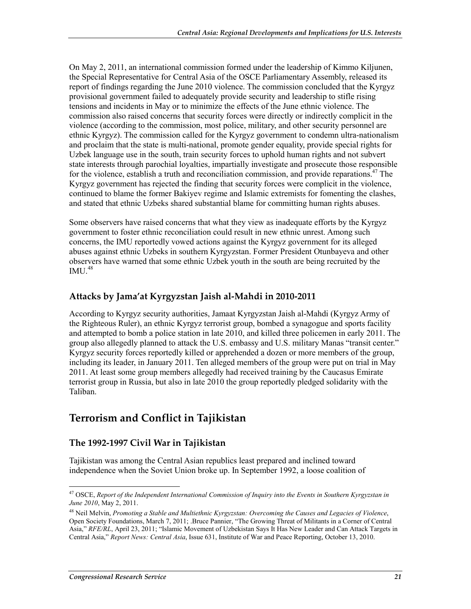On May 2, 2011, an international commission formed under the leadership of Kimmo Kiljunen, the Special Representative for Central Asia of the OSCE Parliamentary Assembly, released its report of findings regarding the June 2010 violence. The commission concluded that the Kyrgyz provisional government failed to adequately provide security and leadership to stifle rising tensions and incidents in May or to minimize the effects of the June ethnic violence. The commission also raised concerns that security forces were directly or indirectly complicit in the violence (according to the commission, most police, military, and other security personnel are ethnic Kyrgyz). The commission called for the Kyrgyz government to condemn ultra-nationalism and proclaim that the state is multi-national, promote gender equality, provide special rights for Uzbek language use in the south, train security forces to uphold human rights and not subvert state interests through parochial loyalties, impartially investigate and prosecute those responsible for the violence, establish a truth and reconciliation commission, and provide reparations.<sup>47</sup> The Kyrgyz government has rejected the finding that security forces were complicit in the violence, continued to blame the former Bakiyev regime and Islamic extremists for fomenting the clashes, and stated that ethnic Uzbeks shared substantial blame for committing human rights abuses.

Some observers have raised concerns that what they view as inadequate efforts by the Kyrgyz government to foster ethnic reconciliation could result in new ethnic unrest. Among such concerns, the IMU reportedly vowed actions against the Kyrgyz government for its alleged abuses against ethnic Uzbeks in southern Kyrgyzstan. Former President Otunbayeva and other observers have warned that some ethnic Uzbek youth in the south are being recruited by the  $IMU.<sup>48</sup>$ 

#### **Attacks by Jama'at Kyrgyzstan Jaish al-Mahdi in 2010-2011**

According to Kyrgyz security authorities, Jamaat Kyrgyzstan Jaish al-Mahdi (Kyrgyz Army of the Righteous Ruler), an ethnic Kyrgyz terrorist group, bombed a synagogue and sports facility and attempted to bomb a police station in late 2010, and killed three policemen in early 2011. The group also allegedly planned to attack the U.S. embassy and U.S. military Manas "transit center." Kyrgyz security forces reportedly killed or apprehended a dozen or more members of the group, including its leader, in January 2011. Ten alleged members of the group were put on trial in May 2011. At least some group members allegedly had received training by the Caucasus Emirate terrorist group in Russia, but also in late 2010 the group reportedly pledged solidarity with the Taliban.

### **Terrorism and Conflict in Tajikistan**

#### **The 1992-1997 Civil War in Tajikistan**

Tajikistan was among the Central Asian republics least prepared and inclined toward independence when the Soviet Union broke up. In September 1992, a loose coalition of

<sup>1</sup> 47 OSCE, *Report of the Independent International Commission of Inquiry into the Events in Southern Kyrgyzstan in June 2010*, May 2, 2011.

<sup>48</sup> Neil Melvin, *Promoting a Stable and Multiethnic Kyrgyzstan: Overcoming the Causes and Legacies of Violence*, Open Society Foundations, March 7, 2011; .Bruce Pannier, "The Growing Threat of Militants in a Corner of Central Asia," *RFE/RL*, April 23, 2011; "Islamic Movement of Uzbekistan Says It Has New Leader and Can Attack Targets in Central Asia," *Report News: Central Asia*, Issue 631, Institute of War and Peace Reporting, October 13, 2010.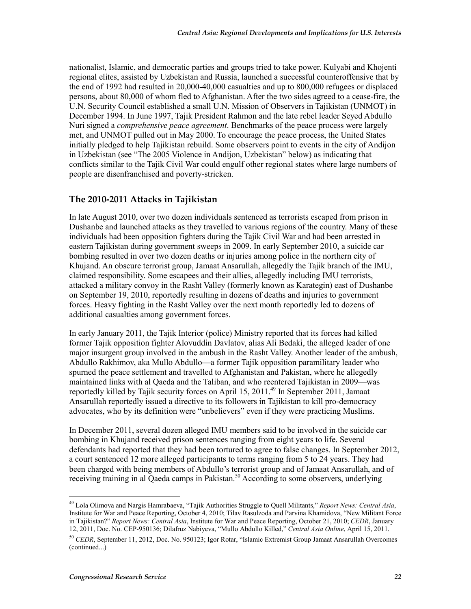nationalist, Islamic, and democratic parties and groups tried to take power. Kulyabi and Khojenti regional elites, assisted by Uzbekistan and Russia, launched a successful counteroffensive that by the end of 1992 had resulted in 20,000-40,000 casualties and up to 800,000 refugees or displaced persons, about 80,000 of whom fled to Afghanistan. After the two sides agreed to a cease-fire, the U.N. Security Council established a small U.N. Mission of Observers in Tajikistan (UNMOT) in December 1994. In June 1997, Tajik President Rahmon and the late rebel leader Seyed Abdullo Nuri signed a *comprehensive peace agreement*. Benchmarks of the peace process were largely met, and UNMOT pulled out in May 2000. To encourage the peace process, the United States initially pledged to help Tajikistan rebuild. Some observers point to events in the city of Andijon in Uzbekistan (see "The 2005 Violence in Andijon, Uzbekistan" below) as indicating that conflicts similar to the Tajik Civil War could engulf other regional states where large numbers of people are disenfranchised and poverty-stricken.

#### **The 2010-2011 Attacks in Tajikistan**

In late August 2010, over two dozen individuals sentenced as terrorists escaped from prison in Dushanbe and launched attacks as they travelled to various regions of the country. Many of these individuals had been opposition fighters during the Tajik Civil War and had been arrested in eastern Tajikistan during government sweeps in 2009. In early September 2010, a suicide car bombing resulted in over two dozen deaths or injuries among police in the northern city of Khujand. An obscure terrorist group, Jamaat Ansarullah, allegedly the Tajik branch of the IMU, claimed responsibility. Some escapees and their allies, allegedly including IMU terrorists, attacked a military convoy in the Rasht Valley (formerly known as Karategin) east of Dushanbe on September 19, 2010, reportedly resulting in dozens of deaths and injuries to government forces. Heavy fighting in the Rasht Valley over the next month reportedly led to dozens of additional casualties among government forces.

In early January 2011, the Tajik Interior (police) Ministry reported that its forces had killed former Tajik opposition fighter Alovuddin Davlatov, alias Ali Bedaki, the alleged leader of one major insurgent group involved in the ambush in the Rasht Valley. Another leader of the ambush, Abdullo Rakhimov, aka Mullo Abdullo—a former Tajik opposition paramilitary leader who spurned the peace settlement and travelled to Afghanistan and Pakistan, where he allegedly maintained links with al Qaeda and the Taliban, and who reentered Tajikistan in 2009—was reportedly killed by Tajik security forces on April 15, 2011.<sup>49</sup> In September 2011, Jamaat Ansarullah reportedly issued a directive to its followers in Tajikistan to kill pro-democracy advocates, who by its definition were "unbelievers" even if they were practicing Muslims.

In December 2011, several dozen alleged IMU members said to be involved in the suicide car bombing in Khujand received prison sentences ranging from eight years to life. Several defendants had reported that they had been tortured to agree to false changes. In September 2012, a court sentenced 12 more alleged participants to terms ranging from 5 to 24 years. They had been charged with being members of Abdullo's terrorist group and of Jamaat Ansarullah, and of receiving training in al Qaeda camps in Pakistan.<sup>50</sup> According to some observers, underlying

<sup>1</sup> 49 Lola Olimova and Nargis Hamrabaeva, "Tajik Authorities Struggle to Quell Militants," *Report News: Central Asia*, Institute for War and Peace Reporting, October 4, 2010; Tilav Rasulzoda and Parvina Khamidova, "New Militant Force in Tajikistan?" *Report News: Central Asia*, Institute for War and Peace Reporting, October 21, 2010; *CEDR*, January 12, 2011, Doc. No. CEP-950136; Dilafruz Nabiyeva, "Mullo Abdullo Killed," *Central Asia Online*, April 15, 2011.

<sup>&</sup>lt;sup>50</sup> *CEDR*, September 11, 2012, Doc. No. 950123; Igor Rotar, "Islamic Extremist Group Jamaat Ansarullah Overcomes (continued...)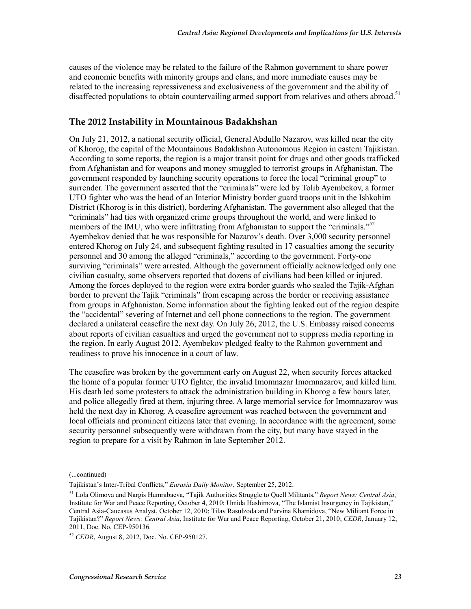causes of the violence may be related to the failure of the Rahmon government to share power and economic benefits with minority groups and clans, and more immediate causes may be related to the increasing repressiveness and exclusiveness of the government and the ability of disaffected populations to obtain countervailing armed support from relatives and others abroad.<sup>51</sup>

#### **The 2012 Instability in Mountainous Badakhshan**

On July 21, 2012, a national security official, General Abdullo Nazarov, was killed near the city of Khorog, the capital of the Mountainous Badakhshan Autonomous Region in eastern Tajikistan. According to some reports, the region is a major transit point for drugs and other goods trafficked from Afghanistan and for weapons and money smuggled to terrorist groups in Afghanistan. The government responded by launching security operations to force the local "criminal group" to surrender. The government asserted that the "criminals" were led by Tolib Ayembekov, a former UTO fighter who was the head of an Interior Ministry border guard troops unit in the Ishkohim District (Khorog is in this district), bordering Afghanistan. The government also alleged that the "criminals" had ties with organized crime groups throughout the world, and were linked to members of the IMU, who were infiltrating from Afghanistan to support the "criminals."<sup>52</sup> Ayembekov denied that he was responsible for Nazarov's death. Over 3,000 security personnel entered Khorog on July 24, and subsequent fighting resulted in 17 casualties among the security personnel and 30 among the alleged "criminals," according to the government. Forty-one surviving "criminals" were arrested. Although the government officially acknowledged only one civilian casualty, some observers reported that dozens of civilians had been killed or injured. Among the forces deployed to the region were extra border guards who sealed the Tajik-Afghan border to prevent the Tajik "criminals" from escaping across the border or receiving assistance from groups in Afghanistan. Some information about the fighting leaked out of the region despite the "accidental" severing of Internet and cell phone connections to the region. The government declared a unilateral ceasefire the next day. On July 26, 2012, the U.S. Embassy raised concerns about reports of civilian casualties and urged the government not to suppress media reporting in the region. In early August 2012, Ayembekov pledged fealty to the Rahmon government and readiness to prove his innocence in a court of law.

The ceasefire was broken by the government early on August 22, when security forces attacked the home of a popular former UTO fighter, the invalid Imomnazar Imomnazarov, and killed him. His death led some protesters to attack the administration building in Khorog a few hours later, and police allegedly fired at them, injuring three. A large memorial service for Imomnazarov was held the next day in Khorog. A ceasefire agreement was reached between the government and local officials and prominent citizens later that evening. In accordance with the agreement, some security personnel subsequently were withdrawn from the city, but many have stayed in the region to prepare for a visit by Rahmon in late September 2012.

<sup>(...</sup>continued)

Tajikistan's Inter-Tribal Conflicts," *Eurasia Daily Monitor*, September 25, 2012.

<sup>51</sup> Lola Olimova and Nargis Hamrabaeva, "Tajik Authorities Struggle to Quell Militants," *Report News: Central Asia*, Institute for War and Peace Reporting, October 4, 2010; Umida Hashimova, "The Islamist Insurgency in Tajikistan," Central Asia-Caucasus Analyst, October 12, 2010; Tilav Rasulzoda and Parvina Khamidova, "New Militant Force in Tajikistan?" *Report News: Central Asia*, Institute for War and Peace Reporting, October 21, 2010; *CEDR*, January 12, 2011, Doc. No. CEP-950136.

<sup>52</sup> *CEDR*, August 8, 2012, Doc. No. CEP-950127.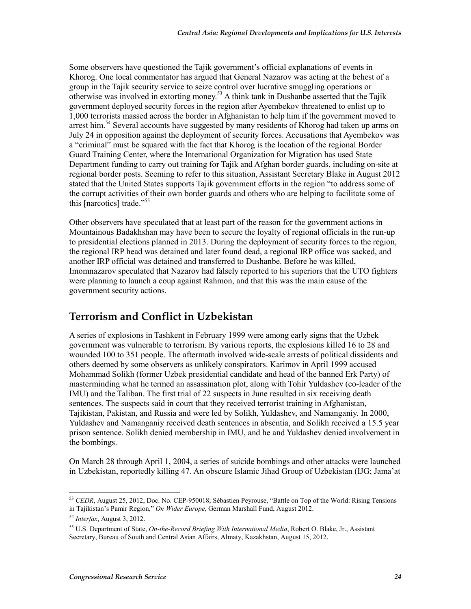Some observers have questioned the Tajik government's official explanations of events in Khorog. One local commentator has argued that General Nazarov was acting at the behest of a group in the Tajik security service to seize control over lucrative smuggling operations or otherwise was involved in extorting money.53 A think tank in Dushanbe asserted that the Tajik government deployed security forces in the region after Ayembekov threatened to enlist up to 1,000 terrorists massed across the border in Afghanistan to help him if the government moved to arrest him.<sup>54</sup> Several accounts have suggested by many residents of Khorog had taken up arms on July 24 in opposition against the deployment of security forces. Accusations that Ayembekov was a "criminal" must be squared with the fact that Khorog is the location of the regional Border Guard Training Center, where the International Organization for Migration has used State Department funding to carry out training for Tajik and Afghan border guards, including on-site at regional border posts. Seeming to refer to this situation, Assistant Secretary Blake in August 2012 stated that the United States supports Tajik government efforts in the region "to address some of the corrupt activities of their own border guards and others who are helping to facilitate some of this [narcotics] trade."55

Other observers have speculated that at least part of the reason for the government actions in Mountainous Badakhshan may have been to secure the loyalty of regional officials in the run-up to presidential elections planned in 2013. During the deployment of security forces to the region, the regional IRP head was detained and later found dead, a regional IRP office was sacked, and another IRP official was detained and transferred to Dushanbe. Before he was killed, Imomnazarov speculated that Nazarov had falsely reported to his superiors that the UTO fighters were planning to launch a coup against Rahmon, and that this was the main cause of the government security actions.

### **Terrorism and Conflict in Uzbekistan**

A series of explosions in Tashkent in February 1999 were among early signs that the Uzbek government was vulnerable to terrorism. By various reports, the explosions killed 16 to 28 and wounded 100 to 351 people. The aftermath involved wide-scale arrests of political dissidents and others deemed by some observers as unlikely conspirators. Karimov in April 1999 accused Mohammad Solikh (former Uzbek presidential candidate and head of the banned Erk Party) of masterminding what he termed an assassination plot, along with Tohir Yuldashev (co-leader of the IMU) and the Taliban. The first trial of 22 suspects in June resulted in six receiving death sentences. The suspects said in court that they received terrorist training in Afghanistan, Tajikistan, Pakistan, and Russia and were led by Solikh, Yuldashev, and Namanganiy. In 2000, Yuldashev and Namanganiy received death sentences in absentia, and Solikh received a 15.5 year prison sentence. Solikh denied membership in IMU, and he and Yuldashev denied involvement in the bombings.

On March 28 through April 1, 2004, a series of suicide bombings and other attacks were launched in Uzbekistan, reportedly killing 47. An obscure Islamic Jihad Group of Uzbekistan (IJG; Jama'at

<sup>1</sup> <sup>53</sup> *CEDR*, August 25, 2012, Doc. No. CEP-950018; Sébastien Peyrouse, "Battle on Top of the World: Rising Tensions in Tajikistan's Pamir Region," *On Wider Europe*, German Marshall Fund, August 2012.

<sup>54</sup> *Interfax*, August 3, 2012.

<sup>55</sup> U.S. Department of State, *On-the-Record Briefing With International Media*, Robert O. Blake, Jr., Assistant Secretary, Bureau of South and Central Asian Affairs, Almaty, Kazakhstan, August 15, 2012.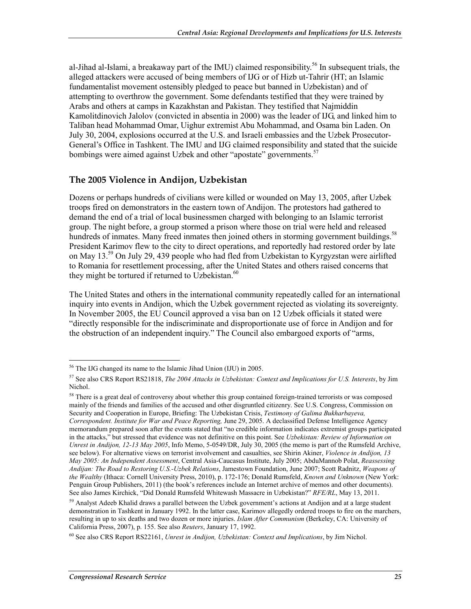al-Jihad al-Islami, a breakaway part of the IMU) claimed responsibility.<sup>56</sup> In subsequent trials, the alleged attackers were accused of being members of IJG or of Hizb ut-Tahrir (HT; an Islamic fundamentalist movement ostensibly pledged to peace but banned in Uzbekistan) and of attempting to overthrow the government. Some defendants testified that they were trained by Arabs and others at camps in Kazakhstan and Pakistan. They testified that Najmiddin Kamolitdinovich Jalolov (convicted in absentia in 2000) was the leader of IJG, and linked him to Taliban head Mohammad Omar, Uighur extremist Abu Mohammad, and Osama bin Laden. On July 30, 2004, explosions occurred at the U.S. and Israeli embassies and the Uzbek Prosecutor-General's Office in Tashkent. The IMU and IJG claimed responsibility and stated that the suicide bombings were aimed against Uzbek and other "apostate" governments.<sup>57</sup>

#### **The 2005 Violence in Andijon, Uzbekistan**

Dozens or perhaps hundreds of civilians were killed or wounded on May 13, 2005, after Uzbek troops fired on demonstrators in the eastern town of Andijon. The protestors had gathered to demand the end of a trial of local businessmen charged with belonging to an Islamic terrorist group. The night before, a group stormed a prison where those on trial were held and released hundreds of inmates. Many freed inmates then joined others in storming government buildings.<sup>58</sup> President Karimov flew to the city to direct operations, and reportedly had restored order by late on May 13.59 On July 29, 439 people who had fled from Uzbekistan to Kyrgyzstan were airlifted to Romania for resettlement processing, after the United States and others raised concerns that they might be tortured if returned to Uzbekistan. $60$ 

The United States and others in the international community repeatedly called for an international inquiry into events in Andijon, which the Uzbek government rejected as violating its sovereignty. In November 2005, the EU Council approved a visa ban on 12 Uzbek officials it stated were "directly responsible for the indiscriminate and disproportionate use of force in Andijon and for the obstruction of an independent inquiry." The Council also embargoed exports of "arms,

<sup>&</sup>lt;u>.</u> <sup>56</sup> The IJG changed its name to the Islamic Jihad Union (IJU) in 2005.

<sup>57</sup> See also CRS Report RS21818, *The 2004 Attacks in Uzbekistan: Context and Implications for U.S. Interests*, by Jim Nichol.

<sup>&</sup>lt;sup>58</sup> There is a great deal of controversy about whether this group contained foreign-trained terrorists or was composed mainly of the friends and families of the accused and other disgruntled citizenry. See U.S. Congress, Commission on Security and Cooperation in Europe, Briefing: The Uzbekistan Crisis, *Testimony of Galima Bukharbayeva, Correspondent. Institute for War and Peace Reporting,* June 29, 2005. A declassified Defense Intelligence Agency memorandum prepared soon after the events stated that "no credible information indicates extremist groups participated in the attacks," but stressed that evidence was not definitive on this point. See *Uzbekistan: Review of Information on Unrest in Andijon, 12-13 May 2005*, Info Memo, 5-0549/DR, July 30, 2005 (the memo is part of the Rumsfeld Archive, see below). For alternative views on terrorist involvement and casualties, see Shirin Akiner, *Violence in Andijon, 13 May 2005: An Independent Assessment*, Central Asia-Caucasus Institute, July 2005; AbduMannob Polat, *Reassessing Andijan: The Road to Restoring U.S.-Uzbek Relations*, Jamestown Foundation, June 2007; Scott Radnitz, *Weapons of the Wealthy* (Ithaca: Cornell University Press, 2010), p. 172-176; Donald Rumsfeld, *Known and Unknown* (New York: Penguin Group Publishers, 2011) (the book's references include an Internet archive of memos and other documents). See also James Kirchick, "Did Donald Rumsfeld Whitewash Massacre in Uzbekistan?" *RFE/RL*, May 13, 2011.

<sup>&</sup>lt;sup>59</sup> Analyst Adeeb Khalid draws a parallel between the Uzbek government's actions at Andijon and at a large student demonstration in Tashkent in January 1992. In the latter case, Karimov allegedly ordered troops to fire on the marchers, resulting in up to six deaths and two dozen or more injuries. *Islam After Communism* (Berkeley, CA: University of California Press, 2007), p. 155. See also *Reuters*, January 17, 1992.

<sup>60</sup> See also CRS Report RS22161, *Unrest in Andijon, Uzbekistan: Context and Implications*, by Jim Nichol.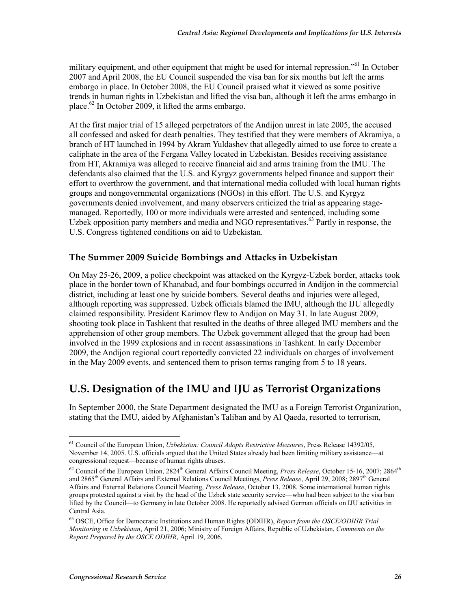military equipment, and other equipment that might be used for internal repression."<sup>61</sup> In October 2007 and April 2008, the EU Council suspended the visa ban for six months but left the arms embargo in place. In October 2008, the EU Council praised what it viewed as some positive trends in human rights in Uzbekistan and lifted the visa ban, although it left the arms embargo in place.<sup>62</sup> In October 2009, it lifted the arms embargo.

At the first major trial of 15 alleged perpetrators of the Andijon unrest in late 2005, the accused all confessed and asked for death penalties. They testified that they were members of Akramiya, a branch of HT launched in 1994 by Akram Yuldashev that allegedly aimed to use force to create a caliphate in the area of the Fergana Valley located in Uzbekistan. Besides receiving assistance from HT, Akramiya was alleged to receive financial aid and arms training from the IMU. The defendants also claimed that the U.S. and Kyrgyz governments helped finance and support their effort to overthrow the government, and that international media colluded with local human rights groups and nongovernmental organizations (NGOs) in this effort. The U.S. and Kyrgyz governments denied involvement, and many observers criticized the trial as appearing stagemanaged. Reportedly, 100 or more individuals were arrested and sentenced, including some Uzbek opposition party members and media and NGO representatives.<sup>63</sup> Partly in response, the U.S. Congress tightened conditions on aid to Uzbekistan.

#### **The Summer 2009 Suicide Bombings and Attacks in Uzbekistan**

On May 25-26, 2009, a police checkpoint was attacked on the Kyrgyz-Uzbek border, attacks took place in the border town of Khanabad, and four bombings occurred in Andijon in the commercial district, including at least one by suicide bombers. Several deaths and injuries were alleged, although reporting was suppressed. Uzbek officials blamed the IMU, although the IJU allegedly claimed responsibility. President Karimov flew to Andijon on May 31. In late August 2009, shooting took place in Tashkent that resulted in the deaths of three alleged IMU members and the apprehension of other group members. The Uzbek government alleged that the group had been involved in the 1999 explosions and in recent assassinations in Tashkent. In early December 2009, the Andijon regional court reportedly convicted 22 individuals on charges of involvement in the May 2009 events, and sentenced them to prison terms ranging from 5 to 18 years.

### **U.S. Designation of the IMU and IJU as Terrorist Organizations**

In September 2000, the State Department designated the IMU as a Foreign Terrorist Organization, stating that the IMU, aided by Afghanistan's Taliban and by Al Qaeda, resorted to terrorism,

<sup>61</sup> Council of the European Union, *Uzbekistan: Council Adopts Restrictive Measures*, Press Release 14392/05, November 14, 2005. U.S. officials argued that the United States already had been limiting military assistance—at congressional request—because of human rights abuses.

 $62$  Council of the European Union, 2824<sup>th</sup> General Affairs Council Meeting, *Press Release*, October 15-16, 2007; 2864<sup>th</sup> and 2865th General Affairs and External Relations Council Meetings, *Press Release*, April 29, 2008; 2897th General Affairs and External Relations Council Meeting, *Press Release*, October 13, 2008. Some international human rights groups protested against a visit by the head of the Uzbek state security service—who had been subject to the visa ban lifted by the Council—to Germany in late October 2008. He reportedly advised German officials on IJU activities in Central Asia.

<sup>63</sup> OSCE, Office for Democratic Institutions and Human Rights (ODIHR), *Report from the OSCE/ODIHR Trial Monitoring in Uzbekistan*, April 21, 2006; Ministry of Foreign Affairs, Republic of Uzbekistan, *Comments on the Report Prepared by the OSCE ODIHR*, April 19, 2006.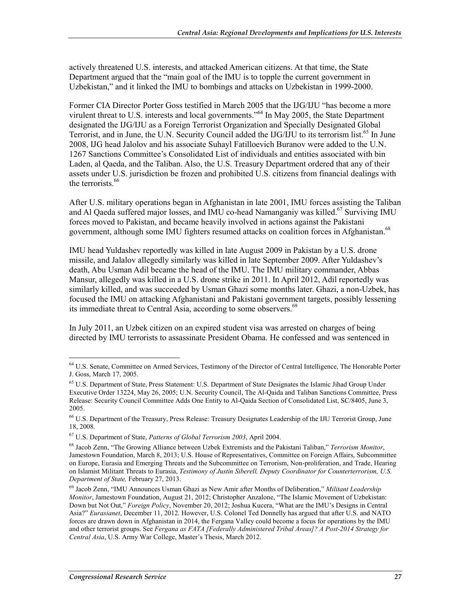actively threatened U.S. interests, and attacked American citizens. At that time, the State Department argued that the "main goal of the IMU is to topple the current government in Uzbekistan," and it linked the IMU to bombings and attacks on Uzbekistan in 1999-2000.

Former CIA Director Porter Goss testified in March 2005 that the IJG/IJU "has become a more virulent threat to U.S. interests and local governments.<sup>564</sup> In May 2005, the State Department designated the IJG/IJU as a Foreign Terrorist Organization and Specially Designated Global Terrorist, and in June, the U.N. Security Council added the IJG/IJU to its terrorism list.<sup>65</sup> In June 2008, IJG head Jalolov and his associate Suhayl Fatilloevich Buranov were added to the U.N. 1267 Sanctions Committee's Consolidated List of individuals and entities associated with bin Laden, al Qaeda, and the Taliban. Also, the U.S. Treasury Department ordered that any of their assets under U.S. jurisdiction be frozen and prohibited U.S. citizens from financial dealings with the terrorists.<sup>66</sup>

After U.S. military operations began in Afghanistan in late 2001, IMU forces assisting the Taliban and Al Qaeda suffered major losses, and IMU co-head Namanganiy was killed.<sup>67</sup> Surviving IMU forces moved to Pakistan, and became heavily involved in actions against the Pakistani government, although some IMU fighters resumed attacks on coalition forces in Afghanistan.<sup>68</sup>

IMU head Yuldashev reportedly was killed in late August 2009 in Pakistan by a U.S. drone missile, and Jalalov allegedly similarly was killed in late September 2009. After Yuldashev's death, Abu Usman Adil became the head of the IMU. The IMU military commander, Abbas Mansur, allegedly was killed in a U.S. drone strike in 2011. In April 2012, Adil reportedly was similarly killed, and was succeeded by Usman Ghazi some months later. Ghazi, a non-Uzbek, has focused the IMU on attacking Afghanistani and Pakistani government targets, possibly lessening its immediate threat to Central Asia, according to some observers.<sup>69</sup>

In July 2011, an Uzbek citizen on an expired student visa was arrested on charges of being directed by IMU terrorists to assassinate President Obama. He confessed and was sentenced in

<sup>&</sup>lt;u>.</u> <sup>64</sup> U.S. Senate, Committee on Armed Services, Testimony of the Director of Central Intelligence, The Honorable Porter J. Goss, March 17, 2005.

<sup>&</sup>lt;sup>65</sup> U.S. Department of State, Press Statement: U.S. Department of State Designates the Islamic Jihad Group Under Executive Order 13224, May 26, 2005; U.N. Security Council, The Al-Qaida and Taliban Sanctions Committee, Press Release: Security Council Committee Adds One Entity to Al-Qaida Section of Consolidated List, SC/8405, June 3, 2005.

<sup>66</sup> U.S. Department of the Treasury, Press Release: Treasury Designates Leadership of the IJU Terrorist Group, June 18, 2008.

<sup>67</sup> U.S. Department of State, *Patterns of Global Terrorism 2003*, April 2004.

<sup>68</sup> Jacob Zenn, "The Growing Alliance between Uzbek Extremists and the Pakistani Taliban," *Terrorism Monitor*, Jamestown Foundation, March 8, 2013; U.S. House of Representatives, Committee on Foreign Affairs, Subcommittee on Europe, Eurasia and Emerging Threats and the Subcommittee on Terrorism, Non-proliferation, and Trade, Hearing on Islamist Militant Threats to Eurasia, *Testimony of Justin Siberell, Deputy Coordinator for Counterterrorism, U.S. Department of State,* February 27, 2013.

<sup>69</sup> Jacob Zenn, "IMU Announces Usman Ghazi as New Amir after Months of Deliberation," *Militant Leadership Monitor*, Jamestown Foundation, August 21, 2012; Christopher Anzalone, "The Islamic Movement of Uzbekistan: Down but Not Out," *Foreign Policy*, November 20, 2012; Joshua Kucera, "What are the IMU's Designs in Central Asia?" *Eurasianet*, December 11, 2012. However, U.S. Colonel Ted Donnelly has argued that after U.S. and NATO forces are drawn down in Afghanistan in 2014, the Fergana Valley could become a focus for operations by the IMU and other terrorist groups. See *Fergana as FATA [Federally Administered Tribal Areas]? A Post-2014 Strategy for Central Asia*, U.S. Army War College, Master's Thesis, March 2012.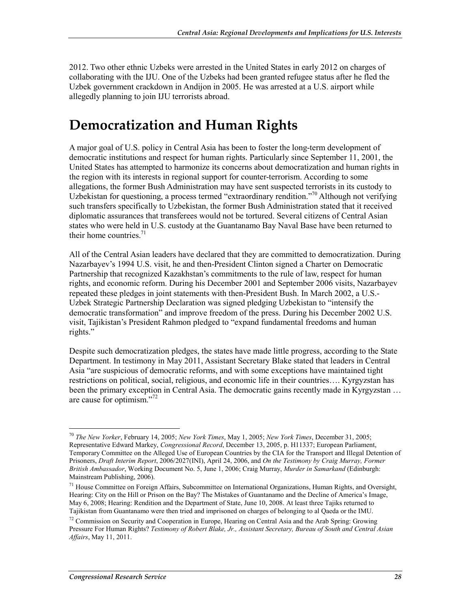2012. Two other ethnic Uzbeks were arrested in the United States in early 2012 on charges of collaborating with the IJU. One of the Uzbeks had been granted refugee status after he fled the Uzbek government crackdown in Andijon in 2005. He was arrested at a U.S. airport while allegedly planning to join IJU terrorists abroad.

## **Democratization and Human Rights**

A major goal of U.S. policy in Central Asia has been to foster the long-term development of democratic institutions and respect for human rights. Particularly since September 11, 2001, the United States has attempted to harmonize its concerns about democratization and human rights in the region with its interests in regional support for counter-terrorism. According to some allegations, the former Bush Administration may have sent suspected terrorists in its custody to Uzbekistan for questioning, a process termed "extraordinary rendition."<sup>70</sup> Although not verifying such transfers specifically to Uzbekistan, the former Bush Administration stated that it received diplomatic assurances that transferees would not be tortured. Several citizens of Central Asian states who were held in U.S. custody at the Guantanamo Bay Naval Base have been returned to their home countries. $71$ 

All of the Central Asian leaders have declared that they are committed to democratization. During Nazarbayev's 1994 U.S. visit, he and then-President Clinton signed a Charter on Democratic Partnership that recognized Kazakhstan's commitments to the rule of law, respect for human rights, and economic reform. During his December 2001 and September 2006 visits, Nazarbayev repeated these pledges in joint statements with then-President Bush. In March 2002, a U.S.- Uzbek Strategic Partnership Declaration was signed pledging Uzbekistan to "intensify the democratic transformation" and improve freedom of the press. During his December 2002 U.S. visit, Tajikistan's President Rahmon pledged to "expand fundamental freedoms and human rights."

Despite such democratization pledges, the states have made little progress, according to the State Department. In testimony in May 2011, Assistant Secretary Blake stated that leaders in Central Asia "are suspicious of democratic reforms, and with some exceptions have maintained tight restrictions on political, social, religious, and economic life in their countries…. Kyrgyzstan has been the primary exception in Central Asia. The democratic gains recently made in Kyrgyzstan ... are cause for optimism."72

<sup>&</sup>lt;u>.</u> <sup>70</sup> *The New Yorker*, February 14, 2005; *New York Times*, May 1, 2005; *New York Times*, December 31, 2005; Representative Edward Markey, *Congressional Record*, December 13, 2005, p. H11337; European Parliament, Temporary Committee on the Alleged Use of European Countries by the CIA for the Transport and Illegal Detention of Prisoners, *Draft Interim Report*, 2006/2027(INI), April 24, 2006, and *On the Testimony by Craig Murray, Former British Ambassador*, Working Document No. 5, June 1, 2006; Craig Murray, *Murder in Samarkand* (Edinburgh: Mainstream Publishing, 2006).

<sup>&</sup>lt;sup>71</sup> House Committee on Foreign Affairs, Subcommittee on International Organizations, Human Rights, and Oversight, Hearing: City on the Hill or Prison on the Bay? The Mistakes of Guantanamo and the Decline of America's Image, May 6, 2008; Hearing: Rendition and the Department of State, June 10, 2008. At least three Tajiks returned to Tajikistan from Guantanamo were then tried and imprisoned on charges of belonging to al Qaeda or the IMU.

<sup>72</sup> Commission on Security and Cooperation in Europe, Hearing on Central Asia and the Arab Spring: Growing Pressure For Human Rights? *Testimony of Robert Blake, Jr., Assistant Secretary, Bureau of South and Central Asian Affairs*, May 11, 2011.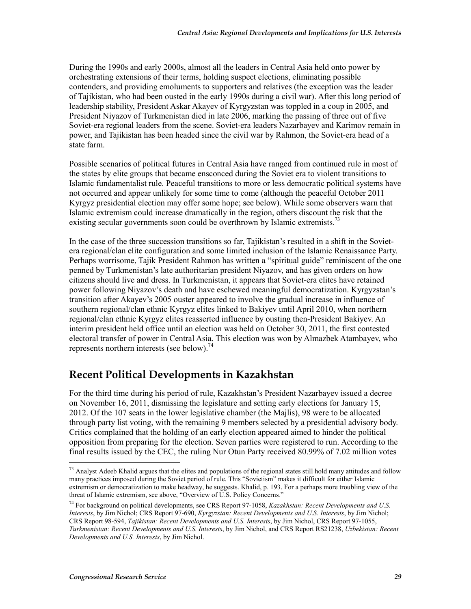During the 1990s and early 2000s, almost all the leaders in Central Asia held onto power by orchestrating extensions of their terms, holding suspect elections, eliminating possible contenders, and providing emoluments to supporters and relatives (the exception was the leader of Tajikistan, who had been ousted in the early 1990s during a civil war). After this long period of leadership stability, President Askar Akayev of Kyrgyzstan was toppled in a coup in 2005, and President Niyazov of Turkmenistan died in late 2006, marking the passing of three out of five Soviet-era regional leaders from the scene. Soviet-era leaders Nazarbayev and Karimov remain in power, and Tajikistan has been headed since the civil war by Rahmon, the Soviet-era head of a state farm.

Possible scenarios of political futures in Central Asia have ranged from continued rule in most of the states by elite groups that became ensconced during the Soviet era to violent transitions to Islamic fundamentalist rule. Peaceful transitions to more or less democratic political systems have not occurred and appear unlikely for some time to come (although the peaceful October 2011 Kyrgyz presidential election may offer some hope; see below). While some observers warn that Islamic extremism could increase dramatically in the region, others discount the risk that the existing secular governments soon could be overthrown by Islamic extremists.<sup>73</sup>

In the case of the three succession transitions so far, Tajikistan's resulted in a shift in the Sovietera regional/clan elite configuration and some limited inclusion of the Islamic Renaissance Party. Perhaps worrisome, Tajik President Rahmon has written a "spiritual guide" reminiscent of the one penned by Turkmenistan's late authoritarian president Niyazov, and has given orders on how citizens should live and dress. In Turkmenistan, it appears that Soviet-era elites have retained power following Niyazov's death and have eschewed meaningful democratization. Kyrgyzstan's transition after Akayev's 2005 ouster appeared to involve the gradual increase in influence of southern regional/clan ethnic Kyrgyz elites linked to Bakiyev until April 2010, when northern regional/clan ethnic Kyrgyz elites reasserted influence by ousting then-President Bakiyev. An interim president held office until an election was held on October 30, 2011, the first contested electoral transfer of power in Central Asia. This election was won by Almazbek Atambayev, who represents northern interests (see below).<sup>74</sup>

### **Recent Political Developments in Kazakhstan**

For the third time during his period of rule, Kazakhstan's President Nazarbayev issued a decree on November 16, 2011, dismissing the legislature and setting early elections for January 15, 2012. Of the 107 seats in the lower legislative chamber (the Majlis), 98 were to be allocated through party list voting, with the remaining 9 members selected by a presidential advisory body. Critics complained that the holding of an early election appeared aimed to hinder the political opposition from preparing for the election. Seven parties were registered to run. According to the final results issued by the CEC, the ruling Nur Otun Party received 80.99% of 7.02 million votes

 $73$  Analyst Adeeb Khalid argues that the elites and populations of the regional states still hold many attitudes and follow many practices imposed during the Soviet period of rule. This "Sovietism" makes it difficult for either Islamic extremism or democratization to make headway, he suggests. Khalid, p. 193. For a perhaps more troubling view of the threat of Islamic extremism, see above, "Overview of U.S. Policy Concerns*.*"

<sup>74</sup> For background on political developments, see CRS Report 97-1058, *Kazakhstan: Recent Developments and U.S. Interests*, by Jim Nichol; CRS Report 97-690, *Kyrgyzstan: Recent Developments and U.S. Interests*, by Jim Nichol; CRS Report 98-594, *Tajikistan: Recent Developments and U.S. Interests*, by Jim Nichol, CRS Report 97-1055, *Turkmenistan: Recent Developments and U.S. Interests*, by Jim Nichol, and CRS Report RS21238, *Uzbekistan: Recent Developments and U.S. Interests*, by Jim Nichol.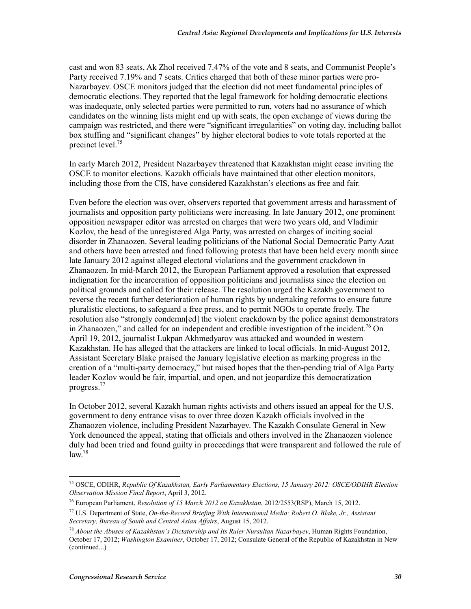cast and won 83 seats, Ak Zhol received 7.47% of the vote and 8 seats, and Communist People's Party received 7.19% and 7 seats. Critics charged that both of these minor parties were pro-Nazarbayev. OSCE monitors judged that the election did not meet fundamental principles of democratic elections. They reported that the legal framework for holding democratic elections was inadequate, only selected parties were permitted to run, voters had no assurance of which candidates on the winning lists might end up with seats, the open exchange of views during the campaign was restricted, and there were "significant irregularities" on voting day, including ballot box stuffing and "significant changes" by higher electoral bodies to vote totals reported at the precinct level.<sup>75</sup>

In early March 2012, President Nazarbayev threatened that Kazakhstan might cease inviting the OSCE to monitor elections. Kazakh officials have maintained that other election monitors, including those from the CIS, have considered Kazakhstan's elections as free and fair.

Even before the election was over, observers reported that government arrests and harassment of journalists and opposition party politicians were increasing. In late January 2012, one prominent opposition newspaper editor was arrested on charges that were two years old, and Vladimir Kozlov, the head of the unregistered Alga Party, was arrested on charges of inciting social disorder in Zhanaozen. Several leading politicians of the National Social Democratic Party Azat and others have been arrested and fined following protests that have been held every month since late January 2012 against alleged electoral violations and the government crackdown in Zhanaozen. In mid-March 2012, the European Parliament approved a resolution that expressed indignation for the incarceration of opposition politicians and journalists since the election on political grounds and called for their release. The resolution urged the Kazakh government to reverse the recent further deterioration of human rights by undertaking reforms to ensure future pluralistic elections, to safeguard a free press, and to permit NGOs to operate freely. The resolution also "strongly condemn[ed] the violent crackdown by the police against demonstrators in Zhanaozen," and called for an independent and credible investigation of the incident.<sup>76</sup> On April 19, 2012, journalist Lukpan Akhmedyarov was attacked and wounded in western Kazakhstan. He has alleged that the attackers are linked to local officials. In mid-August 2012, Assistant Secretary Blake praised the January legislative election as marking progress in the creation of a "multi-party democracy," but raised hopes that the then-pending trial of Alga Party leader Kozlov would be fair, impartial, and open, and not jeopardize this democratization progress.77

In October 2012, several Kazakh human rights activists and others issued an appeal for the U.S. government to deny entrance visas to over three dozen Kazakh officials involved in the Zhanaozen violence, including President Nazarbayev. The Kazakh Consulate General in New York denounced the appeal, stating that officials and others involved in the Zhanaozen violence duly had been tried and found guilty in proceedings that were transparent and followed the rule of  $law<sup>78</sup>$ 

<sup>1</sup> 75 OSCE, ODIHR, *Republic Of Kazakhstan, Early Parliamentary Elections, 15 January 2012: OSCE/ODIHR Election Observation Mission Final Report*, April 3, 2012.

<sup>76</sup> European Parliament, *Resolution of 15 March 2012 on Kazakhstan*, 2012/2553(RSP), March 15, 2012.

<sup>77</sup> U.S. Department of State, *On-the-Record Briefing With International Media: Robert O. Blake, Jr., Assistant Secretary, Bureau of South and Central Asian Affairs*, August 15, 2012.

<sup>78</sup> *About the Abuses of Kazakhstan's Dictatorship and Its Ruler Nursultan Nazarbayev*, Human Rights Foundation, October 17, 2012; *Washington Examiner*, October 17, 2012; Consulate General of the Republic of Kazakhstan in New (continued...)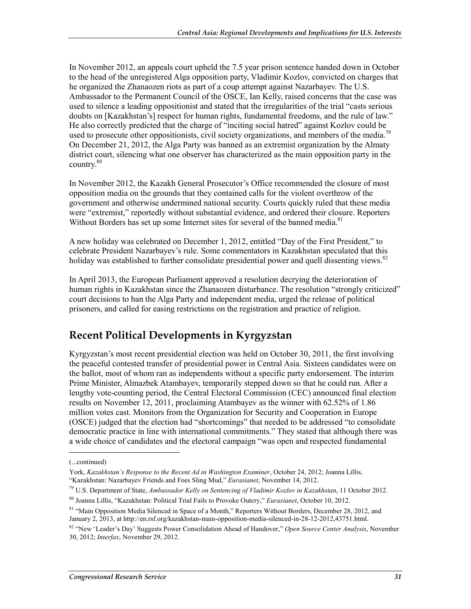In November 2012, an appeals court upheld the 7.5 year prison sentence handed down in October to the head of the unregistered Alga opposition party, Vladimir Kozlov, convicted on charges that he organized the Zhanaozen riots as part of a coup attempt against Nazarbayev. The U.S. Ambassador to the Permanent Council of the OSCE, Ian Kelly, raised concerns that the case was used to silence a leading oppositionist and stated that the irregularities of the trial "casts serious doubts on [Kazakhstan's] respect for human rights, fundamental freedoms, and the rule of law." He also correctly predicted that the charge of "inciting social hatred" against Kozlov could be used to prosecute other oppositionists, civil society organizations, and members of the media.<sup>79</sup> On December 21, 2012, the Alga Party was banned as an extremist organization by the Almaty district court, silencing what one observer has characterized as the main opposition party in the country. $80$ 

In November 2012, the Kazakh General Prosecutor's Office recommended the closure of most opposition media on the grounds that they contained calls for the violent overthrow of the government and otherwise undermined national security. Courts quickly ruled that these media were "extremist," reportedly without substantial evidence, and ordered their closure. Reporters Without Borders has set up some Internet sites for several of the banned media.<sup>81</sup>

A new holiday was celebrated on December 1, 2012, entitled "Day of the First President," to celebrate President Nazarbayev's rule. Some commentators in Kazakhstan speculated that this holiday was established to further consolidate presidential power and quell dissenting views.<sup>82</sup>

In April 2013, the European Parliament approved a resolution decrying the deterioration of human rights in Kazakhstan since the Zhanaozen disturbance. The resolution "strongly criticized" court decisions to ban the Alga Party and independent media, urged the release of political prisoners, and called for easing restrictions on the registration and practice of religion.

### **Recent Political Developments in Kyrgyzstan**

Kyrgyzstan's most recent presidential election was held on October 30, 2011, the first involving the peaceful contested transfer of presidential power in Central Asia. Sixteen candidates were on the ballot, most of whom ran as independents without a specific party endorsement. The interim Prime Minister, Almazbek Atambayev, temporarily stepped down so that he could run. After a lengthy vote-counting period, the Central Electoral Commission (CEC) announced final election results on November 12, 2011, proclaiming Atambayev as the winner with 62.52% of 1.86 million votes cast. Monitors from the Organization for Security and Cooperation in Europe (OSCE) judged that the election had "shortcomings" that needed to be addressed "to consolidate democratic practice in line with international commitments." They stated that although there was a wide choice of candidates and the electoral campaign "was open and respected fundamental

 $\overline{a}$ 

<sup>(...</sup>continued)

York, *Kazakhstan's Response to the Recent Ad in Washington Examiner*, October 24, 2012; Joanna Lillis, "Kazakhstan: Nazarbayev Friends and Foes Sling Mud," *Eurasianet*, November 14, 2012.

<sup>79</sup> U.S. Department of State, *Ambassador Kelly on Sentencing of Vladimir Kozlov in Kazakhstan*, 11 October 2012.

<sup>80</sup> Joanna Lillis, "Kazakhstan: Political Trial Fails to Provoke Outcry," *Eurasianet*, October 10, 2012.

<sup>&</sup>lt;sup>81</sup> "Main Opposition Media Silenced in Space of a Month," Reporters Without Borders, December 28, 2012, and January 2, 2013, at http://en.rsf.org/kazakhstan-main-opposition-media-silenced-in-28-12-2012,43751.html.

<sup>82 &</sup>quot;New 'Leader's Day' Suggests Power Consolidation Ahead of Handover," *Open Source Center Analysis*, November 30, 2012; *Interfax*, November 29, 2012.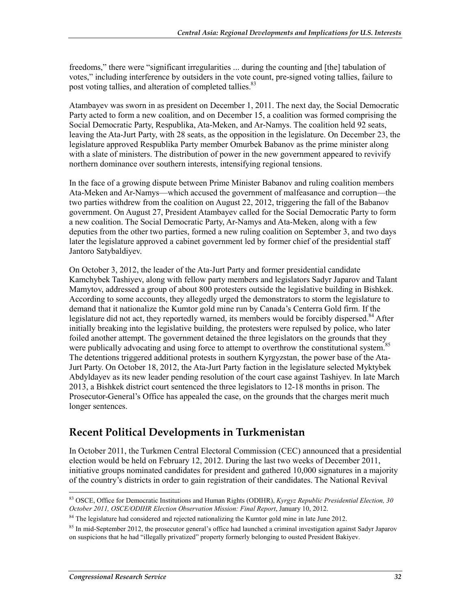freedoms," there were "significant irregularities ... during the counting and [the] tabulation of votes," including interference by outsiders in the vote count, pre-signed voting tallies, failure to post voting tallies, and alteration of completed tallies.<sup>83</sup>

Atambayev was sworn in as president on December 1, 2011. The next day, the Social Democratic Party acted to form a new coalition, and on December 15, a coalition was formed comprising the Social Democratic Party, Respublika, Ata-Meken, and Ar-Namys. The coalition held 92 seats, leaving the Ata-Jurt Party, with 28 seats, as the opposition in the legislature. On December 23, the legislature approved Respublika Party member Omurbek Babanov as the prime minister along with a slate of ministers. The distribution of power in the new government appeared to revivify northern dominance over southern interests, intensifying regional tensions.

In the face of a growing dispute between Prime Minister Babanov and ruling coalition members Ata-Meken and Ar-Namys—which accused the government of malfeasance and corruption—the two parties withdrew from the coalition on August 22, 2012, triggering the fall of the Babanov government. On August 27, President Atambayev called for the Social Democratic Party to form a new coalition. The Social Democratic Party, Ar-Namys and Ata-Meken, along with a few deputies from the other two parties, formed a new ruling coalition on September 3, and two days later the legislature approved a cabinet government led by former chief of the presidential staff Jantoro Satybaldiyev.

On October 3, 2012, the leader of the Ata-Jurt Party and former presidential candidate Kamchybek Tashiyev, along with fellow party members and legislators Sadyr Japarov and Talant Mamytov, addressed a group of about 800 protesters outside the legislative building in Bishkek. According to some accounts, they allegedly urged the demonstrators to storm the legislature to demand that it nationalize the Kumtor gold mine run by Canada's Centerra Gold firm. If the legislature did not act, they reportedly warned, its members would be forcibly dispersed.<sup>84</sup> After initially breaking into the legislative building, the protesters were repulsed by police, who later foiled another attempt. The government detained the three legislators on the grounds that they were publically advocating and using force to attempt to overthrow the constitutional system.<sup>8</sup> The detentions triggered additional protests in southern Kyrgyzstan, the power base of the Ata-Jurt Party. On October 18, 2012, the Ata-Jurt Party faction in the legislature selected Myktybek Abdyldayev as its new leader pending resolution of the court case against Tashiyev. In late March 2013, a Bishkek district court sentenced the three legislators to 12-18 months in prison. The Prosecutor-General's Office has appealed the case, on the grounds that the charges merit much longer sentences.

# **Recent Political Developments in Turkmenistan**

In October 2011, the Turkmen Central Electoral Commission (CEC) announced that a presidential election would be held on February 12, 2012. During the last two weeks of December 2011, initiative groups nominated candidates for president and gathered 10,000 signatures in a majority of the country's districts in order to gain registration of their candidates. The National Revival

<sup>1</sup> 83 OSCE, Office for Democratic Institutions and Human Rights (ODIHR), *Kyrgyz Republic Presidential Election, 30 October 2011, OSCE/ODIHR Election Observation Mission: Final Report*, January 10, 2012.

<sup>&</sup>lt;sup>84</sup> The legislature had considered and rejected nationalizing the Kumtor gold mine in late June 2012.

 $85$  In mid-September 2012, the prosecutor general's office had launched a criminal investigation against Sadyr Japarov on suspicions that he had "illegally privatized" property formerly belonging to ousted President Bakiyev.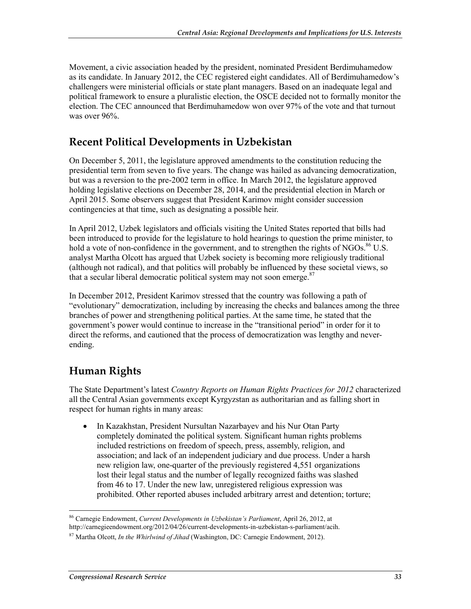Movement, a civic association headed by the president, nominated President Berdimuhamedow as its candidate. In January 2012, the CEC registered eight candidates. All of Berdimuhamedow's challengers were ministerial officials or state plant managers. Based on an inadequate legal and political framework to ensure a pluralistic election, the OSCE decided not to formally monitor the election. The CEC announced that Berdimuhamedow won over 97% of the vote and that turnout was over 96%.

# **Recent Political Developments in Uzbekistan**

On December 5, 2011, the legislature approved amendments to the constitution reducing the presidential term from seven to five years. The change was hailed as advancing democratization, but was a reversion to the pre-2002 term in office. In March 2012, the legislature approved holding legislative elections on December 28, 2014, and the presidential election in March or April 2015. Some observers suggest that President Karimov might consider succession contingencies at that time, such as designating a possible heir.

In April 2012, Uzbek legislators and officials visiting the United States reported that bills had been introduced to provide for the legislature to hold hearings to question the prime minister, to hold a vote of non-confidence in the government, and to strengthen the rights of NGOs.<sup>86</sup> U.S. analyst Martha Olcott has argued that Uzbek society is becoming more religiously traditional (although not radical), and that politics will probably be influenced by these societal views, so that a secular liberal democratic political system may not soon emerge.<sup>87</sup>

In December 2012, President Karimov stressed that the country was following a path of "evolutionary" democratization, including by increasing the checks and balances among the three branches of power and strengthening political parties. At the same time, he stated that the government's power would continue to increase in the "transitional period" in order for it to direct the reforms, and cautioned that the process of democratization was lengthy and neverending.

# **Human Rights**

The State Department's latest *Country Reports on Human Rights Practices for 2012* characterized all the Central Asian governments except Kyrgyzstan as authoritarian and as falling short in respect for human rights in many areas:

• In Kazakhstan, President Nursultan Nazarbayev and his Nur Otan Party completely dominated the political system. Significant human rights problems included restrictions on freedom of speech, press, assembly, religion, and association; and lack of an independent judiciary and due process. Under a harsh new religion law, one-quarter of the previously registered 4,551 organizations lost their legal status and the number of legally recognized faiths was slashed from 46 to 17. Under the new law, unregistered religious expression was prohibited. Other reported abuses included arbitrary arrest and detention; torture;

<sup>1</sup> 86 Carnegie Endowment, *Current Developments in Uzbekistan's Parliament*, April 26, 2012, at http://carnegieendowment.org/2012/04/26/current-developments-in-uzbekistan-s-parliament/acih.

<sup>87</sup> Martha Olcott, *In the Whirlwind of Jihad* (Washington, DC: Carnegie Endowment, 2012).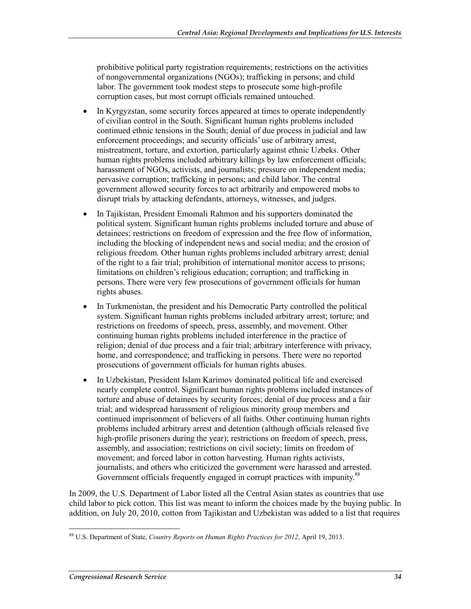prohibitive political party registration requirements; restrictions on the activities of nongovernmental organizations (NGOs); trafficking in persons; and child labor. The government took modest steps to prosecute some high-profile corruption cases, but most corrupt officials remained untouched.

- In Kyrgyzstan, some security forces appeared at times to operate independently of civilian control in the South. Significant human rights problems included continued ethnic tensions in the South; denial of due process in judicial and law enforcement proceedings; and security officials' use of arbitrary arrest, mistreatment, torture, and extortion, particularly against ethnic Uzbeks. Other human rights problems included arbitrary killings by law enforcement officials; harassment of NGOs, activists, and journalists; pressure on independent media; pervasive corruption; trafficking in persons; and child labor. The central government allowed security forces to act arbitrarily and empowered mobs to disrupt trials by attacking defendants, attorneys, witnesses, and judges.
- In Tajikistan, President Emomali Rahmon and his supporters dominated the political system. Significant human rights problems included torture and abuse of detainees; restrictions on freedom of expression and the free flow of information, including the blocking of independent news and social media; and the erosion of religious freedom. Other human rights problems included arbitrary arrest; denial of the right to a fair trial; prohibition of international monitor access to prisons; limitations on children's religious education; corruption; and trafficking in persons. There were very few prosecutions of government officials for human rights abuses.
- In Turkmenistan, the president and his Democratic Party controlled the political system. Significant human rights problems included arbitrary arrest; torture; and restrictions on freedoms of speech, press, assembly, and movement. Other continuing human rights problems included interference in the practice of religion; denial of due process and a fair trial; arbitrary interference with privacy, home, and correspondence; and trafficking in persons. There were no reported prosecutions of government officials for human rights abuses.
- In Uzbekistan, President Islam Karimov dominated political life and exercised nearly complete control. Significant human rights problems included instances of torture and abuse of detainees by security forces; denial of due process and a fair trial; and widespread harassment of religious minority group members and continued imprisonment of believers of all faiths. Other continuing human rights problems included arbitrary arrest and detention (although officials released five high-profile prisoners during the year); restrictions on freedom of speech, press, assembly, and association; restrictions on civil society; limits on freedom of movement; and forced labor in cotton harvesting. Human rights activists, journalists, and others who criticized the government were harassed and arrested. Government officials frequently engaged in corrupt practices with impunity.<sup>88</sup>

In 2009, the U.S. Department of Labor listed all the Central Asian states as countries that use child labor to pick cotton. This list was meant to inform the choices made by the buying public. In addition, on July 20, 2010, cotton from Tajikistan and Uzbekistan was added to a list that requires

<u>.</u>

<sup>88</sup> U.S. Department of State, *Country Reports on Human Rights Practices for 2012*, April 19, 2013.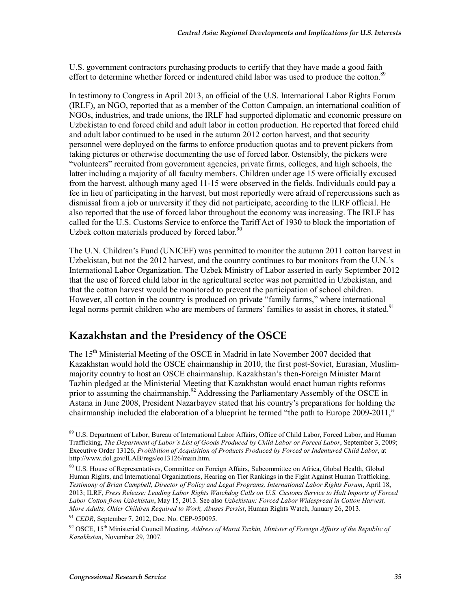U.S. government contractors purchasing products to certify that they have made a good faith effort to determine whether forced or indentured child labor was used to produce the cotton.<sup>89</sup>

In testimony to Congress in April 2013, an official of the U.S. International Labor Rights Forum (IRLF), an NGO, reported that as a member of the Cotton Campaign, an international coalition of NGOs, industries, and trade unions, the IRLF had supported diplomatic and economic pressure on Uzbekistan to end forced child and adult labor in cotton production. He reported that forced child and adult labor continued to be used in the autumn 2012 cotton harvest, and that security personnel were deployed on the farms to enforce production quotas and to prevent pickers from taking pictures or otherwise documenting the use of forced labor. Ostensibly, the pickers were "volunteers" recruited from government agencies, private firms, colleges, and high schools, the latter including a majority of all faculty members. Children under age 15 were officially excused from the harvest, although many aged 11-15 were observed in the fields. Individuals could pay a fee in lieu of participating in the harvest, but most reportedly were afraid of repercussions such as dismissal from a job or university if they did not participate, according to the ILRF official. He also reported that the use of forced labor throughout the economy was increasing. The IRLF has called for the U.S. Customs Service to enforce the Tariff Act of 1930 to block the importation of Uzbek cotton materials produced by forced labor. $90$ 

The U.N. Children's Fund (UNICEF) was permitted to monitor the autumn 2011 cotton harvest in Uzbekistan, but not the 2012 harvest, and the country continues to bar monitors from the U.N.'s International Labor Organization. The Uzbek Ministry of Labor asserted in early September 2012 that the use of forced child labor in the agricultural sector was not permitted in Uzbekistan, and that the cotton harvest would be monitored to prevent the participation of school children. However, all cotton in the country is produced on private "family farms," where international legal norms permit children who are members of farmers' families to assist in chores, it stated.<sup>91</sup>

# **Kazakhstan and the Presidency of the OSCE**

The 15<sup>th</sup> Ministerial Meeting of the OSCE in Madrid in late November 2007 decided that Kazakhstan would hold the OSCE chairmanship in 2010, the first post-Soviet, Eurasian, Muslimmajority country to host an OSCE chairmanship. Kazakhstan's then-Foreign Minister Marat Tazhin pledged at the Ministerial Meeting that Kazakhstan would enact human rights reforms prior to assuming the chairmanship.<sup>92</sup> Addressing the Parliamentary Assembly of the OSCE in Astana in June 2008, President Nazarbayev stated that his country's preparations for holding the chairmanship included the elaboration of a blueprint he termed "the path to Europe 2009-2011,"

<u>.</u>

<sup>&</sup>lt;sup>89</sup> U.S. Department of Labor, Bureau of International Labor Affairs, Office of Child Labor, Forced Labor, and Human Trafficking, *The Department of Labor's List of Goods Produced by Child Labor or Forced Labor*, September 3, 2009; Executive Order 13126, *Prohibition of Acquisition of Products Produced by Forced or Indentured Child Labor*, at http://www.dol.gov/ILAB/regs/eo13126/main.htm.

<sup>90</sup> U.S. House of Representatives, Committee on Foreign Affairs, Subcommittee on Africa, Global Health, Global Human Rights, and International Organizations, Hearing on Tier Rankings in the Fight Against Human Trafficking, *Testimony of Brian Campbell, Director of Policy and Legal Programs, International Labor Rights Forum*, April 18, 2013; ILRF, *Press Release: Leading Labor Rights Watchdog Calls on U.S. Customs Service to Halt Imports of Forced Labor Cotton from Uzbekistan*, May 15, 2013. See also *Uzbekistan: Forced Labor Widespread in Cotton Harvest, More Adults, Older Children Required to Work, Abuses Persist*, Human Rights Watch, January 26, 2013.

<sup>91</sup> *CEDR*, September 7, 2012, Doc. No. CEP-950095.

 $92$  OSCE, 15<sup>th</sup> Ministerial Council Meeting, *Address of Marat Tazhin, Minister of Foreign Affairs of the Republic of Kazakhstan*, November 29, 2007.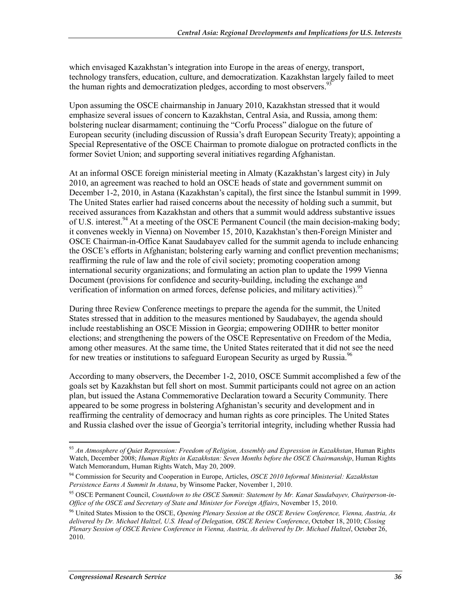which envisaged Kazakhstan's integration into Europe in the areas of energy, transport, technology transfers, education, culture, and democratization. Kazakhstan largely failed to meet the human rights and democratization pledges, according to most observers.  $93$ 

Upon assuming the OSCE chairmanship in January 2010, Kazakhstan stressed that it would emphasize several issues of concern to Kazakhstan, Central Asia, and Russia, among them: bolstering nuclear disarmament; continuing the "Corfu Process" dialogue on the future of European security (including discussion of Russia's draft European Security Treaty); appointing a Special Representative of the OSCE Chairman to promote dialogue on protracted conflicts in the former Soviet Union; and supporting several initiatives regarding Afghanistan.

At an informal OSCE foreign ministerial meeting in Almaty (Kazakhstan's largest city) in July 2010, an agreement was reached to hold an OSCE heads of state and government summit on December 1-2, 2010, in Astana (Kazakhstan's capital), the first since the Istanbul summit in 1999. The United States earlier had raised concerns about the necessity of holding such a summit, but received assurances from Kazakhstan and others that a summit would address substantive issues of U.S. interest.<sup>94</sup> At a meeting of the OSCE Permanent Council (the main decision-making body; it convenes weekly in Vienna) on November 15, 2010, Kazakhstan's then-Foreign Minister and OSCE Chairman-in-Office Kanat Saudabayev called for the summit agenda to include enhancing the OSCE's efforts in Afghanistan; bolstering early warning and conflict prevention mechanisms; reaffirming the rule of law and the role of civil society; promoting cooperation among international security organizations; and formulating an action plan to update the 1999 Vienna Document (provisions for confidence and security-building, including the exchange and verification of information on armed forces, defense policies, and military activities).<sup>95</sup>

During three Review Conference meetings to prepare the agenda for the summit, the United States stressed that in addition to the measures mentioned by Saudabayev, the agenda should include reestablishing an OSCE Mission in Georgia; empowering ODIHR to better monitor elections; and strengthening the powers of the OSCE Representative on Freedom of the Media, among other measures. At the same time, the United States reiterated that it did not see the need for new treaties or institutions to safeguard European Security as urged by Russia.<sup>96</sup>

According to many observers, the December 1-2, 2010, OSCE Summit accomplished a few of the goals set by Kazakhstan but fell short on most. Summit participants could not agree on an action plan, but issued the Astana Commemorative Declaration toward a Security Community. There appeared to be some progress in bolstering Afghanistan's security and development and in reaffirming the centrality of democracy and human rights as core principles. The United States and Russia clashed over the issue of Georgia's territorial integrity, including whether Russia had

<sup>&</sup>lt;u>.</u> <sup>93</sup> *An Atmosphere of Quiet Repression: Freedom of Religion, Assembly and Expression in Kazakhstan*, Human Rights Watch, December 2008; *Human Rights in Kazakhstan: Seven Months before the OSCE Chairmanship*, Human Rights Watch Memorandum, Human Rights Watch, May 20, 2009.

<sup>94</sup> Commission for Security and Cooperation in Europe, Articles, *OSCE 2010 Informal Ministerial: Kazakhstan Persistence Earns A Summit In Astana*, by Winsome Packer, November 1, 2010.

<sup>95</sup> OSCE Permanent Council, *Countdown to the OSCE Summit: Statement by Mr. Kanat Saudabayev, Chairperson-in-Office of the OSCE and Secretary of State and Minister for Foreign Affairs*, November 15, 2010.

<sup>96</sup> United States Mission to the OSCE, *Opening Plenary Session at the OSCE Review Conference, Vienna, Austria, As delivered by Dr. Michael Haltzel, U.S. Head of Delegation, OSCE Review Conference*, October 18, 2010; *Closing Plenary Session of OSCE Review Conference in Vienna, Austria, As delivered by Dr. Michael Haltzel*, October 26, 2010.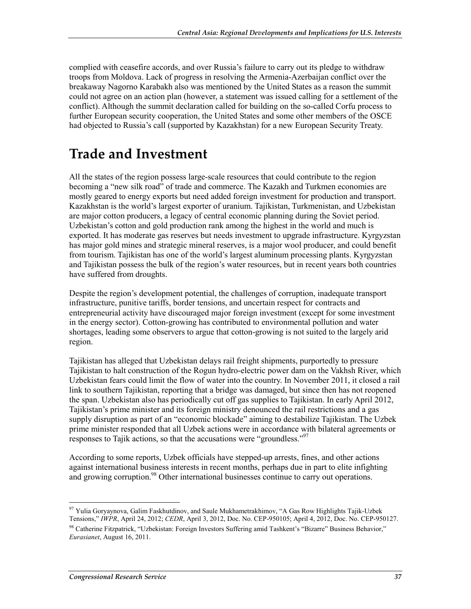complied with ceasefire accords, and over Russia's failure to carry out its pledge to withdraw troops from Moldova. Lack of progress in resolving the Armenia-Azerbaijan conflict over the breakaway Nagorno Karabakh also was mentioned by the United States as a reason the summit could not agree on an action plan (however, a statement was issued calling for a settlement of the conflict). Although the summit declaration called for building on the so-called Corfu process to further European security cooperation, the United States and some other members of the OSCE had objected to Russia's call (supported by Kazakhstan) for a new European Security Treaty.

# **Trade and Investment**

All the states of the region possess large-scale resources that could contribute to the region becoming a "new silk road" of trade and commerce. The Kazakh and Turkmen economies are mostly geared to energy exports but need added foreign investment for production and transport. Kazakhstan is the world's largest exporter of uranium. Tajikistan, Turkmenistan, and Uzbekistan are major cotton producers, a legacy of central economic planning during the Soviet period. Uzbekistan's cotton and gold production rank among the highest in the world and much is exported. It has moderate gas reserves but needs investment to upgrade infrastructure. Kyrgyzstan has major gold mines and strategic mineral reserves, is a major wool producer, and could benefit from tourism. Tajikistan has one of the world's largest aluminum processing plants. Kyrgyzstan and Tajikistan possess the bulk of the region's water resources, but in recent years both countries have suffered from droughts.

Despite the region's development potential, the challenges of corruption, inadequate transport infrastructure, punitive tariffs, border tensions, and uncertain respect for contracts and entrepreneurial activity have discouraged major foreign investment (except for some investment in the energy sector). Cotton-growing has contributed to environmental pollution and water shortages, leading some observers to argue that cotton-growing is not suited to the largely arid region.

Tajikistan has alleged that Uzbekistan delays rail freight shipments, purportedly to pressure Tajikistan to halt construction of the Rogun hydro-electric power dam on the Vakhsh River, which Uzbekistan fears could limit the flow of water into the country. In November 2011, it closed a rail link to southern Tajikistan, reporting that a bridge was damaged, but since then has not reopened the span. Uzbekistan also has periodically cut off gas supplies to Tajikistan. In early April 2012, Tajikistan's prime minister and its foreign ministry denounced the rail restrictions and a gas supply disruption as part of an "economic blockade" aiming to destabilize Tajikistan. The Uzbek prime minister responded that all Uzbek actions were in accordance with bilateral agreements or responses to Tajik actions, so that the accusations were "groundless."<sup>97</sup>

According to some reports, Uzbek officials have stepped-up arrests, fines, and other actions against international business interests in recent months, perhaps due in part to elite infighting and growing corruption.<sup>98</sup> Other international businesses continue to carry out operations.

<sup>1</sup> <sup>97</sup> Yulia Goryaynova, Galim Faskhutdinov, and Saule Mukhametrakhimov, "A Gas Row Highlights Tajik-Uzbek Tensions," *IWPR*, April 24, 2012; *CEDR*, April 3, 2012, Doc. No. CEP-950105; April 4, 2012, Doc. No. CEP-950127. 98 Catherine Fitzpatrick, "Uzbekistan: Foreign Investors Suffering amid Tashkent's "Bizarre" Business Behavior," *Eurasianet*, August 16, 2011.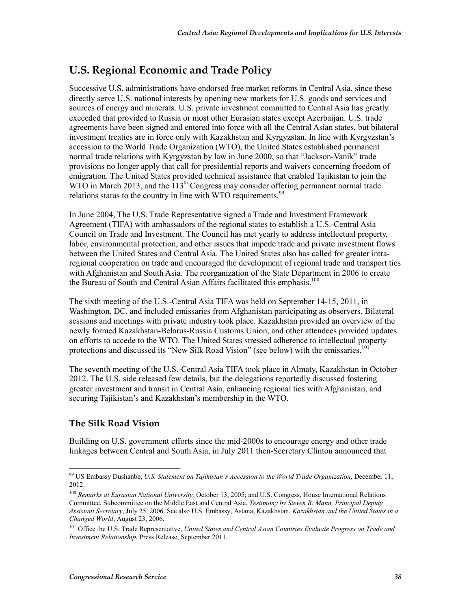# **U.S. Regional Economic and Trade Policy**

Successive U.S. administrations have endorsed free market reforms in Central Asia, since these directly serve U.S. national interests by opening new markets for U.S. goods and services and sources of energy and minerals. U.S. private investment committed to Central Asia has greatly exceeded that provided to Russia or most other Eurasian states except Azerbaijan. U.S. trade agreements have been signed and entered into force with all the Central Asian states, but bilateral investment treaties are in force only with Kazakhstan and Kyrgyzstan. In line with Kyrgyzstan's accession to the World Trade Organization (WTO), the United States established permanent normal trade relations with Kyrgyzstan by law in June 2000, so that "Jackson-Vanik" trade provisions no longer apply that call for presidential reports and waivers concerning freedom of emigration. The United States provided technical assistance that enabled Tajikistan to join the WTO in March 2013, and the  $113<sup>th</sup>$  Congress may consider offering permanent normal trade relations status to the country in line with WTO requirements.<sup>99</sup>

In June 2004, The U.S. Trade Representative signed a Trade and Investment Framework Agreement (TIFA) with ambassadors of the regional states to establish a U.S.-Central Asia Council on Trade and Investment. The Council has met yearly to address intellectual property, labor, environmental protection, and other issues that impede trade and private investment flows between the United States and Central Asia. The United States also has called for greater intraregional cooperation on trade and encouraged the development of regional trade and transport ties with Afghanistan and South Asia. The reorganization of the State Department in 2006 to create the Bureau of South and Central Asian Affairs facilitated this emphasis.<sup>100</sup>

The sixth meeting of the U.S.-Central Asia TIFA was held on September 14-15, 2011, in Washington, DC, and included emissaries from Afghanistan participating as observers. Bilateral sessions and meetings with private industry took place. Kazakhstan provided an overview of the newly formed Kazakhstan-Belarus-Russia Customs Union, and other attendees provided updates on efforts to accede to the WTO. The United States stressed adherence to intellectual property protections and discussed its "New Silk Road Vision" (see below) with the emissaries.<sup>101</sup>

The seventh meeting of the U.S.-Central Asia TIFA took place in Almaty, Kazakhstan in October 2012. The U.S. side released few details, but the delegations reportedly discussed fostering greater investment and transit in Central Asia, enhancing regional ties with Afghanistan, and securing Tajikistan's and Kazakhstan's membership in the WTO.

### **The Silk Road Vision**

Building on U.S. government efforts since the mid-2000s to encourage energy and other trade linkages between Central and South Asia, in July 2011 then-Secretary Clinton announced that

<sup>1</sup> 99 US Embassy Dushanbe, *U.S. Statement on Tajikistan's Accession to the World Trade Organization*, December 11, 2012.

<sup>100</sup> *Remarks at Eurasian National University,* October 13, 2005; and U.S. Congress, House International Relations Committee, Subcommittee on the Middle East and Central Asia, *Testimony by Steven R. Mann, Principal Deputy Assistant Secretary*, July 25, 2006. See also U.S. Embassy, Astana, Kazakhstan, *Kazakhstan and the United States in a Changed World*, August 23, 2006.

<sup>101</sup> Office the U.S. Trade Representative, *United States and Central Asian Countries Evaluate Progress on Trade and Investment Relationship*, Press Release, September 2011.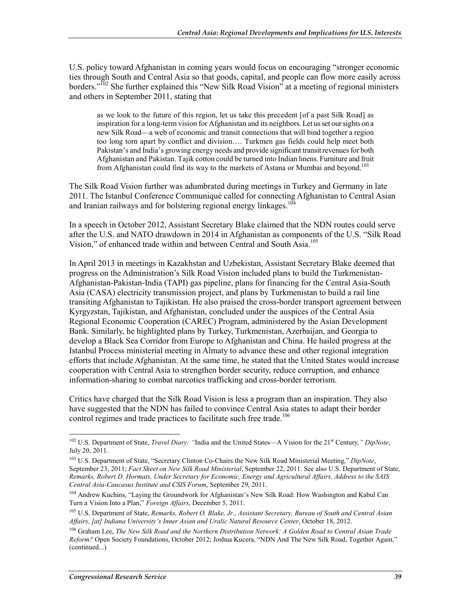U.S. policy toward Afghanistan in coming years would focus on encouraging "stronger economic ties through South and Central Asia so that goods, capital, and people can flow more easily across borders."<sup>102</sup> She further explained this "New Silk Road Vision" at a meeting of regional ministers and others in September 2011, stating that

as we look to the future of this region, let us take this precedent [of a past Silk Road] as inspiration for a long-term vision for Afghanistan and its neighbors. Let us set our sights on a new Silk Road—a web of economic and transit connections that will bind together a region too long torn apart by conflict and division…. Turkmen gas fields could help meet both Pakistan's and India's growing energy needs and provide significant transit revenues for both Afghanistan and Pakistan. Tajik cotton could be turned into Indian linens. Furniture and fruit from Afghanistan could find its way to the markets of Astana or Mumbai and beyond.<sup>103</sup>

The Silk Road Vision further was adumbrated during meetings in Turkey and Germany in late 2011. The Istanbul Conference Communiqué called for connecting Afghanistan to Central Asian and Iranian railways and for bolstering regional energy linkages.<sup>104</sup>

In a speech in October 2012, Assistant Secretary Blake claimed that the NDN routes could serve after the U.S. and NATO drawdown in 2014 in Afghanistan as components of the U.S. "Silk Road Vision," of enhanced trade within and between Central and South Asia.<sup>105</sup>

In April 2013 in meetings in Kazakhstan and Uzbekistan, Assistant Secretary Blake deemed that progress on the Administration's Silk Road Vision included plans to build the Turkmenistan-Afghanistan-Pakistan-India (TAPI) gas pipeline, plans for financing for the Central Asia-South Asia (CASA) electricity transmission project, and plans by Turkmenistan to build a rail line transiting Afghanistan to Tajikistan. He also praised the cross-border transport agreement between Kyrgyzstan, Tajikistan, and Afghanistan, concluded under the auspices of the Central Asia Regional Economic Cooperation (CAREC) Program, administered by the Asian Development Bank. Similarly, he highlighted plans by Turkey, Turkmenistan, Azerbaijan, and Georgia to develop a Black Sea Corridor from Europe to Afghanistan and China. He hailed progress at the Istanbul Process ministerial meeting in Almaty to advance these and other regional integration efforts that include Afghanistan. At the same time, he stated that the United States would increase cooperation with Central Asia to strengthen border security, reduce corruption, and enhance information-sharing to combat narcotics trafficking and cross-border terrorism.

Critics have charged that the Silk Road Vision is less a program than an inspiration. They also have suggested that the NDN has failed to convince Central Asia states to adapt their border control regimes and trade practices to facilitate such free trade.<sup>106</sup>

<sup>102</sup> U.S. Department of State, *Travel Diary: "*India and the United States—A Vision for the 21st Century*," DipNote*, July 20, 2011.

<sup>103</sup> U.S. Department of State, "Secretary Clinton Co-Chairs the New Silk Road Ministerial Meeting," *DipNote*, September 23, 2011; *Fact Sheet on New Silk Road Ministerial*, September 22, 2011. See also U.S. Department of State, *Remarks, Robert D. Hormats, Under Secretary for Economic, Energy and Agricultural Affairs, Address to the SAIS Central Asia-Caucasus Institute and CSIS Forum*, September 29, 2011.

<sup>&</sup>lt;sup>104</sup> Andrew Kuchins, "Laying the Groundwork for Afghanistan's New Silk Road: How Washington and Kabul Can Turn a Vision Into a Plan," *Foreign Affairs*, December 5, 2011.

<sup>105</sup> U.S. Department of State, *Remarks, Robert O. Blake, Jr., Assistant Secretary, Bureau of South and Central Asian Affairs, [at] Indiana University's Inner Asian and Uralic Natural Resource Center*, October 18, 2012.

<sup>106</sup> Graham Lee, *The New Silk Road and the Northern Distribution Network: A Golden Road to Central Asian Trade Reform?* Open Society Foundations, October 2012; Joshua Kucera, "NDN And The New Silk Road, Together Again," (continued...)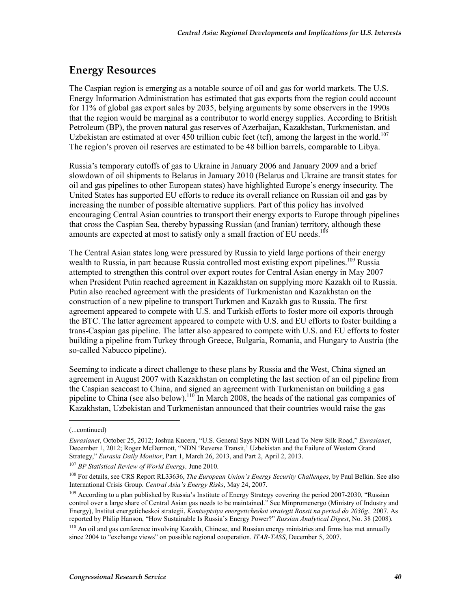# **Energy Resources**

The Caspian region is emerging as a notable source of oil and gas for world markets. The U.S. Energy Information Administration has estimated that gas exports from the region could account for 11% of global gas export sales by 2035, belying arguments by some observers in the 1990s that the region would be marginal as a contributor to world energy supplies. According to British Petroleum (BP), the proven natural gas reserves of Azerbaijan, Kazakhstan, Turkmenistan, and Uzbekistan are estimated at over 450 trillion cubic feet (tcf), among the largest in the world.<sup>107</sup> The region's proven oil reserves are estimated to be 48 billion barrels, comparable to Libya.

Russia's temporary cutoffs of gas to Ukraine in January 2006 and January 2009 and a brief slowdown of oil shipments to Belarus in January 2010 (Belarus and Ukraine are transit states for oil and gas pipelines to other European states) have highlighted Europe's energy insecurity. The United States has supported EU efforts to reduce its overall reliance on Russian oil and gas by increasing the number of possible alternative suppliers. Part of this policy has involved encouraging Central Asian countries to transport their energy exports to Europe through pipelines that cross the Caspian Sea, thereby bypassing Russian (and Iranian) territory, although these amounts are expected at most to satisfy only a small fraction of EU needs.<sup>108</sup>

The Central Asian states long were pressured by Russia to yield large portions of their energy wealth to Russia, in part because Russia controlled most existing export pipelines.<sup>109</sup> Russia attempted to strengthen this control over export routes for Central Asian energy in May 2007 when President Putin reached agreement in Kazakhstan on supplying more Kazakh oil to Russia. Putin also reached agreement with the presidents of Turkmenistan and Kazakhstan on the construction of a new pipeline to transport Turkmen and Kazakh gas to Russia. The first agreement appeared to compete with U.S. and Turkish efforts to foster more oil exports through the BTC. The latter agreement appeared to compete with U.S. and EU efforts to foster building a trans-Caspian gas pipeline. The latter also appeared to compete with U.S. and EU efforts to foster building a pipeline from Turkey through Greece, Bulgaria, Romania, and Hungary to Austria (the so-called Nabucco pipeline).

Seeming to indicate a direct challenge to these plans by Russia and the West, China signed an agreement in August 2007 with Kazakhstan on completing the last section of an oil pipeline from the Caspian seacoast to China, and signed an agreement with Turkmenistan on building a gas pipeline to China (see also below).<sup>110</sup> In March 2008, the heads of the national gas companies of Kazakhstan, Uzbekistan and Turkmenistan announced that their countries would raise the gas

1

<sup>107</sup> *BP Statistical Review of World Energy,* June 2010.

<sup>(...</sup>continued)

*Eurasianet*, October 25, 2012; Joshua Kucera, "U.S. General Says NDN Will Lead To New Silk Road," *Eurasianet*, December 1, 2012; Roger McDermott, "NDN 'Reverse Transit,' Uzbekistan and the Failure of Western Grand Strategy," *Eurasia Daily Monitor*, Part 1, March 26, 2013, and Part 2, April 2, 2013.

<sup>108</sup> For details, see CRS Report RL33636, *The European Union's Energy Security Challenges*, by Paul Belkin. See also International Crisis Group. *Central Asia's Energy Risks*, May 24, 2007.

<sup>&</sup>lt;sup>109</sup> According to a plan published by Russia's Institute of Energy Strategy covering the period 2007-2030, "Russian control over a large share of Central Asian gas needs to be maintained." See Minpromenergo (Ministry of Industry and Energy), Institut energeticheskoi strategii, *Kontseptsiya energeticheskoi strategii Rossii na period do 2030g.,* 2007. As reported by Philip Hanson, "How Sustainable Is Russia's Energy Power?" *Russian Analytical Digest*, No. 38 (2008).

<sup>&</sup>lt;sup>110</sup> An oil and gas conference involving Kazakh, Chinese, and Russian energy ministries and firms has met annually since 2004 to "exchange views" on possible regional cooperation. *ITAR-TASS*, December 5, 2007.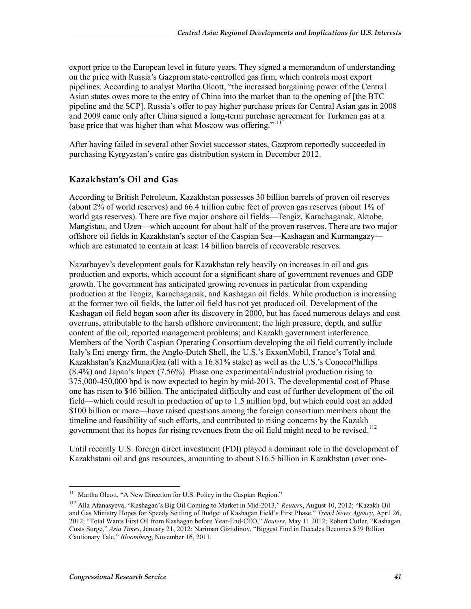export price to the European level in future years. They signed a memorandum of understanding on the price with Russia's Gazprom state-controlled gas firm, which controls most export pipelines. According to analyst Martha Olcott, "the increased bargaining power of the Central Asian states owes more to the entry of China into the market than to the opening of [the BTC pipeline and the SCP]. Russia's offer to pay higher purchase prices for Central Asian gas in 2008 and 2009 came only after China signed a long-term purchase agreement for Turkmen gas at a base price that was higher than what Moscow was offering."<sup>111</sup>

After having failed in several other Soviet successor states, Gazprom reportedly succeeded in purchasing Kyrgyzstan's entire gas distribution system in December 2012.

### **Kazakhstan's Oil and Gas**

According to British Petroleum, Kazakhstan possesses 30 billion barrels of proven oil reserves (about 2% of world reserves) and 66.4 trillion cubic feet of proven gas reserves (about 1% of world gas reserves). There are five major onshore oil fields—Tengiz, Karachaganak, Aktobe, Mangistau, and Uzen—which account for about half of the proven reserves. There are two major offshore oil fields in Kazakhstan's sector of the Caspian Sea—Kashagan and Kurmangazy which are estimated to contain at least 14 billion barrels of recoverable reserves.

Nazarbayev's development goals for Kazakhstan rely heavily on increases in oil and gas production and exports, which account for a significant share of government revenues and GDP growth. The government has anticipated growing revenues in particular from expanding production at the Tengiz, Karachaganak, and Kashagan oil fields. While production is increasing at the former two oil fields, the latter oil field has not yet produced oil. Development of the Kashagan oil field began soon after its discovery in 2000, but has faced numerous delays and cost overruns, attributable to the harsh offshore environment; the high pressure, depth, and sulfur content of the oil; reported management problems; and Kazakh government interference. Members of the North Caspian Operating Consortium developing the oil field currently include Italy's Eni energy firm, the Anglo-Dutch Shell, the U.S.'s ExxonMobil, France's Total and Kazakhstan's KazMunaiGaz (all with a 16.81% stake) as well as the U.S.'s ConocoPhillips (8.4%) and Japan's Inpex (7.56%). Phase one experimental/industrial production rising to 375,000-450,000 bpd is now expected to begin by mid-2013. The developmental cost of Phase one has risen to \$46 billion. The anticipated difficulty and cost of further development of the oil field—which could result in production of up to 1.5 million bpd, but which could cost an added \$100 billion or more—have raised questions among the foreign consortium members about the timeline and feasibility of such efforts, and contributed to rising concerns by the Kazakh government that its hopes for rising revenues from the oil field might need to be revised.<sup>112</sup>

Until recently U.S. foreign direct investment (FDI) played a dominant role in the development of Kazakhstani oil and gas resources, amounting to about \$16.5 billion in Kazakhstan (over one-

<sup>1</sup> <sup>111</sup> Martha Olcott, "A New Direction for U.S. Policy in the Caspian Region."

<sup>112</sup> Alla Afanasyeva, "Kashagan's Big Oil Coming to Market in Mid-2013," *Reuters*, August 10, 2012; "Kazakh Oil and Gas Ministry Hopes for Speedy Settling of Budget of Kashagan Field's First Phase," *Trend News Agency*, April 26, 2012; "Total Wants First Oil from Kashagan before Year-End-CEO," *Reuters*, May 11 2012; Robert Cutler, "Kashagan Costs Surge," *Asia Times*, January 21, 2012; Nariman Gizitdinov, "Biggest Find in Decades Becomes \$39 Billion Cautionary Tale," *Bloomberg*, November 16, 2011.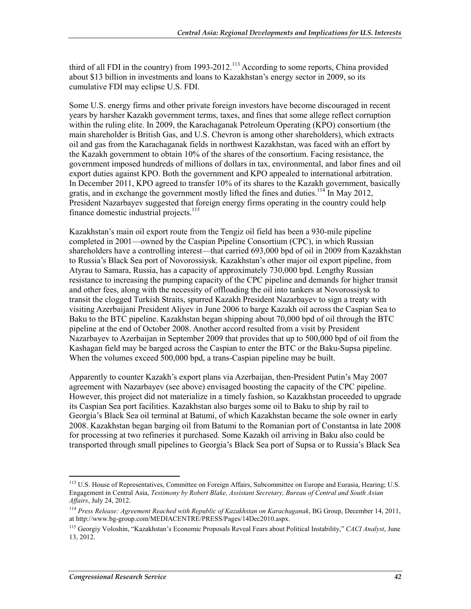third of all FDI in the country) from 1993-2012.<sup>113</sup> According to some reports, China provided about \$13 billion in investments and loans to Kazakhstan's energy sector in 2009, so its cumulative FDI may eclipse U.S. FDI.

Some U.S. energy firms and other private foreign investors have become discouraged in recent years by harsher Kazakh government terms, taxes, and fines that some allege reflect corruption within the ruling elite. In 2009, the Karachaganak Petroleum Operating (KPO) consortium (the main shareholder is British Gas, and U.S. Chevron is among other shareholders), which extracts oil and gas from the Karachaganak fields in northwest Kazakhstan, was faced with an effort by the Kazakh government to obtain 10% of the shares of the consortium. Facing resistance, the government imposed hundreds of millions of dollars in tax, environmental, and labor fines and oil export duties against KPO. Both the government and KPO appealed to international arbitration. In December 2011, KPO agreed to transfer 10% of its shares to the Kazakh government, basically gratis, and in exchange the government mostly lifted the fines and duties.<sup>114</sup> In May 2012, President Nazarbayev suggested that foreign energy firms operating in the country could help finance domestic industrial projects. $115$ 

Kazakhstan's main oil export route from the Tengiz oil field has been a 930-mile pipeline completed in 2001—owned by the Caspian Pipeline Consortium (CPC), in which Russian shareholders have a controlling interest—that carried 693,000 bpd of oil in 2009 from Kazakhstan to Russia's Black Sea port of Novorossiysk. Kazakhstan's other major oil export pipeline, from Atyrau to Samara, Russia, has a capacity of approximately 730,000 bpd. Lengthy Russian resistance to increasing the pumping capacity of the CPC pipeline and demands for higher transit and other fees, along with the necessity of offloading the oil into tankers at Novorossiysk to transit the clogged Turkish Straits, spurred Kazakh President Nazarbayev to sign a treaty with visiting Azerbaijani President Aliyev in June 2006 to barge Kazakh oil across the Caspian Sea to Baku to the BTC pipeline. Kazakhstan began shipping about 70,000 bpd of oil through the BTC pipeline at the end of October 2008. Another accord resulted from a visit by President Nazarbayev to Azerbaijan in September 2009 that provides that up to 500,000 bpd of oil from the Kashagan field may be barged across the Caspian to enter the BTC or the Baku-Supsa pipeline. When the volumes exceed 500,000 bpd, a trans-Caspian pipeline may be built.

Apparently to counter Kazakh's export plans via Azerbaijan, then-President Putin's May 2007 agreement with Nazarbayev (see above) envisaged boosting the capacity of the CPC pipeline. However, this project did not materialize in a timely fashion, so Kazakhstan proceeded to upgrade its Caspian Sea port facilities. Kazakhstan also barges some oil to Baku to ship by rail to Georgia's Black Sea oil terminal at Batumi, of which Kazakhstan became the sole owner in early 2008. Kazakhstan began barging oil from Batumi to the Romanian port of Constantsa in late 2008 for processing at two refineries it purchased. Some Kazakh oil arriving in Baku also could be transported through small pipelines to Georgia's Black Sea port of Supsa or to Russia's Black Sea

<sup>&</sup>lt;sup>113</sup> U.S. House of Representatives, Committee on Foreign Affairs, Subcommittee on Europe and Eurasia, Hearing; U.S. Engagement in Central Asia, *Testimony by Robert Blake, Assistant Secretary, Bureau of Central and South Asian Affairs*, July 24, 2012.

<sup>114</sup> *Press Release: Agreement Reached with Republic of Kazakhstan on Karachaganak*, BG Group, December 14, 2011, at http://www.bg-group.com/MEDIACENTRE/PRESS/Pages/14Dec2010.aspx.

<sup>115</sup> Georgiy Voloshin, "Kazakhstan's Economic Proposals Reveal Fears about Political Instability," *CACI Analyst*, June 13, 2012.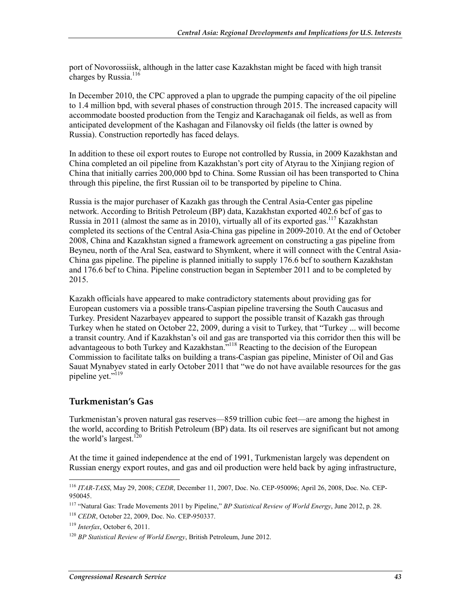port of Novorossiisk, although in the latter case Kazakhstan might be faced with high transit charges by Russia.<sup>116</sup>

In December 2010, the CPC approved a plan to upgrade the pumping capacity of the oil pipeline to 1.4 million bpd, with several phases of construction through 2015. The increased capacity will accommodate boosted production from the Tengiz and Karachaganak oil fields, as well as from anticipated development of the Kashagan and Filanovsky oil fields (the latter is owned by Russia). Construction reportedly has faced delays.

In addition to these oil export routes to Europe not controlled by Russia, in 2009 Kazakhstan and China completed an oil pipeline from Kazakhstan's port city of Atyrau to the Xinjiang region of China that initially carries 200,000 bpd to China. Some Russian oil has been transported to China through this pipeline, the first Russian oil to be transported by pipeline to China.

Russia is the major purchaser of Kazakh gas through the Central Asia-Center gas pipeline network. According to British Petroleum (BP) data, Kazakhstan exported 402.6 bcf of gas to Russia in 2011 (almost the same as in 2010), virtually all of its exported gas.<sup>117</sup> Kazakhstan completed its sections of the Central Asia-China gas pipeline in 2009-2010. At the end of October 2008, China and Kazakhstan signed a framework agreement on constructing a gas pipeline from Beyneu, north of the Aral Sea, eastward to Shymkent, where it will connect with the Central Asia-China gas pipeline. The pipeline is planned initially to supply 176.6 bcf to southern Kazakhstan and 176.6 bcf to China. Pipeline construction began in September 2011 and to be completed by 2015.

Kazakh officials have appeared to make contradictory statements about providing gas for European customers via a possible trans-Caspian pipeline traversing the South Caucasus and Turkey. President Nazarbayev appeared to support the possible transit of Kazakh gas through Turkey when he stated on October 22, 2009, during a visit to Turkey, that "Turkey ... will become a transit country. And if Kazakhstan's oil and gas are transported via this corridor then this will be advantageous to both Turkey and Kazakhstan."<sup>118</sup> Reacting to the decision of the European Commission to facilitate talks on building a trans-Caspian gas pipeline, Minister of Oil and Gas Sauat Mynabyev stated in early October 2011 that "we do not have available resources for the gas pipeline yet."<sup>119</sup>

### **Turkmenistan's Gas**

Turkmenistan's proven natural gas reserves—859 trillion cubic feet—are among the highest in the world, according to British Petroleum (BP) data. Its oil reserves are significant but not among the world's largest.<sup>120</sup>

At the time it gained independence at the end of 1991, Turkmenistan largely was dependent on Russian energy export routes, and gas and oil production were held back by aging infrastructure,

<sup>1</sup> <sup>116</sup> *ITAR-TASS*, May 29, 2008; *CEDR*, December 11, 2007, Doc. No. CEP-950096; April 26, 2008, Doc. No. CEP-950045.

<sup>117 &</sup>quot;Natural Gas: Trade Movements 2011 by Pipeline," *BP Statistical Review of World Energy*, June 2012, p. 28.

<sup>118</sup> *CEDR*, October 22, 2009, Doc. No. CEP-950337.

<sup>119</sup> *Interfax*, October 6, 2011.

<sup>120</sup> *BP Statistical Review of World Energy*, British Petroleum, June 2012.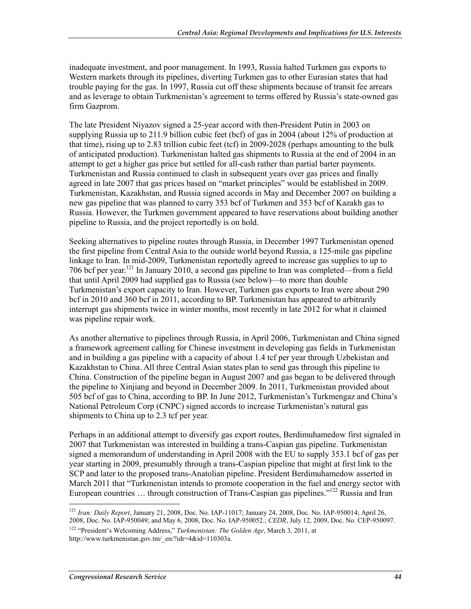inadequate investment, and poor management. In 1993, Russia halted Turkmen gas exports to Western markets through its pipelines, diverting Turkmen gas to other Eurasian states that had trouble paying for the gas. In 1997, Russia cut off these shipments because of transit fee arrears and as leverage to obtain Turkmenistan's agreement to terms offered by Russia's state-owned gas firm Gazprom.

The late President Niyazov signed a 25-year accord with then-President Putin in 2003 on supplying Russia up to 211.9 billion cubic feet (bcf) of gas in 2004 (about 12% of production at that time), rising up to 2.83 trillion cubic feet (tcf) in 2009-2028 (perhaps amounting to the bulk of anticipated production). Turkmenistan halted gas shipments to Russia at the end of 2004 in an attempt to get a higher gas price but settled for all-cash rather than partial barter payments. Turkmenistan and Russia continued to clash in subsequent years over gas prices and finally agreed in late 2007 that gas prices based on "market principles" would be established in 2009. Turkmenistan, Kazakhstan, and Russia signed accords in May and December 2007 on building a new gas pipeline that was planned to carry 353 bcf of Turkmen and 353 bcf of Kazakh gas to Russia. However, the Turkmen government appeared to have reservations about building another pipeline to Russia, and the project reportedly is on hold.

Seeking alternatives to pipeline routes through Russia, in December 1997 Turkmenistan opened the first pipeline from Central Asia to the outside world beyond Russia, a 125-mile gas pipeline linkage to Iran. In mid-2009, Turkmenistan reportedly agreed to increase gas supplies to up to 706 bcf per year.121 In January 2010, a second gas pipeline to Iran was completed—from a field that until April 2009 had supplied gas to Russia (see below)—to more than double Turkmenistan's export capacity to Iran. However, Turkmen gas exports to Iran were about 290 bcf in 2010 and 360 bcf in 2011, according to BP. Turkmenistan has appeared to arbitrarily interrupt gas shipments twice in winter months, most recently in late 2012 for what it claimed was pipeline repair work.

As another alternative to pipelines through Russia, in April 2006, Turkmenistan and China signed a framework agreement calling for Chinese investment in developing gas fields in Turkmenistan and in building a gas pipeline with a capacity of about 1.4 tcf per year through Uzbekistan and Kazakhstan to China. All three Central Asian states plan to send gas through this pipeline to China. Construction of the pipeline began in August 2007 and gas began to be delivered through the pipeline to Xinjiang and beyond in December 2009. In 2011, Turkmenistan provided about 505 bcf of gas to China, according to BP. In June 2012, Turkmenistan's Turkmengaz and China's National Petroleum Corp (CNPC) signed accords to increase Turkmenistan's natural gas shipments to China up to 2.3 tcf per year.

Perhaps in an additional attempt to diversify gas export routes, Berdimuhamedow first signaled in 2007 that Turkmenistan was interested in building a trans-Caspian gas pipeline. Turkmenistan signed a memorandum of understanding in April 2008 with the EU to supply 353.1 bcf of gas per year starting in 2009, presumably through a trans-Caspian pipeline that might at first link to the SCP and later to the proposed trans-Anatolian pipeline. President Berdimuhamedow asserted in March 2011 that "Turkmenistan intends to promote cooperation in the fuel and energy sector with European countries ... through construction of Trans-Caspian gas pipelines.<sup>"122</sup> Russia and Iran

<sup>&</sup>lt;u>.</u> <sup>121</sup> *Iran: Daily Report*, January 21, 2008, Doc. No. IAP-11017; January 24, 2008, Doc. No. IAP-950014; April 26, 2008, Doc. No. IAP-950049; and May 6, 2008, Doc. No. IAP-950052.; *CEDR*, July 12, 2009, Doc. No. CEP-950097. 122 "President's Welcoming Address," *Turkmenistan: The Golden Age*, March 3, 2011, at http://www.turkmenistan.gov.tm/\_en/?idr=4&id=110303a.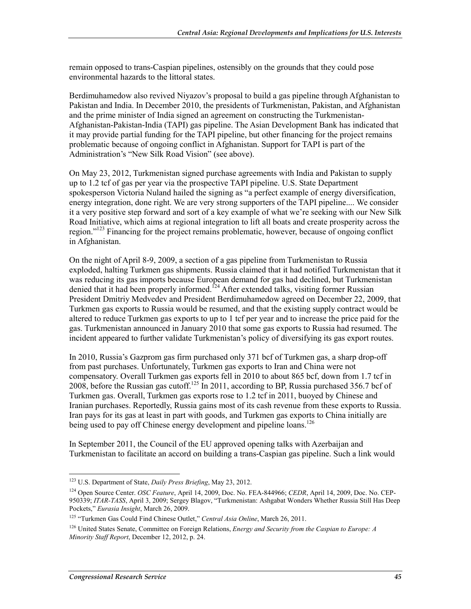remain opposed to trans-Caspian pipelines, ostensibly on the grounds that they could pose environmental hazards to the littoral states.

Berdimuhamedow also revived Niyazov's proposal to build a gas pipeline through Afghanistan to Pakistan and India. In December 2010, the presidents of Turkmenistan, Pakistan, and Afghanistan and the prime minister of India signed an agreement on constructing the Turkmenistan-Afghanistan-Pakistan-India (TAPI) gas pipeline. The Asian Development Bank has indicated that it may provide partial funding for the TAPI pipeline, but other financing for the project remains problematic because of ongoing conflict in Afghanistan. Support for TAPI is part of the Administration's "New Silk Road Vision" (see above).

On May 23, 2012, Turkmenistan signed purchase agreements with India and Pakistan to supply up to 1.2 tcf of gas per year via the prospective TAPI pipeline. U.S. State Department spokesperson Victoria Nuland hailed the signing as "a perfect example of energy diversification, energy integration, done right. We are very strong supporters of the TAPI pipeline.... We consider it a very positive step forward and sort of a key example of what we're seeking with our New Silk Road Initiative, which aims at regional integration to lift all boats and create prosperity across the region."<sup>123</sup> Financing for the project remains problematic, however, because of ongoing conflict in Afghanistan.

On the night of April 8-9, 2009, a section of a gas pipeline from Turkmenistan to Russia exploded, halting Turkmen gas shipments. Russia claimed that it had notified Turkmenistan that it was reducing its gas imports because European demand for gas had declined, but Turkmenistan denied that it had been properly informed.<sup>124</sup> After extended talks, visiting former Russian President Dmitriy Medvedev and President Berdimuhamedow agreed on December 22, 2009, that Turkmen gas exports to Russia would be resumed, and that the existing supply contract would be altered to reduce Turkmen gas exports to up to 1 tcf per year and to increase the price paid for the gas. Turkmenistan announced in January 2010 that some gas exports to Russia had resumed. The incident appeared to further validate Turkmenistan's policy of diversifying its gas export routes.

In 2010, Russia's Gazprom gas firm purchased only 371 bcf of Turkmen gas, a sharp drop-off from past purchases. Unfortunately, Turkmen gas exports to Iran and China were not compensatory. Overall Turkmen gas exports fell in 2010 to about 865 bcf, down from 1.7 tcf in 2008, before the Russian gas cutoff.<sup>125</sup> In 2011, according to BP, Russia purchased 356.7 bcf of Turkmen gas. Overall, Turkmen gas exports rose to 1.2 tcf in 2011, buoyed by Chinese and Iranian purchases. Reportedly, Russia gains most of its cash revenue from these exports to Russia. Iran pays for its gas at least in part with goods, and Turkmen gas exports to China initially are being used to pay off Chinese energy development and pipeline loans.<sup>126</sup>

In September 2011, the Council of the EU approved opening talks with Azerbaijan and Turkmenistan to facilitate an accord on building a trans-Caspian gas pipeline. Such a link would

<sup>1</sup> 123 U.S. Department of State, *Daily Press Briefing*, May 23, 2012.

<sup>124</sup> Open Source Center. *OSC Feature*, April 14, 2009, Doc. No. FEA-844966; *CEDR*, April 14, 2009, Doc. No. CEP-950339; *ITAR-TASS*, April 3, 2009; Sergey Blagov, "Turkmenistan: Ashgabat Wonders Whether Russia Still Has Deep Pockets," *Eurasia Insight*, March 26, 2009.

<sup>125 &</sup>quot;Turkmen Gas Could Find Chinese Outlet," *Central Asia Online*, March 26, 2011.

<sup>126</sup> United States Senate, Committee on Foreign Relations, *Energy and Security from the Caspian to Europe: A Minority Staff Report*, December 12, 2012, p. 24.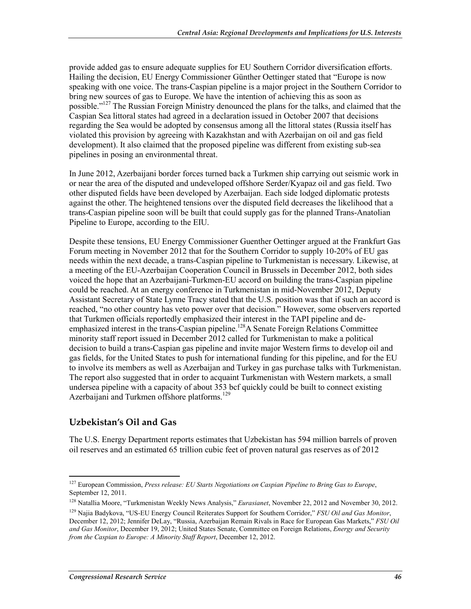provide added gas to ensure adequate supplies for EU Southern Corridor diversification efforts. Hailing the decision, EU Energy Commissioner Günther Oettinger stated that "Europe is now speaking with one voice. The trans-Caspian pipeline is a major project in the Southern Corridor to bring new sources of gas to Europe. We have the intention of achieving this as soon as possible."<sup>127</sup> The Russian Foreign Ministry denounced the plans for the talks, and claimed that the Caspian Sea littoral states had agreed in a declaration issued in October 2007 that decisions regarding the Sea would be adopted by consensus among all the littoral states (Russia itself has violated this provision by agreeing with Kazakhstan and with Azerbaijan on oil and gas field development). It also claimed that the proposed pipeline was different from existing sub-sea pipelines in posing an environmental threat.

In June 2012, Azerbaijani border forces turned back a Turkmen ship carrying out seismic work in or near the area of the disputed and undeveloped offshore Serder/Kyapaz oil and gas field. Two other disputed fields have been developed by Azerbaijan. Each side lodged diplomatic protests against the other. The heightened tensions over the disputed field decreases the likelihood that a trans-Caspian pipeline soon will be built that could supply gas for the planned Trans-Anatolian Pipeline to Europe, according to the EIU.

Despite these tensions, EU Energy Commissioner Guenther Oettinger argued at the Frankfurt Gas Forum meeting in November 2012 that for the Southern Corridor to supply 10-20% of EU gas needs within the next decade, a trans-Caspian pipeline to Turkmenistan is necessary. Likewise, at a meeting of the EU-Azerbaijan Cooperation Council in Brussels in December 2012, both sides voiced the hope that an Azerbaijani-Turkmen-EU accord on building the trans-Caspian pipeline could be reached. At an energy conference in Turkmenistan in mid-November 2012, Deputy Assistant Secretary of State Lynne Tracy stated that the U.S. position was that if such an accord is reached, "no other country has veto power over that decision." However, some observers reported that Turkmen officials reportedly emphasized their interest in the TAPI pipeline and deemphasized interest in the trans-Caspian pipeline.<sup>128</sup>A Senate Foreign Relations Committee minority staff report issued in December 2012 called for Turkmenistan to make a political decision to build a trans-Caspian gas pipeline and invite major Western firms to develop oil and gas fields, for the United States to push for international funding for this pipeline, and for the EU to involve its members as well as Azerbaijan and Turkey in gas purchase talks with Turkmenistan. The report also suggested that in order to acquaint Turkmenistan with Western markets, a small undersea pipeline with a capacity of about 353 bcf quickly could be built to connect existing Azerbaijani and Turkmen offshore platforms.<sup>129</sup>

### **Uzbekistan's Oil and Gas**

1

The U.S. Energy Department reports estimates that Uzbekistan has 594 million barrels of proven oil reserves and an estimated 65 trillion cubic feet of proven natural gas reserves as of 2012

<sup>127</sup> European Commission, *Press release: EU Starts Negotiations on Caspian Pipeline to Bring Gas to Europe*, September 12, 2011.

<sup>128</sup> Natallia Moore, "Turkmenistan Weekly News Analysis," *Eurasianet*, November 22, 2012 and November 30, 2012.

<sup>129</sup> Najia Badykova, "US-EU Energy Council Reiterates Support for Southern Corridor," *FSU Oil and Gas Monitor*, December 12, 2012; Jennifer DeLay, "Russia, Azerbaijan Remain Rivals in Race for European Gas Markets," *FSU Oil and Gas Monitor*, December 19, 2012; United States Senate, Committee on Foreign Relations, *Energy and Security from the Caspian to Europe: A Minority Staff Report*, December 12, 2012.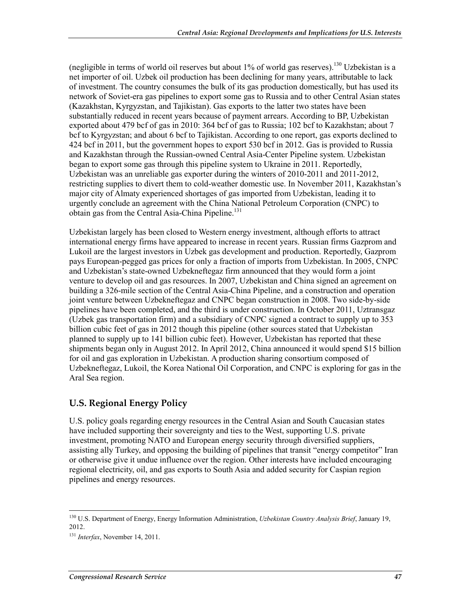(negligible in terms of world oil reserves but about  $1\%$  of world gas reserves).<sup>130</sup> Uzbekistan is a net importer of oil. Uzbek oil production has been declining for many years, attributable to lack of investment. The country consumes the bulk of its gas production domestically, but has used its network of Soviet-era gas pipelines to export some gas to Russia and to other Central Asian states (Kazakhstan, Kyrgyzstan, and Tajikistan). Gas exports to the latter two states have been substantially reduced in recent years because of payment arrears. According to BP, Uzbekistan exported about 479 bcf of gas in 2010: 364 bcf of gas to Russia; 102 bcf to Kazakhstan; about 7 bcf to Kyrgyzstan; and about 6 bcf to Tajikistan. According to one report, gas exports declined to 424 bcf in 2011, but the government hopes to export 530 bcf in 2012. Gas is provided to Russia and Kazakhstan through the Russian-owned Central Asia-Center Pipeline system. Uzbekistan began to export some gas through this pipeline system to Ukraine in 2011. Reportedly, Uzbekistan was an unreliable gas exporter during the winters of 2010-2011 and 2011-2012, restricting supplies to divert them to cold-weather domestic use. In November 2011, Kazakhstan's major city of Almaty experienced shortages of gas imported from Uzbekistan, leading it to urgently conclude an agreement with the China National Petroleum Corporation (CNPC) to obtain gas from the Central Asia-China Pipeline.<sup>131</sup>

Uzbekistan largely has been closed to Western energy investment, although efforts to attract international energy firms have appeared to increase in recent years. Russian firms Gazprom and Lukoil are the largest investors in Uzbek gas development and production. Reportedly, Gazprom pays European-pegged gas prices for only a fraction of imports from Uzbekistan. In 2005, CNPC and Uzbekistan's state-owned Uzbekneftegaz firm announced that they would form a joint venture to develop oil and gas resources. In 2007, Uzbekistan and China signed an agreement on building a 326-mile section of the Central Asia-China Pipeline, and a construction and operation joint venture between Uzbekneftegaz and CNPC began construction in 2008. Two side-by-side pipelines have been completed, and the third is under construction. In October 2011, Uztransgaz (Uzbek gas transportation firm) and a subsidiary of CNPC signed a contract to supply up to 353 billion cubic feet of gas in 2012 though this pipeline (other sources stated that Uzbekistan planned to supply up to 141 billion cubic feet). However, Uzbekistan has reported that these shipments began only in August 2012. In April 2012, China announced it would spend \$15 billion for oil and gas exploration in Uzbekistan. A production sharing consortium composed of Uzbekneftegaz, Lukoil, the Korea National Oil Corporation, and CNPC is exploring for gas in the Aral Sea region.

### **U.S. Regional Energy Policy**

U.S. policy goals regarding energy resources in the Central Asian and South Caucasian states have included supporting their sovereignty and ties to the West, supporting U.S. private investment, promoting NATO and European energy security through diversified suppliers, assisting ally Turkey, and opposing the building of pipelines that transit "energy competitor" Iran or otherwise give it undue influence over the region. Other interests have included encouraging regional electricity, oil, and gas exports to South Asia and added security for Caspian region pipelines and energy resources.

<sup>130</sup> U.S. Department of Energy, Energy Information Administration, *Uzbekistan Country Analysis Brief*, January 19, 2012.

<sup>131</sup> *Interfax*, November 14, 2011.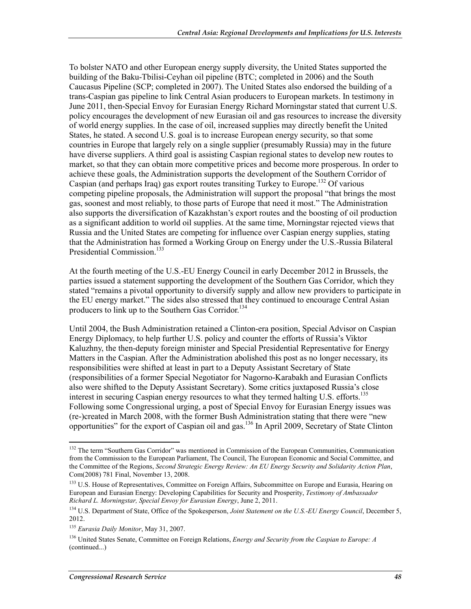To bolster NATO and other European energy supply diversity, the United States supported the building of the Baku-Tbilisi-Ceyhan oil pipeline (BTC; completed in 2006) and the South Caucasus Pipeline (SCP; completed in 2007). The United States also endorsed the building of a trans-Caspian gas pipeline to link Central Asian producers to European markets. In testimony in June 2011, then-Special Envoy for Eurasian Energy Richard Morningstar stated that current U.S. policy encourages the development of new Eurasian oil and gas resources to increase the diversity of world energy supplies. In the case of oil, increased supplies may directly benefit the United States, he stated. A second U.S. goal is to increase European energy security, so that some countries in Europe that largely rely on a single supplier (presumably Russia) may in the future have diverse suppliers. A third goal is assisting Caspian regional states to develop new routes to market, so that they can obtain more competitive prices and become more prosperous. In order to achieve these goals, the Administration supports the development of the Southern Corridor of Caspian (and perhaps Iraq) gas export routes transiting Turkey to Europe.<sup>132</sup> Of various competing pipeline proposals, the Administration will support the proposal "that brings the most gas, soonest and most reliably, to those parts of Europe that need it most." The Administration also supports the diversification of Kazakhstan's export routes and the boosting of oil production as a significant addition to world oil supplies. At the same time, Morningstar rejected views that Russia and the United States are competing for influence over Caspian energy supplies, stating that the Administration has formed a Working Group on Energy under the U.S.-Russia Bilateral Presidential Commission.<sup>133</sup>

At the fourth meeting of the U.S.-EU Energy Council in early December 2012 in Brussels, the parties issued a statement supporting the development of the Southern Gas Corridor, which they stated "remains a pivotal opportunity to diversify supply and allow new providers to participate in the EU energy market." The sides also stressed that they continued to encourage Central Asian producers to link up to the Southern Gas Corridor.<sup>134</sup>

Until 2004, the Bush Administration retained a Clinton-era position, Special Advisor on Caspian Energy Diplomacy, to help further U.S. policy and counter the efforts of Russia's Viktor Kaluzhny, the then-deputy foreign minister and Special Presidential Representative for Energy Matters in the Caspian. After the Administration abolished this post as no longer necessary, its responsibilities were shifted at least in part to a Deputy Assistant Secretary of State (responsibilities of a former Special Negotiator for Nagorno-Karabakh and Eurasian Conflicts also were shifted to the Deputy Assistant Secretary). Some critics juxtaposed Russia's close interest in securing Caspian energy resources to what they termed halting U.S. efforts.<sup>135</sup> Following some Congressional urging, a post of Special Envoy for Eurasian Energy issues was (re-)created in March 2008, with the former Bush Administration stating that there were "new opportunities" for the export of Caspian oil and gas.136 In April 2009, Secretary of State Clinton

<sup>&</sup>lt;u>.</u> <sup>132</sup> The term "Southern Gas Corridor" was mentioned in Commission of the European Communities, Communication from the Commission to the European Parliament, The Council, The European Economic and Social Committee, and the Committee of the Regions, *Second Strategic Energy Review: An EU Energy Security and Solidarity Action Plan*, Com(2008) 781 Final, November 13, 2008.

<sup>&</sup>lt;sup>133</sup> U.S. House of Representatives, Committee on Foreign Affairs, Subcommittee on Europe and Eurasia, Hearing on European and Eurasian Energy: Developing Capabilities for Security and Prosperity, *Testimony of Ambassador Richard L. Morningstar, Special Envoy for Eurasian Energy*, June 2, 2011.

<sup>&</sup>lt;sup>134</sup> U.S. Department of State, Office of the Spokesperson, *Joint Statement on the U.S.-EU Energy Council*, December 5, 2012.

<sup>135</sup> *Eurasia Daily Monitor*, May 31, 2007.

<sup>136</sup> United States Senate, Committee on Foreign Relations, *Energy and Security from the Caspian to Europe: A*  (continued...)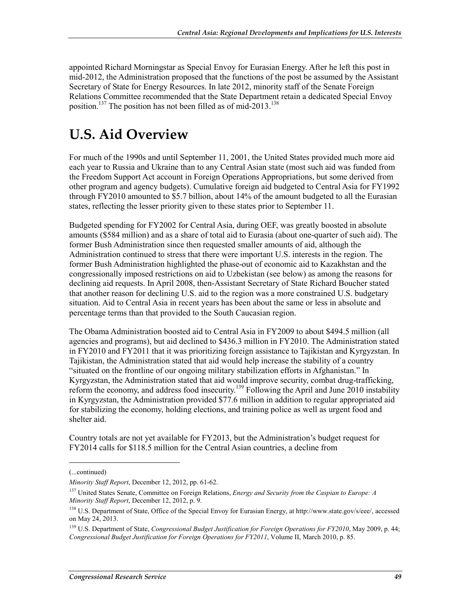appointed Richard Morningstar as Special Envoy for Eurasian Energy. After he left this post in mid-2012, the Administration proposed that the functions of the post be assumed by the Assistant Secretary of State for Energy Resources. In late 2012, minority staff of the Senate Foreign Relations Committee recommended that the State Department retain a dedicated Special Envoy position.<sup>137</sup> The position has not been filled as of mid-2013.<sup>138</sup>

# **U.S. Aid Overview**

For much of the 1990s and until September 11, 2001, the United States provided much more aid each year to Russia and Ukraine than to any Central Asian state (most such aid was funded from the Freedom Support Act account in Foreign Operations Appropriations, but some derived from other program and agency budgets). Cumulative foreign aid budgeted to Central Asia for FY1992 through FY2010 amounted to \$5.7 billion, about 14% of the amount budgeted to all the Eurasian states, reflecting the lesser priority given to these states prior to September 11.

Budgeted spending for FY2002 for Central Asia, during OEF, was greatly boosted in absolute amounts (\$584 million) and as a share of total aid to Eurasia (about one-quarter of such aid). The former Bush Administration since then requested smaller amounts of aid, although the Administration continued to stress that there were important U.S. interests in the region. The former Bush Administration highlighted the phase-out of economic aid to Kazakhstan and the congressionally imposed restrictions on aid to Uzbekistan (see below) as among the reasons for declining aid requests. In April 2008, then-Assistant Secretary of State Richard Boucher stated that another reason for declining U.S. aid to the region was a more constrained U.S. budgetary situation. Aid to Central Asia in recent years has been about the same or less in absolute and percentage terms than that provided to the South Caucasian region.

The Obama Administration boosted aid to Central Asia in FY2009 to about \$494.5 million (all agencies and programs), but aid declined to \$436.3 million in FY2010. The Administration stated in FY2010 and FY2011 that it was prioritizing foreign assistance to Tajikistan and Kyrgyzstan. In Tajikistan, the Administration stated that aid would help increase the stability of a country "situated on the frontline of our ongoing military stabilization efforts in Afghanistan." In Kyrgyzstan, the Administration stated that aid would improve security, combat drug-trafficking, reform the economy, and address food insecurity.<sup>139</sup> Following the April and June 2010 instability in Kyrgyzstan, the Administration provided \$77.6 million in addition to regular appropriated aid for stabilizing the economy, holding elections, and training police as well as urgent food and shelter aid.

Country totals are not yet available for FY2013, but the Administration's budget request for FY2014 calls for \$118.5 million for the Central Asian countries, a decline from

<sup>(...</sup>continued)

*Minority Staff Report*, December 12, 2012, pp. 61-62.

<sup>137</sup> United States Senate, Committee on Foreign Relations, *Energy and Security from the Caspian to Europe: A Minority Staff Report*, December 12, 2012, p. 9.

<sup>&</sup>lt;sup>138</sup> U.S. Department of State, Office of the Special Envoy for Eurasian Energy, at http://www.state.gov/s/eee/, accessed on May 24, 2013.

<sup>139</sup> U.S. Department of State, *Congressional Budget Justification for Foreign Operations for FY2010*, May 2009, p. 44; *Congressional Budget Justification for Foreign Operations for FY2011*, Volume II, March 2010, p. 85.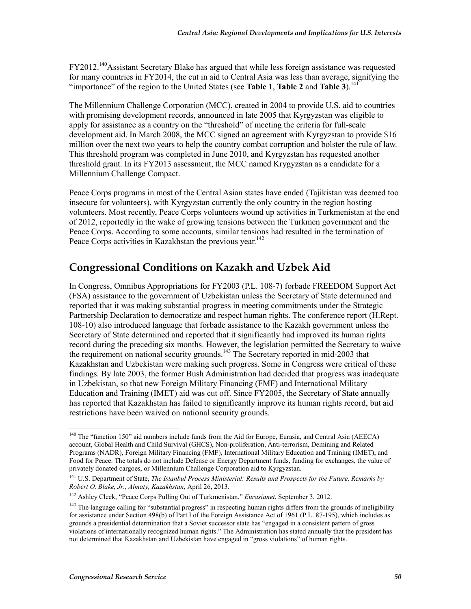FY2012.<sup>140</sup>Assistant Secretary Blake has argued that while less foreign assistance was requested for many countries in FY2014, the cut in aid to Central Asia was less than average, signifying the "importance" of the region to the United States (see **Table 1, Table 2** and **Table 3**).<sup>141</sup>

The Millennium Challenge Corporation (MCC), created in 2004 to provide U.S. aid to countries with promising development records, announced in late 2005 that Kyrgyzstan was eligible to apply for assistance as a country on the "threshold" of meeting the criteria for full-scale development aid. In March 2008, the MCC signed an agreement with Kyrgyzstan to provide \$16 million over the next two years to help the country combat corruption and bolster the rule of law. This threshold program was completed in June 2010, and Kyrgyzstan has requested another threshold grant. In its FY2013 assessment, the MCC named Krygyzstan as a candidate for a Millennium Challenge Compact.

Peace Corps programs in most of the Central Asian states have ended (Tajikistan was deemed too insecure for volunteers), with Kyrgyzstan currently the only country in the region hosting volunteers. Most recently, Peace Corps volunteers wound up activities in Turkmenistan at the end of 2012, reportedly in the wake of growing tensions between the Turkmen government and the Peace Corps. According to some accounts, similar tensions had resulted in the termination of Peace Corps activities in Kazakhstan the previous year.<sup>142</sup>

# **Congressional Conditions on Kazakh and Uzbek Aid**

In Congress, Omnibus Appropriations for FY2003 (P.L. 108-7) forbade FREEDOM Support Act (FSA) assistance to the government of Uzbekistan unless the Secretary of State determined and reported that it was making substantial progress in meeting commitments under the Strategic Partnership Declaration to democratize and respect human rights. The conference report (H.Rept. 108-10) also introduced language that forbade assistance to the Kazakh government unless the Secretary of State determined and reported that it significantly had improved its human rights record during the preceding six months. However, the legislation permitted the Secretary to waive the requirement on national security grounds.<sup>143</sup> The Secretary reported in mid-2003 that Kazakhstan and Uzbekistan were making such progress. Some in Congress were critical of these findings. By late 2003, the former Bush Administration had decided that progress was inadequate in Uzbekistan, so that new Foreign Military Financing (FMF) and International Military Education and Training (IMET) aid was cut off. Since FY2005, the Secretary of State annually has reported that Kazakhstan has failed to significantly improve its human rights record, but aid restrictions have been waived on national security grounds.

<sup>&</sup>lt;u>.</u> <sup>140</sup> The "function 150" aid numbers include funds from the Aid for Europe, Eurasia, and Central Asia (AEECA) account, Global Health and Child Survival (GHCS), Non-proliferation, Anti-terrorism, Demining and Related Programs (NADR), Foreign Military Financing (FMF), International Military Education and Training (IMET), and Food for Peace. The totals do not include Defense or Energy Department funds, funding for exchanges, the value of privately donated cargoes, or Millennium Challenge Corporation aid to Kyrgyzstan.

<sup>141</sup> U.S. Department of State, *The Istanbul Process Ministerial: Results and Prospects for the Future, Remarks by Robert O. Blake, Jr., Almaty, Kazakhstan*, April 26, 2013.

<sup>142</sup> Ashley Cleek, "Peace Corps Pulling Out of Turkmenistan," *Eurasianet*, September 3, 2012.

<sup>&</sup>lt;sup>143</sup> The language calling for "substantial progress" in respecting human rights differs from the grounds of ineligibility for assistance under Section 498(b) of Part I of the Foreign Assistance Act of 1961 (P.L. 87-195), which includes as grounds a presidential determination that a Soviet successor state has "engaged in a consistent pattern of gross violations of internationally recognized human rights." The Administration has stated annually that the president has not determined that Kazakhstan and Uzbekistan have engaged in "gross violations" of human rights.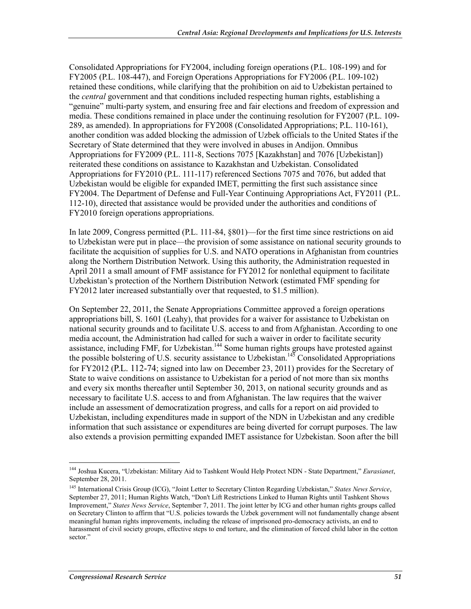Consolidated Appropriations for FY2004, including foreign operations (P.L. 108-199) and for FY2005 (P.L. 108-447), and Foreign Operations Appropriations for FY2006 (P.L. 109-102) retained these conditions, while clarifying that the prohibition on aid to Uzbekistan pertained to the *central* government and that conditions included respecting human rights, establishing a "genuine" multi-party system, and ensuring free and fair elections and freedom of expression and media. These conditions remained in place under the continuing resolution for FY2007 (P.L. 109- 289, as amended). In appropriations for FY2008 (Consolidated Appropriations; P.L. 110-161), another condition was added blocking the admission of Uzbek officials to the United States if the Secretary of State determined that they were involved in abuses in Andijon. Omnibus Appropriations for FY2009 (P.L. 111-8, Sections 7075 [Kazakhstan] and 7076 [Uzbekistan]) reiterated these conditions on assistance to Kazakhstan and Uzbekistan. Consolidated Appropriations for FY2010 (P.L. 111-117) referenced Sections 7075 and 7076, but added that Uzbekistan would be eligible for expanded IMET, permitting the first such assistance since FY2004. The Department of Defense and Full-Year Continuing Appropriations Act, FY2011 (P.L. 112-10), directed that assistance would be provided under the authorities and conditions of FY2010 foreign operations appropriations.

In late 2009, Congress permitted (P.L. 111-84, §801)—for the first time since restrictions on aid to Uzbekistan were put in place—the provision of some assistance on national security grounds to facilitate the acquisition of supplies for U.S. and NATO operations in Afghanistan from countries along the Northern Distribution Network. Using this authority, the Administration requested in April 2011 a small amount of FMF assistance for FY2012 for nonlethal equipment to facilitate Uzbekistan's protection of the Northern Distribution Network (estimated FMF spending for FY2012 later increased substantially over that requested, to \$1.5 million).

On September 22, 2011, the Senate Appropriations Committee approved a foreign operations appropriations bill, S. 1601 (Leahy), that provides for a waiver for assistance to Uzbekistan on national security grounds and to facilitate U.S. access to and from Afghanistan. According to one media account, the Administration had called for such a waiver in order to facilitate security assistance, including FMF, for Uzbekistan.<sup>144</sup> Some human rights groups have protested against the possible bolstering of U.S. security assistance to Uzbekistan.<sup>145</sup> Consolidated Appropriations for FY2012 (P.L. 112-74; signed into law on December 23, 2011) provides for the Secretary of State to waive conditions on assistance to Uzbekistan for a period of not more than six months and every six months thereafter until September 30, 2013, on national security grounds and as necessary to facilitate U.S. access to and from Afghanistan. The law requires that the waiver include an assessment of democratization progress, and calls for a report on aid provided to Uzbekistan, including expenditures made in support of the NDN in Uzbekistan and any credible information that such assistance or expenditures are being diverted for corrupt purposes. The law also extends a provision permitting expanded IMET assistance for Uzbekistan. Soon after the bill

<sup>1</sup> 144 Joshua Kucera, "Uzbekistan: Military Aid to Tashkent Would Help Protect NDN - State Department," *Eurasianet*, September 28, 2011.

<sup>145</sup> International Crisis Group (ICG), "Joint Letter to Secretary Clinton Regarding Uzbekistan," *States News Service*, September 27, 2011; Human Rights Watch, "Don't Lift Restrictions Linked to Human Rights until Tashkent Shows Improvement," *States News Service*, September 7, 2011. The joint letter by ICG and other human rights groups called on Secretary Clinton to affirm that "U.S. policies towards the Uzbek government will not fundamentally change absent meaningful human rights improvements, including the release of imprisoned pro-democracy activists, an end to harassment of civil society groups, effective steps to end torture, and the elimination of forced child labor in the cotton sector."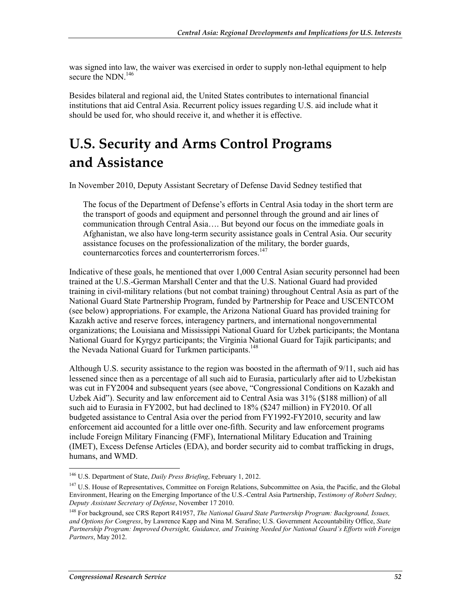was signed into law, the waiver was exercised in order to supply non-lethal equipment to help secure the NDN.<sup>146</sup>

Besides bilateral and regional aid, the United States contributes to international financial institutions that aid Central Asia. Recurrent policy issues regarding U.S. aid include what it should be used for, who should receive it, and whether it is effective.

# **U.S. Security and Arms Control Programs and Assistance**

In November 2010, Deputy Assistant Secretary of Defense David Sedney testified that

The focus of the Department of Defense's efforts in Central Asia today in the short term are the transport of goods and equipment and personnel through the ground and air lines of communication through Central Asia…. But beyond our focus on the immediate goals in Afghanistan, we also have long-term security assistance goals in Central Asia. Our security assistance focuses on the professionalization of the military, the border guards, counternarcotics forces and counterterrorism forces.<sup>147</sup>

Indicative of these goals, he mentioned that over 1,000 Central Asian security personnel had been trained at the U.S.-German Marshall Center and that the U.S. National Guard had provided training in civil-military relations (but not combat training) throughout Central Asia as part of the National Guard State Partnership Program, funded by Partnership for Peace and USCENTCOM (see below) appropriations. For example, the Arizona National Guard has provided training for Kazakh active and reserve forces, interagency partners, and international nongovernmental organizations; the Louisiana and Mississippi National Guard for Uzbek participants; the Montana National Guard for Kyrgyz participants; the Virginia National Guard for Tajik participants; and the Nevada National Guard for Turkmen participants.<sup>148</sup>

Although U.S. security assistance to the region was boosted in the aftermath of 9/11, such aid has lessened since then as a percentage of all such aid to Eurasia, particularly after aid to Uzbekistan was cut in FY2004 and subsequent years (see above, "Congressional Conditions on Kazakh and Uzbek Aid"). Security and law enforcement aid to Central Asia was 31% (\$188 million) of all such aid to Eurasia in FY2002, but had declined to 18% (\$247 million) in FY2010. Of all budgeted assistance to Central Asia over the period from FY1992-FY2010, security and law enforcement aid accounted for a little over one-fifth. Security and law enforcement programs include Foreign Military Financing (FMF), International Military Education and Training (IMET), Excess Defense Articles (EDA), and border security aid to combat trafficking in drugs, humans, and WMD.

<sup>1</sup> 146 U.S. Department of State, *Daily Press Briefing*, February 1, 2012.

<sup>&</sup>lt;sup>147</sup> U.S. House of Representatives, Committee on Foreign Relations, Subcommittee on Asia, the Pacific, and the Global Environment, Hearing on the Emerging Importance of the U.S.-Central Asia Partnership, *Testimony of Robert Sedney, Deputy Assistant Secretary of Defense*, November 17 2010.

<sup>148</sup> For background, see CRS Report R41957, *The National Guard State Partnership Program: Background, Issues, and Options for Congress*, by Lawrence Kapp and Nina M. Serafino; U.S. Government Accountability Office, *State Partnership Program: Improved Oversight, Guidance, and Training Needed for National Guard's Efforts with Foreign Partners*, May 2012.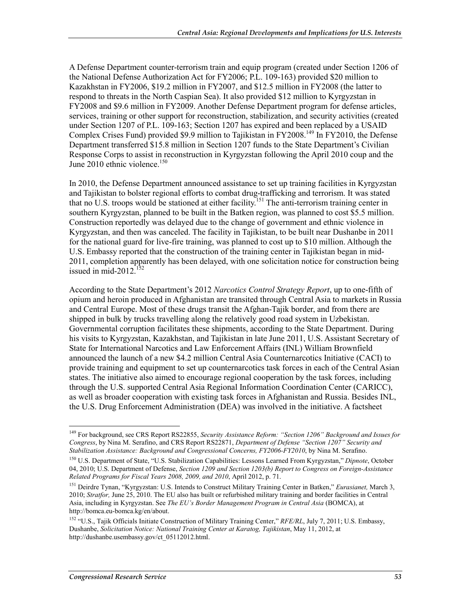A Defense Department counter-terrorism train and equip program (created under Section 1206 of the National Defense Authorization Act for FY2006; P.L. 109-163) provided \$20 million to Kazakhstan in FY2006, \$19.2 million in FY2007, and \$12.5 million in FY2008 (the latter to respond to threats in the North Caspian Sea). It also provided \$12 million to Kyrgyzstan in FY2008 and \$9.6 million in FY2009. Another Defense Department program for defense articles, services, training or other support for reconstruction, stabilization, and security activities (created under Section 1207 of P.L. 109-163; Section 1207 has expired and been replaced by a USAID Complex Crises Fund) provided \$9.9 million to Tajikistan in FY2008.<sup>149</sup> In FY2010, the Defense Department transferred \$15.8 million in Section 1207 funds to the State Department's Civilian Response Corps to assist in reconstruction in Kyrgyzstan following the April 2010 coup and the June 2010 ethnic violence.<sup>150</sup>

In 2010, the Defense Department announced assistance to set up training facilities in Kyrgyzstan and Tajikistan to bolster regional efforts to combat drug-trafficking and terrorism. It was stated that no U.S. troops would be stationed at either facility.151 The anti-terrorism training center in southern Kyrgyzstan, planned to be built in the Batken region, was planned to cost \$5.5 million. Construction reportedly was delayed due to the change of government and ethnic violence in Kyrgyzstan, and then was canceled. The facility in Tajikistan, to be built near Dushanbe in 2011 for the national guard for live-fire training, was planned to cost up to \$10 million. Although the U.S. Embassy reported that the construction of the training center in Tajikistan began in mid-2011, completion apparently has been delayed, with one solicitation notice for construction being issued in mid-2012. $152$ 

According to the State Department's 2012 *Narcotics Control Strategy Report*, up to one-fifth of opium and heroin produced in Afghanistan are transited through Central Asia to markets in Russia and Central Europe. Most of these drugs transit the Afghan-Tajik border, and from there are shipped in bulk by trucks travelling along the relatively good road system in Uzbekistan. Governmental corruption facilitates these shipments, according to the State Department. During his visits to Kyrgyzstan, Kazakhstan, and Tajikistan in late June 2011, U.S. Assistant Secretary of State for International Narcotics and Law Enforcement Affairs (INL) William Brownfield announced the launch of a new \$4.2 million Central Asia Counternarcotics Initiative (CACI) to provide training and equipment to set up counternarcotics task forces in each of the Central Asian states. The initiative also aimed to encourage regional cooperation by the task forces, including through the U.S. supported Central Asia Regional Information Coordination Center (CARICC), as well as broader cooperation with existing task forces in Afghanistan and Russia. Besides INL, the U.S. Drug Enforcement Administration (DEA) was involved in the initiative. A factsheet

<u>.</u>

<sup>149</sup> For background, see CRS Report RS22855, *Security Assistance Reform: "Section 1206" Background and Issues for Congress*, by Nina M. Serafino, and CRS Report RS22871, *Department of Defense "Section 1207" Security and Stabilization Assistance: Background and Congressional Concerns, FY2006-FY2010*, by Nina M. Serafino.

<sup>150</sup> U.S. Department of State, "U.S. Stabilization Capabilities: Lessons Learned From Kyrgyzstan," *Dipnote*, October 04, 2010; U.S. Department of Defense, *Section 1209 and Section 1203(b) Report to Congress on Foreign-Assistance Related Programs for Fiscal Years 2008, 2009, and 2010*, April 2012, p. 71.

<sup>151</sup> Deirdre Tynan, "Kyrgyzstan: U.S. Intends to Construct Military Training Center in Batken," *Eurasianet,* March 3, 2010; *Stratfor,* June 25, 2010. The EU also has built or refurbished military training and border facilities in Central Asia, including in Kyrgyzstan. See *The EU's Border Management Program in Central Asia* (BOMCA), at http://bomca.eu-bomca.kg/en/about.

<sup>152 &</sup>quot;U.S., Tajik Officials Initiate Construction of Military Training Center," *RFE/RL*, July 7, 2011; U.S. Embassy, Dushanbe, *Solicitation Notice: National Training Center at Karatog, Tajikistan*, May 11, 2012, at http://dushanbe.usembassy.gov/ct\_05112012.html.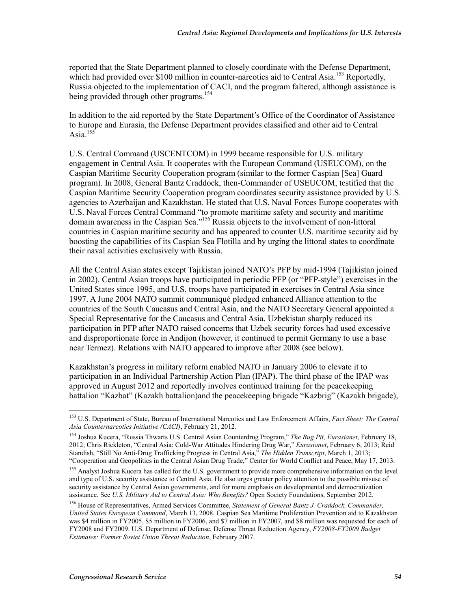reported that the State Department planned to closely coordinate with the Defense Department, which had provided over  $$100$  million in counter-narcotics aid to Central Asia.<sup>153</sup> Reportedly, Russia objected to the implementation of CACI, and the program faltered, although assistance is being provided through other programs.<sup>154</sup>

In addition to the aid reported by the State Department's Office of the Coordinator of Assistance to Europe and Eurasia, the Defense Department provides classified and other aid to Central Asia. $155$ 

U.S. Central Command (USCENTCOM) in 1999 became responsible for U.S. military engagement in Central Asia. It cooperates with the European Command (USEUCOM), on the Caspian Maritime Security Cooperation program (similar to the former Caspian [Sea] Guard program). In 2008, General Bantz Craddock, then-Commander of USEUCOM, testified that the Caspian Maritime Security Cooperation program coordinates security assistance provided by U.S. agencies to Azerbaijan and Kazakhstan. He stated that U.S. Naval Forces Europe cooperates with U.S. Naval Forces Central Command "to promote maritime safety and security and maritime domain awareness in the Caspian Sea."<sup>156</sup> Russia objects to the involvement of non-littoral countries in Caspian maritime security and has appeared to counter U.S. maritime security aid by boosting the capabilities of its Caspian Sea Flotilla and by urging the littoral states to coordinate their naval activities exclusively with Russia.

All the Central Asian states except Tajikistan joined NATO's PFP by mid-1994 (Tajikistan joined in 2002). Central Asian troops have participated in periodic PFP (or "PFP-style") exercises in the United States since 1995, and U.S. troops have participated in exercises in Central Asia since 1997. A June 2004 NATO summit communiqué pledged enhanced Alliance attention to the countries of the South Caucasus and Central Asia, and the NATO Secretary General appointed a Special Representative for the Caucasus and Central Asia. Uzbekistan sharply reduced its participation in PFP after NATO raised concerns that Uzbek security forces had used excessive and disproportionate force in Andijon (however, it continued to permit Germany to use a base near Termez). Relations with NATO appeared to improve after 2008 (see below).

Kazakhstan's progress in military reform enabled NATO in January 2006 to elevate it to participation in an Individual Partnership Action Plan (IPAP). The third phase of the IPAP was approved in August 2012 and reportedly involves continued training for the peacekeeping battalion "Kazbat" (Kazakh battalion)and the peacekeeping brigade "Kazbrig" (Kazakh brigade),

<sup>1</sup> 153 U.S. Department of State, Bureau of International Narcotics and Law Enforcement Affairs, *Fact Sheet: The Central Asia Counternarcotics Initiative (CACI)*, February 21, 2012.

<sup>154</sup> Joshua Kucera, "Russia Thwarts U.S. Central Asian Counterdrug Program," *The Bug Pit, Eurasianet*, February 18, 2012; Chris Rickleton, "Central Asia: Cold-War Attitudes Hindering Drug War," *Eurasianet*, February 6, 2013; Reid Standish, "Still No Anti-Drug Trafficking Progress in Central Asia," *The Hidden Transcript*, March 1, 2013; "Cooperation and Geopolitics in the Central Asian Drug Trade," Center for World Conflict and Peace, May 17, 2013.

<sup>&</sup>lt;sup>155</sup> Analyst Joshua Kucera has called for the U.S. government to provide more comprehensive information on the level and type of U.S. security assistance to Central Asia. He also urges greater policy attention to the possible misuse of security assistance by Central Asian governments, and for more emphasis on developmental and democratization assistance. See *U.S. Military Aid to Central Asia: Who Benefits?* Open Society Foundations, September 2012.

<sup>156</sup> House of Representatives, Armed Services Committee, *Statement of General Bantz J. Craddock, Commander, United States European Command*, March 13, 2008. Caspian Sea Maritime Proliferation Prevention aid to Kazakhstan was \$4 million in FY2005, \$5 million in FY2006, and \$7 million in FY2007, and \$8 million was requested for each of FY2008 and FY2009. U.S. Department of Defense, Defense Threat Reduction Agency, *FY2008-FY2009 Budget Estimates: Former Soviet Union Threat Reduction*, February 2007.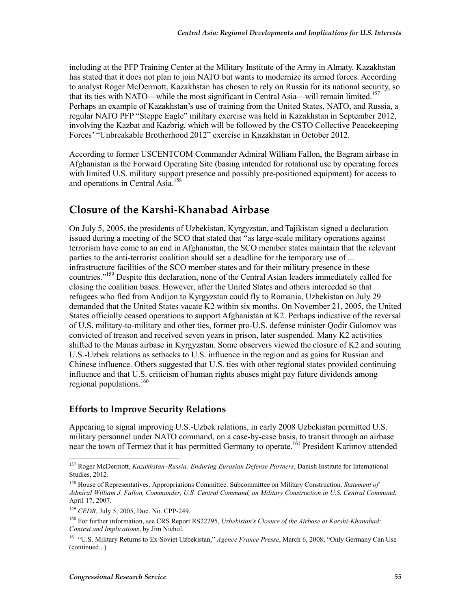including at the PFP Training Center at the Military Institute of the Army in Almaty. Kazakhstan has stated that it does not plan to join NATO but wants to modernize its armed forces. According to analyst Roger McDermott, Kazakhstan has chosen to rely on Russia for its national security, so that its ties with NATO—while the most significant in Central Asia—will remain limited.<sup>157</sup> Perhaps an example of Kazakhstan's use of training from the United States, NATO, and Russia, a regular NATO PFP "Steppe Eagle" military exercise was held in Kazakhstan in September 2012, involving the Kazbat and Kazbrig, which will be followed by the CSTO Collective Peacekeeping Forces' "Unbreakable Brotherhood 2012" exercise in Kazakhstan in October 2012.

According to former USCENTCOM Commander Admiral William Fallon, the Bagram airbase in Afghanistan is the Forward Operating Site (basing intended for rotational use by operating forces with limited U.S. military support presence and possibly pre-positioned equipment) for access to and operations in Central Asia.158

### **Closure of the Karshi-Khanabad Airbase**

On July 5, 2005, the presidents of Uzbekistan, Kyrgyzstan, and Tajikistan signed a declaration issued during a meeting of the SCO that stated that "as large-scale military operations against terrorism have come to an end in Afghanistan, the SCO member states maintain that the relevant parties to the anti-terrorist coalition should set a deadline for the temporary use of ... infrastructure facilities of the SCO member states and for their military presence in these countries."159 Despite this declaration, none of the Central Asian leaders immediately called for closing the coalition bases. However, after the United States and others interceded so that refugees who fled from Andijon to Kyrgyzstan could fly to Romania, Uzbekistan on July 29 demanded that the United States vacate K2 within six months. On November 21, 2005, the United States officially ceased operations to support Afghanistan at K2. Perhaps indicative of the reversal of U.S. military-to-military and other ties, former pro-U.S. defense minister Qodir Gulomov was convicted of treason and received seven years in prison, later suspended. Many K2 activities shifted to the Manas airbase in Kyrgyzstan. Some observers viewed the closure of K2 and souring U.S.-Uzbek relations as setbacks to U.S. influence in the region and as gains for Russian and Chinese influence. Others suggested that U.S. ties with other regional states provided continuing influence and that U.S. criticism of human rights abuses might pay future dividends among regional populations.<sup>160</sup>

### **Efforts to Improve Security Relations**

Appearing to signal improving U.S.-Uzbek relations, in early 2008 Uzbekistan permitted U.S. military personnel under NATO command, on a case-by-case basis, to transit through an airbase near the town of Termez that it has permitted Germany to operate.<sup>161</sup> President Karimov attended

<sup>157</sup> Roger McDermott, *Kazakhstan–Russia: Enduring Eurasian Defense Partners*, Danish Institute for International Studies, 2012.

<sup>158</sup> House of Representatives. Appropriations Committee. Subcommittee on Military Construction. *Statement of Admiral William J. Fallon, Commander, U.S. Central Command, on Military Construction in U.S. Central Command*, April 17, 2007.

<sup>&</sup>lt;sup>159</sup> *CEDR*, July 5, 2005, Doc. No. CPP-249.

<sup>160</sup> For further information, see CRS Report RS22295, *Uzbekistan's Closure of the Airbase at Karshi-Khanabad: Context and Implications*, by Jim Nichol.

<sup>161 &</sup>quot;U.S. Military Returns to Ex-Soviet Uzbekistan," *Agence France Presse*, March 6, 2008; "Only Germany Can Use (continued...)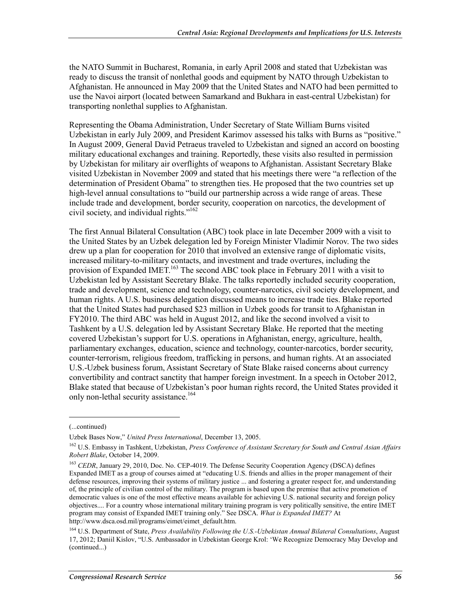the NATO Summit in Bucharest, Romania, in early April 2008 and stated that Uzbekistan was ready to discuss the transit of nonlethal goods and equipment by NATO through Uzbekistan to Afghanistan. He announced in May 2009 that the United States and NATO had been permitted to use the Navoi airport (located between Samarkand and Bukhara in east-central Uzbekistan) for transporting nonlethal supplies to Afghanistan.

Representing the Obama Administration, Under Secretary of State William Burns visited Uzbekistan in early July 2009, and President Karimov assessed his talks with Burns as "positive." In August 2009, General David Petraeus traveled to Uzbekistan and signed an accord on boosting military educational exchanges and training. Reportedly, these visits also resulted in permission by Uzbekistan for military air overflights of weapons to Afghanistan. Assistant Secretary Blake visited Uzbekistan in November 2009 and stated that his meetings there were "a reflection of the determination of President Obama" to strengthen ties. He proposed that the two countries set up high-level annual consultations to "build our partnership across a wide range of areas. These include trade and development, border security, cooperation on narcotics, the development of civil society, and individual rights."162

The first Annual Bilateral Consultation (ABC) took place in late December 2009 with a visit to the United States by an Uzbek delegation led by Foreign Minister Vladimir Norov. The two sides drew up a plan for cooperation for 2010 that involved an extensive range of diplomatic visits, increased military-to-military contacts, and investment and trade overtures, including the provision of Expanded IMET.<sup>163</sup> The second ABC took place in February 2011 with a visit to Uzbekistan led by Assistant Secretary Blake. The talks reportedly included security cooperation, trade and development, science and technology, counter-narcotics, civil society development, and human rights. A U.S. business delegation discussed means to increase trade ties. Blake reported that the United States had purchased \$23 million in Uzbek goods for transit to Afghanistan in FY2010. The third ABC was held in August 2012, and like the second involved a visit to Tashkent by a U.S. delegation led by Assistant Secretary Blake. He reported that the meeting covered Uzbekistan's support for U.S. operations in Afghanistan, energy, agriculture, health, parliamentary exchanges, education, science and technology, counter-narcotics, border security, counter-terrorism, religious freedom, trafficking in persons, and human rights. At an associated U.S.-Uzbek business forum, Assistant Secretary of State Blake raised concerns about currency convertibility and contract sanctity that hamper foreign investment. In a speech in October 2012, Blake stated that because of Uzbekistan's poor human rights record, the United States provided it only non-lethal security assistance.<sup>164</sup>

 $\overline{a}$ 

<sup>(...</sup>continued)

Uzbek Bases Now," *United Press International*, December 13, 2005.

<sup>162</sup> U.S. Embassy in Tashkent, Uzbekistan, *Press Conference of Assistant Secretary for South and Central Asian Affairs Robert Blake*, October 14, 2009.

<sup>&</sup>lt;sup>163</sup> *CEDR*, January 29, 2010, Doc. No. CEP-4019. The Defense Security Cooperation Agency (DSCA) defines Expanded IMET as a group of courses aimed at "educating U.S. friends and allies in the proper management of their defense resources, improving their systems of military justice ... and fostering a greater respect for, and understanding of, the principle of civilian control of the military. The program is based upon the premise that active promotion of democratic values is one of the most effective means available for achieving U.S. national security and foreign policy objectives.... For a country whose international military training program is very politically sensitive, the entire IMET program may consist of Expanded IMET training only." See DSCA. *What is Expanded IMET?* At http://www.dsca.osd.mil/programs/eimet/eimet\_default.htm.

<sup>164</sup> U.S. Department of State, *Press Availability Following the U.S.-Uzbekistan Annual Bilateral Consultations*, August 17, 2012; Daniil Kislov, "U.S. Ambassador in Uzbekistan George Krol: 'We Recognize Democracy May Develop and (continued...)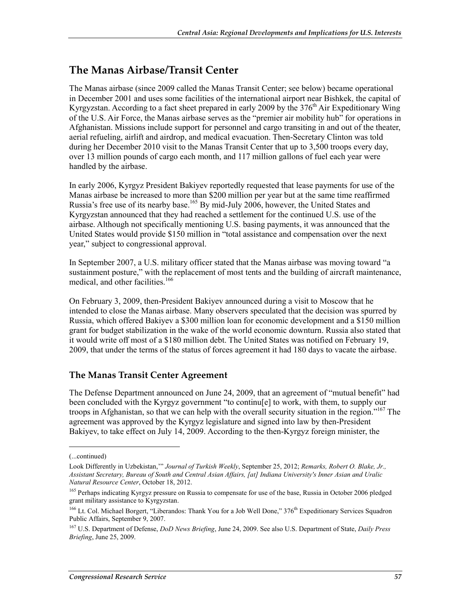# **The Manas Airbase/Transit Center**

The Manas airbase (since 2009 called the Manas Transit Center; see below) became operational in December 2001 and uses some facilities of the international airport near Bishkek, the capital of Kyrgyzstan. According to a fact sheet prepared in early 2009 by the  $376<sup>th</sup>$  Air Expeditionary Wing of the U.S. Air Force, the Manas airbase serves as the "premier air mobility hub" for operations in Afghanistan. Missions include support for personnel and cargo transiting in and out of the theater, aerial refueling, airlift and airdrop, and medical evacuation. Then-Secretary Clinton was told during her December 2010 visit to the Manas Transit Center that up to 3,500 troops every day, over 13 million pounds of cargo each month, and 117 million gallons of fuel each year were handled by the airbase.

In early 2006, Kyrgyz President Bakiyev reportedly requested that lease payments for use of the Manas airbase be increased to more than \$200 million per year but at the same time reaffirmed Russia's free use of its nearby base.165 By mid-July 2006, however, the United States and Kyrgyzstan announced that they had reached a settlement for the continued U.S. use of the airbase. Although not specifically mentioning U.S. basing payments, it was announced that the United States would provide \$150 million in "total assistance and compensation over the next year," subject to congressional approval.

In September 2007, a U.S. military officer stated that the Manas airbase was moving toward "a sustainment posture," with the replacement of most tents and the building of aircraft maintenance, medical, and other facilities.<sup>166</sup>

On February 3, 2009, then-President Bakiyev announced during a visit to Moscow that he intended to close the Manas airbase. Many observers speculated that the decision was spurred by Russia, which offered Bakiyev a \$300 million loan for economic development and a \$150 million grant for budget stabilization in the wake of the world economic downturn. Russia also stated that it would write off most of a \$180 million debt. The United States was notified on February 19, 2009, that under the terms of the status of forces agreement it had 180 days to vacate the airbase.

### **The Manas Transit Center Agreement**

The Defense Department announced on June 24, 2009, that an agreement of "mutual benefit" had been concluded with the Kyrgyz government "to continu[e] to work, with them, to supply our troops in Afghanistan, so that we can help with the overall security situation in the region."<sup>167</sup> The agreement was approved by the Kyrgyz legislature and signed into law by then-President Bakiyev, to take effect on July 14, 2009. According to the then-Kyrgyz foreign minister, the

<sup>(...</sup>continued)

Look Differently in Uzbekistan,'" *Journal of Turkish Weekly*, September 25, 2012; *Remarks, Robert O. Blake, Jr., Assistant Secretary, Bureau of South and Central Asian Affairs, [at] Indiana University's Inner Asian and Uralic Natural Resource Center*, October 18, 2012.

<sup>&</sup>lt;sup>165</sup> Perhaps indicating Kyrgyz pressure on Russia to compensate for use of the base, Russia in October 2006 pledged grant military assistance to Kyrgyzstan.

<sup>&</sup>lt;sup>166</sup> Lt. Col. Michael Borgert, "Liberandos: Thank You for a Job Well Done," 376<sup>th</sup> Expeditionary Services Squadron Public Affairs, September 9, 2007.

<sup>167</sup> U.S. Department of Defense, *DoD News Briefing*, June 24, 2009. See also U.S. Department of State, *Daily Press Briefing*, June 25, 2009.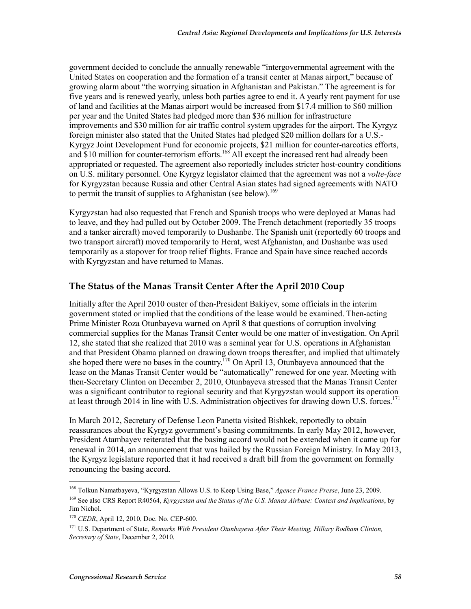government decided to conclude the annually renewable "intergovernmental agreement with the United States on cooperation and the formation of a transit center at Manas airport," because of growing alarm about "the worrying situation in Afghanistan and Pakistan." The agreement is for five years and is renewed yearly, unless both parties agree to end it. A yearly rent payment for use of land and facilities at the Manas airport would be increased from \$17.4 million to \$60 million per year and the United States had pledged more than \$36 million for infrastructure improvements and \$30 million for air traffic control system upgrades for the airport. The Kyrgyz foreign minister also stated that the United States had pledged \$20 million dollars for a U.S.- Kyrgyz Joint Development Fund for economic projects, \$21 million for counter-narcotics efforts, and \$10 million for counter-terrorism efforts.<sup>168</sup> All except the increased rent had already been appropriated or requested. The agreement also reportedly includes stricter host-country conditions on U.S. military personnel. One Kyrgyz legislator claimed that the agreement was not a *volte-face* for Kyrgyzstan because Russia and other Central Asian states had signed agreements with NATO to permit the transit of supplies to Afghanistan (see below).<sup>169</sup>

Kyrgyzstan had also requested that French and Spanish troops who were deployed at Manas had to leave, and they had pulled out by October 2009. The French detachment (reportedly 35 troops and a tanker aircraft) moved temporarily to Dushanbe. The Spanish unit (reportedly 60 troops and two transport aircraft) moved temporarily to Herat, west Afghanistan, and Dushanbe was used temporarily as a stopover for troop relief flights. France and Spain have since reached accords with Kyrgyzstan and have returned to Manas.

### **The Status of the Manas Transit Center After the April 2010 Coup**

Initially after the April 2010 ouster of then-President Bakiyev, some officials in the interim government stated or implied that the conditions of the lease would be examined. Then-acting Prime Minister Roza Otunbayeva warned on April 8 that questions of corruption involving commercial supplies for the Manas Transit Center would be one matter of investigation. On April 12, she stated that she realized that 2010 was a seminal year for U.S. operations in Afghanistan and that President Obama planned on drawing down troops thereafter, and implied that ultimately she hoped there were no bases in the country.<sup>170</sup> On April 13, Otunbayeva announced that the lease on the Manas Transit Center would be "automatically" renewed for one year. Meeting with then-Secretary Clinton on December 2, 2010, Otunbayeva stressed that the Manas Transit Center was a significant contributor to regional security and that Kyrgyzstan would support its operation at least through 2014 in line with U.S. Administration objectives for drawing down U.S. forces.<sup>171</sup>

In March 2012, Secretary of Defense Leon Panetta visited Bishkek, reportedly to obtain reassurances about the Kyrgyz government's basing commitments. In early May 2012, however, President Atambayev reiterated that the basing accord would not be extended when it came up for renewal in 2014, an announcement that was hailed by the Russian Foreign Ministry. In May 2013, the Kyrgyz legislature reported that it had received a draft bill from the government on formally renouncing the basing accord.

<sup>168</sup> Tolkun Namatbayeva, "Kyrgyzstan Allows U.S. to Keep Using Base," *Agence France Presse*, June 23, 2009.

<sup>169</sup> See also CRS Report R40564, *Kyrgyzstan and the Status of the U.S. Manas Airbase: Context and Implications*, by Jim Nichol.

<sup>170</sup> *CEDR*, April 12, 2010, Doc. No. CEP-600.

<sup>&</sup>lt;sup>171</sup> U.S. Department of State, *Remarks With President Otunbayeva After Their Meeting, Hillary Rodham Clinton, Secretary of State*, December 2, 2010.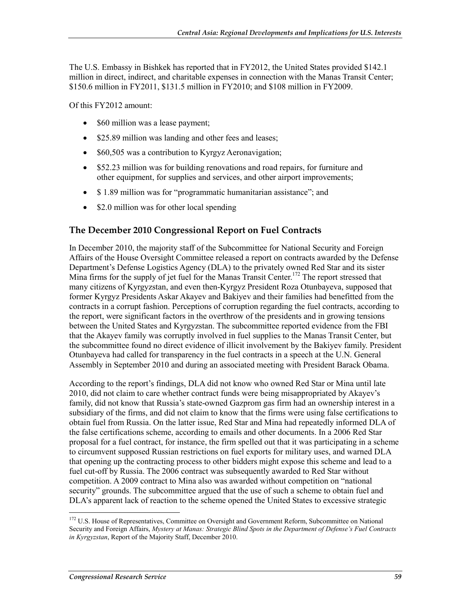The U.S. Embassy in Bishkek has reported that in FY2012, the United States provided \$142.1 million in direct, indirect, and charitable expenses in connection with the Manas Transit Center; \$150.6 million in FY2011, \$131.5 million in FY2010; and \$108 million in FY2009.

Of this FY2012 amount:

- \$60 million was a lease payment;
- \$25.89 million was landing and other fees and leases;
- \$60,505 was a contribution to Kyrgyz Aeronavigation;
- \$52.23 million was for building renovations and road repairs, for furniture and other equipment, for supplies and services, and other airport improvements;
- \$1.89 million was for "programmatic humanitarian assistance"; and
- \$2.0 million was for other local spending

### **The December 2010 Congressional Report on Fuel Contracts**

In December 2010, the majority staff of the Subcommittee for National Security and Foreign Affairs of the House Oversight Committee released a report on contracts awarded by the Defense Department's Defense Logistics Agency (DLA) to the privately owned Red Star and its sister Mina firms for the supply of jet fuel for the Manas Transit Center.<sup>172</sup> The report stressed that many citizens of Kyrgyzstan, and even then-Kyrgyz President Roza Otunbayeva, supposed that former Kyrgyz Presidents Askar Akayev and Bakiyev and their families had benefitted from the contracts in a corrupt fashion. Perceptions of corruption regarding the fuel contracts, according to the report, were significant factors in the overthrow of the presidents and in growing tensions between the United States and Kyrgyzstan. The subcommittee reported evidence from the FBI that the Akayev family was corruptly involved in fuel supplies to the Manas Transit Center, but the subcommittee found no direct evidence of illicit involvement by the Bakiyev family. President Otunbayeva had called for transparency in the fuel contracts in a speech at the U.N. General Assembly in September 2010 and during an associated meeting with President Barack Obama.

According to the report's findings, DLA did not know who owned Red Star or Mina until late 2010, did not claim to care whether contract funds were being misappropriated by Akayev's family, did not know that Russia's state-owned Gazprom gas firm had an ownership interest in a subsidiary of the firms, and did not claim to know that the firms were using false certifications to obtain fuel from Russia. On the latter issue, Red Star and Mina had repeatedly informed DLA of the false certifications scheme, according to emails and other documents. In a 2006 Red Star proposal for a fuel contract, for instance, the firm spelled out that it was participating in a scheme to circumvent supposed Russian restrictions on fuel exports for military uses, and warned DLA that opening up the contracting process to other bidders might expose this scheme and lead to a fuel cut-off by Russia. The 2006 contract was subsequently awarded to Red Star without competition. A 2009 contract to Mina also was awarded without competition on "national security" grounds. The subcommittee argued that the use of such a scheme to obtain fuel and DLA's apparent lack of reaction to the scheme opened the United States to excessive strategic

<sup>&</sup>lt;sup>172</sup> U.S. House of Representatives, Committee on Oversight and Government Reform, Subcommittee on National Security and Foreign Affairs, *Mystery at Manas: Strategic Blind Spots in the Department of Defense's Fuel Contracts in Kyrgyzstan*, Report of the Majority Staff, December 2010.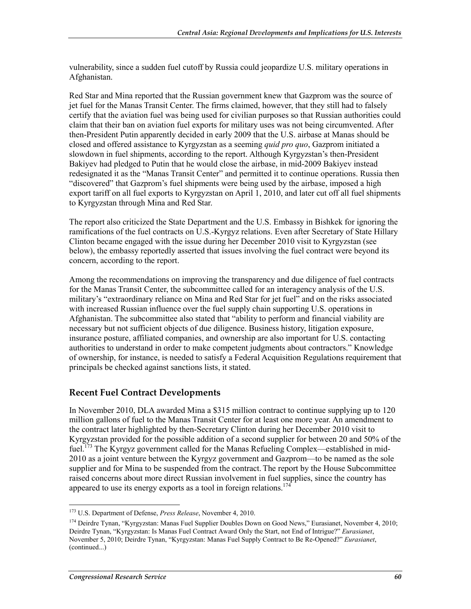vulnerability, since a sudden fuel cutoff by Russia could jeopardize U.S. military operations in Afghanistan.

Red Star and Mina reported that the Russian government knew that Gazprom was the source of jet fuel for the Manas Transit Center. The firms claimed, however, that they still had to falsely certify that the aviation fuel was being used for civilian purposes so that Russian authorities could claim that their ban on aviation fuel exports for military uses was not being circumvented. After then-President Putin apparently decided in early 2009 that the U.S. airbase at Manas should be closed and offered assistance to Kyrgyzstan as a seeming *quid pro quo*, Gazprom initiated a slowdown in fuel shipments, according to the report. Although Kyrgyzstan's then-President Bakiyev had pledged to Putin that he would close the airbase, in mid-2009 Bakiyev instead redesignated it as the "Manas Transit Center" and permitted it to continue operations. Russia then "discovered" that Gazprom's fuel shipments were being used by the airbase, imposed a high export tariff on all fuel exports to Kyrgyzstan on April 1, 2010, and later cut off all fuel shipments to Kyrgyzstan through Mina and Red Star.

The report also criticized the State Department and the U.S. Embassy in Bishkek for ignoring the ramifications of the fuel contracts on U.S.-Kyrgyz relations. Even after Secretary of State Hillary Clinton became engaged with the issue during her December 2010 visit to Kyrgyzstan (see below), the embassy reportedly asserted that issues involving the fuel contract were beyond its concern, according to the report.

Among the recommendations on improving the transparency and due diligence of fuel contracts for the Manas Transit Center, the subcommittee called for an interagency analysis of the U.S. military's "extraordinary reliance on Mina and Red Star for jet fuel" and on the risks associated with increased Russian influence over the fuel supply chain supporting U.S. operations in Afghanistan. The subcommittee also stated that "ability to perform and financial viability are necessary but not sufficient objects of due diligence. Business history, litigation exposure, insurance posture, affiliated companies, and ownership are also important for U.S. contacting authorities to understand in order to make competent judgments about contractors." Knowledge of ownership, for instance, is needed to satisfy a Federal Acquisition Regulations requirement that principals be checked against sanctions lists, it stated.

### **Recent Fuel Contract Developments**

In November 2010, DLA awarded Mina a \$315 million contract to continue supplying up to 120 million gallons of fuel to the Manas Transit Center for at least one more year. An amendment to the contract later highlighted by then-Secretary Clinton during her December 2010 visit to Kyrgyzstan provided for the possible addition of a second supplier for between 20 and 50% of the fuel.<sup>173</sup> The Kyrgyz government called for the Manas Refueling Complex—established in mid-2010 as a joint venture between the Kyrgyz government and Gazprom—to be named as the sole supplier and for Mina to be suspended from the contract. The report by the House Subcommittee raised concerns about more direct Russian involvement in fuel supplies, since the country has appeared to use its energy exports as a tool in foreign relations.<sup>174</sup>

<sup>173</sup> U.S. Department of Defense, *Press Release*, November 4, 2010.

<sup>&</sup>lt;sup>174</sup> Deirdre Tynan, "Kyrgyzstan: Manas Fuel Supplier Doubles Down on Good News," Eurasianet, November 4, 2010; Deirdre Tynan, "Kyrgyzstan: Is Manas Fuel Contract Award Only the Start, not End of Intrigue?" *Eurasianet*, November 5, 2010; Deirdre Tynan, "Kyrgyzstan: Manas Fuel Supply Contract to Be Re-Opened?" *Eurasianet*, (continued...)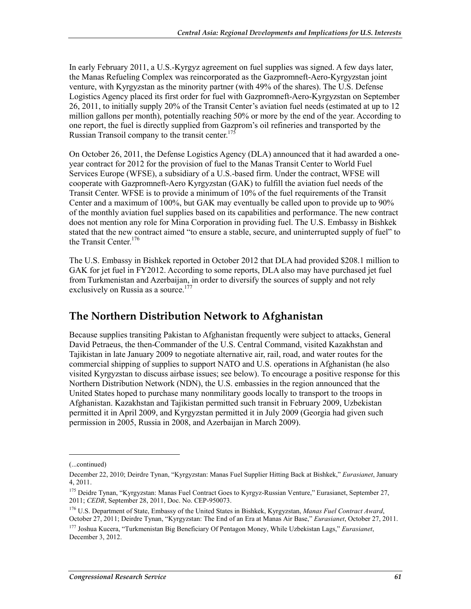In early February 2011, a U.S.-Kyrgyz agreement on fuel supplies was signed. A few days later, the Manas Refueling Complex was reincorporated as the Gazpromneft-Aero-Kyrgyzstan joint venture, with Kyrgyzstan as the minority partner (with 49% of the shares). The U.S. Defense Logistics Agency placed its first order for fuel with Gazpromneft-Aero-Kyrgyzstan on September 26, 2011, to initially supply 20% of the Transit Center's aviation fuel needs (estimated at up to 12 million gallons per month), potentially reaching 50% or more by the end of the year. According to one report, the fuel is directly supplied from Gazprom's oil refineries and transported by the Russian Transoil company to the transit center.<sup>175</sup>

On October 26, 2011, the Defense Logistics Agency (DLA) announced that it had awarded a oneyear contract for 2012 for the provision of fuel to the Manas Transit Center to World Fuel Services Europe (WFSE), a subsidiary of a U.S.-based firm. Under the contract, WFSE will cooperate with Gazpromneft-Aero Kyrgyzstan (GAK) to fulfill the aviation fuel needs of the Transit Center. WFSE is to provide a minimum of 10% of the fuel requirements of the Transit Center and a maximum of 100%, but GAK may eventually be called upon to provide up to 90% of the monthly aviation fuel supplies based on its capabilities and performance. The new contract does not mention any role for Mina Corporation in providing fuel. The U.S. Embassy in Bishkek stated that the new contract aimed "to ensure a stable, secure, and uninterrupted supply of fuel" to the Transit Center.<sup>176</sup>

The U.S. Embassy in Bishkek reported in October 2012 that DLA had provided \$208.1 million to GAK for jet fuel in FY2012. According to some reports, DLA also may have purchased jet fuel from Turkmenistan and Azerbaijan, in order to diversify the sources of supply and not rely exclusively on Russia as a source.<sup>177</sup>

# **The Northern Distribution Network to Afghanistan**

Because supplies transiting Pakistan to Afghanistan frequently were subject to attacks, General David Petraeus, the then-Commander of the U.S. Central Command, visited Kazakhstan and Tajikistan in late January 2009 to negotiate alternative air, rail, road, and water routes for the commercial shipping of supplies to support NATO and U.S. operations in Afghanistan (he also visited Kyrgyzstan to discuss airbase issues; see below). To encourage a positive response for this Northern Distribution Network (NDN), the U.S. embassies in the region announced that the United States hoped to purchase many nonmilitary goods locally to transport to the troops in Afghanistan. Kazakhstan and Tajikistan permitted such transit in February 2009, Uzbekistan permitted it in April 2009, and Kyrgyzstan permitted it in July 2009 (Georgia had given such permission in 2005, Russia in 2008, and Azerbaijan in March 2009).

 $\overline{a}$ 

<sup>(...</sup>continued)

December 22, 2010; Deirdre Tynan, "Kyrgyzstan: Manas Fuel Supplier Hitting Back at Bishkek," *Eurasianet*, January 4, 2011.

<sup>&</sup>lt;sup>175</sup> Deidre Tynan, "Kyrgyzstan: Manas Fuel Contract Goes to Kyrgyz-Russian Venture," Eurasianet, September 27, 2011; *CEDR*, September 28, 2011, Doc. No. CEP-950073.

<sup>176</sup> U.S. Department of State, Embassy of the United States in Bishkek, Kyrgyzstan, *Manas Fuel Contract Award*, October 27, 2011; Deirdre Tynan, "Kyrgyzstan: The End of an Era at Manas Air Base," *Eurasianet*, October 27, 2011.

<sup>177</sup> Joshua Kucera, "Turkmenistan Big Beneficiary Of Pentagon Money, While Uzbekistan Lags," *Eurasianet*, December 3, 2012.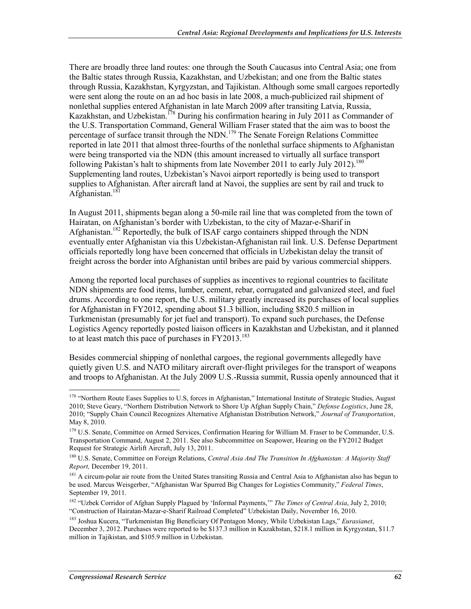There are broadly three land routes: one through the South Caucasus into Central Asia; one from the Baltic states through Russia, Kazakhstan, and Uzbekistan; and one from the Baltic states through Russia, Kazakhstan, Kyrgyzstan, and Tajikistan. Although some small cargoes reportedly were sent along the route on an ad hoc basis in late 2008, a much-publicized rail shipment of nonlethal supplies entered Afghanistan in late March 2009 after transiting Latvia, Russia, Kazakhstan, and Uzbekistan.<sup>178</sup> During his confirmation hearing in July 2011 as Commander of the U.S. Transportation Command, General William Fraser stated that the aim was to boost the percentage of surface transit through the NDN.<sup>179</sup> The Senate Foreign Relations Committee reported in late 2011 that almost three-fourths of the nonlethal surface shipments to Afghanistan were being transported via the NDN (this amount increased to virtually all surface transport following Pakistan's halt to shipments from late November 2011 to early July 2012).<sup>180</sup> Supplementing land routes, Uzbekistan's Navoi airport reportedly is being used to transport supplies to Afghanistan. After aircraft land at Navoi, the supplies are sent by rail and truck to Afghanistan.181

In August 2011, shipments began along a 50-mile rail line that was completed from the town of Hairatan, on Afghanistan's border with Uzbekistan, to the city of Mazar-e-Sharif in Afghanistan.182 Reportedly, the bulk of ISAF cargo containers shipped through the NDN eventually enter Afghanistan via this Uzbekistan-Afghanistan rail link. U.S. Defense Department officials reportedly long have been concerned that officials in Uzbekistan delay the transit of freight across the border into Afghanistan until bribes are paid by various commercial shippers.

Among the reported local purchases of supplies as incentives to regional countries to facilitate NDN shipments are food items, lumber, cement, rebar, corrugated and galvanized steel, and fuel drums. According to one report, the U.S. military greatly increased its purchases of local supplies for Afghanistan in FY2012, spending about \$1.3 billion, including \$820.5 million in Turkmenistan (presumably for jet fuel and transport). To expand such purchases, the Defense Logistics Agency reportedly posted liaison officers in Kazakhstan and Uzbekistan, and it planned to at least match this pace of purchases in  $FY2013$ <sup>183</sup>

Besides commercial shipping of nonlethal cargoes, the regional governments allegedly have quietly given U.S. and NATO military aircraft over-flight privileges for the transport of weapons and troops to Afghanistan. At the July 2009 U.S.-Russia summit, Russia openly announced that it

<sup>&</sup>lt;sup>178</sup> "Northern Route Eases Supplies to U.S, forces in Afghanistan," International Institute of Strategic Studies, August 2010; Steve Geary, "Northern Distribution Network to Shore Up Afghan Supply Chain," *Defense Logistics*, June 28, 2010; "Supply Chain Council Recognizes Alternative Afghanistan Distribution Network," *Journal of Transportation*, May 8, 2010.

<sup>&</sup>lt;sup>179</sup> U.S. Senate, Committee on Armed Services, Confirmation Hearing for William M. Fraser to be Commander, U.S. Transportation Command, August 2, 2011. See also Subcommittee on Seapower, Hearing on the FY2012 Budget Request for Strategic Airlift Aircraft, July 13, 2011.

<sup>180</sup> U.S. Senate, Committee on Foreign Relations, *Central Asia And The Transition In Afghanistan: A Majority Staff Report,* December 19, 2011.

<sup>&</sup>lt;sup>181</sup> A circum-polar air route from the United States transiting Russia and Central Asia to Afghanistan also has begun to be used. Marcus Weisgerber, "Afghanistan War Spurred Big Changes for Logistics Community," *Federal Times*, September 19, 2011.

<sup>182 &</sup>quot;Uzbek Corridor of Afghan Supply Plagued by 'Informal Payments,'" *The Times of Central Asia*, July 2, 2010; "Construction of Hairatan-Mazar-e-Sharif Railroad Completed" Uzbekistan Daily, November 16, 2010.

<sup>183</sup> Joshua Kucera, "Turkmenistan Big Beneficiary Of Pentagon Money, While Uzbekistan Lags," *Eurasianet*, December 3, 2012. Purchases were reported to be \$137.3 million in Kazakhstan, \$218.1 million in Kyrgyzstan, \$11.7 million in Tajikistan, and \$105.9 million in Uzbekistan.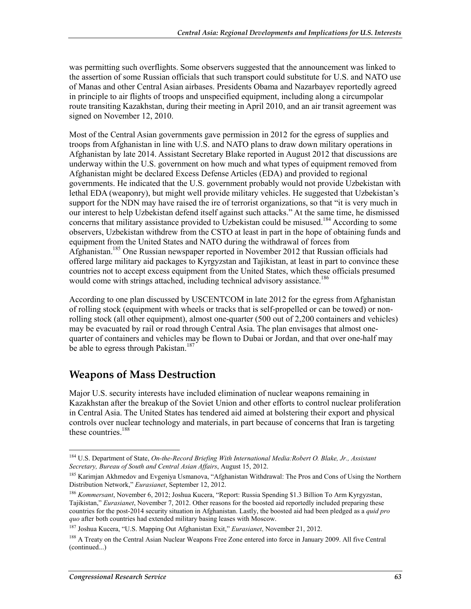was permitting such overflights. Some observers suggested that the announcement was linked to the assertion of some Russian officials that such transport could substitute for U.S. and NATO use of Manas and other Central Asian airbases. Presidents Obama and Nazarbayev reportedly agreed in principle to air flights of troops and unspecified equipment, including along a circumpolar route transiting Kazakhstan, during their meeting in April 2010, and an air transit agreement was signed on November 12, 2010.

Most of the Central Asian governments gave permission in 2012 for the egress of supplies and troops from Afghanistan in line with U.S. and NATO plans to draw down military operations in Afghanistan by late 2014. Assistant Secretary Blake reported in August 2012 that discussions are underway within the U.S. government on how much and what types of equipment removed from Afghanistan might be declared Excess Defense Articles (EDA) and provided to regional governments. He indicated that the U.S. government probably would not provide Uzbekistan with lethal EDA (weaponry), but might well provide military vehicles. He suggested that Uzbekistan's support for the NDN may have raised the ire of terrorist organizations, so that "it is very much in our interest to help Uzbekistan defend itself against such attacks." At the same time, he dismissed concerns that military assistance provided to Uzbekistan could be misused.<sup>184</sup> According to some observers, Uzbekistan withdrew from the CSTO at least in part in the hope of obtaining funds and equipment from the United States and NATO during the withdrawal of forces from Afghanistan.185 One Russian newspaper reported in November 2012 that Russian officials had offered large military aid packages to Kyrgyzstan and Tajikistan, at least in part to convince these countries not to accept excess equipment from the United States, which these officials presumed would come with strings attached, including technical advisory assistance.<sup>186</sup>

According to one plan discussed by USCENTCOM in late 2012 for the egress from Afghanistan of rolling stock (equipment with wheels or tracks that is self-propelled or can be towed) or nonrolling stock (all other equipment), almost one-quarter (500 out of 2,200 containers and vehicles) may be evacuated by rail or road through Central Asia. The plan envisages that almost onequarter of containers and vehicles may be flown to Dubai or Jordan, and that over one-half may be able to egress through Pakistan.<sup>187</sup>

# **Weapons of Mass Destruction**

Major U.S. security interests have included elimination of nuclear weapons remaining in Kazakhstan after the breakup of the Soviet Union and other efforts to control nuclear proliferation in Central Asia. The United States has tendered aid aimed at bolstering their export and physical controls over nuclear technology and materials, in part because of concerns that Iran is targeting these countries.<sup>188</sup>

<sup>1</sup> 184 U.S. Department of State, *On-the-Record Briefing With International Media:Robert O. Blake, Jr., Assistant Secretary, Bureau of South and Central Asian Affairs*, August 15, 2012.

<sup>&</sup>lt;sup>185</sup> Karimjan Akhmedov and Evgeniya Usmanova, "Afghanistan Withdrawal: The Pros and Cons of Using the Northern Distribution Network," *Eurasianet*, September 12, 2012.

<sup>186</sup> *Kommersant*, November 6, 2012; Joshua Kucera, "Report: Russia Spending \$1.3 Billion To Arm Kyrgyzstan, Tajikistan," *Eurasianet*, November 7, 2012. Other reasons for the boosted aid reportedly included preparing these countries for the post-2014 security situation in Afghanistan. Lastly, the boosted aid had been pledged as a *quid pro quo* after both countries had extended military basing leases with Moscow.

<sup>187</sup> Joshua Kucera, "U.S. Mapping Out Afghanistan Exit," *Eurasianet*, November 21, 2012.

<sup>&</sup>lt;sup>188</sup> A Treaty on the Central Asian Nuclear Weapons Free Zone entered into force in January 2009. All five Central (continued...)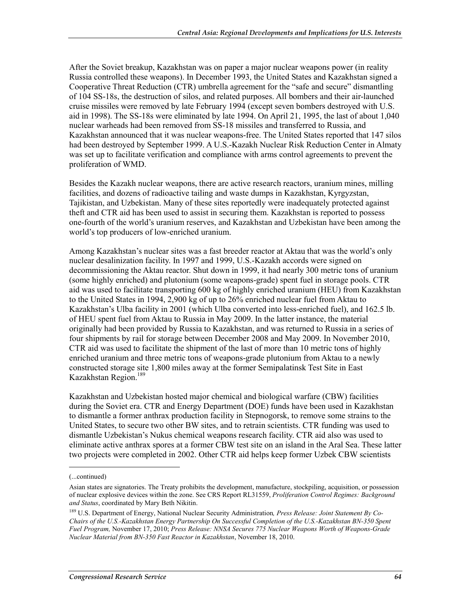After the Soviet breakup, Kazakhstan was on paper a major nuclear weapons power (in reality Russia controlled these weapons). In December 1993, the United States and Kazakhstan signed a Cooperative Threat Reduction (CTR) umbrella agreement for the "safe and secure" dismantling of 104 SS-18s, the destruction of silos, and related purposes. All bombers and their air-launched cruise missiles were removed by late February 1994 (except seven bombers destroyed with U.S. aid in 1998). The SS-18s were eliminated by late 1994. On April 21, 1995, the last of about 1,040 nuclear warheads had been removed from SS-18 missiles and transferred to Russia, and Kazakhstan announced that it was nuclear weapons-free. The United States reported that 147 silos had been destroyed by September 1999. A U.S.-Kazakh Nuclear Risk Reduction Center in Almaty was set up to facilitate verification and compliance with arms control agreements to prevent the proliferation of WMD.

Besides the Kazakh nuclear weapons, there are active research reactors, uranium mines, milling facilities, and dozens of radioactive tailing and waste dumps in Kazakhstan, Kyrgyzstan, Tajikistan, and Uzbekistan. Many of these sites reportedly were inadequately protected against theft and CTR aid has been used to assist in securing them. Kazakhstan is reported to possess one-fourth of the world's uranium reserves, and Kazakhstan and Uzbekistan have been among the world's top producers of low-enriched uranium.

Among Kazakhstan's nuclear sites was a fast breeder reactor at Aktau that was the world's only nuclear desalinization facility. In 1997 and 1999, U.S.-Kazakh accords were signed on decommissioning the Aktau reactor. Shut down in 1999, it had nearly 300 metric tons of uranium (some highly enriched) and plutonium (some weapons-grade) spent fuel in storage pools. CTR aid was used to facilitate transporting 600 kg of highly enriched uranium (HEU) from Kazakhstan to the United States in 1994, 2,900 kg of up to 26% enriched nuclear fuel from Aktau to Kazakhstan's Ulba facility in 2001 (which Ulba converted into less-enriched fuel), and 162.5 lb. of HEU spent fuel from Aktau to Russia in May 2009. In the latter instance, the material originally had been provided by Russia to Kazakhstan, and was returned to Russia in a series of four shipments by rail for storage between December 2008 and May 2009. In November 2010, CTR aid was used to facilitate the shipment of the last of more than 10 metric tons of highly enriched uranium and three metric tons of weapons-grade plutonium from Aktau to a newly constructed storage site 1,800 miles away at the former Semipalatinsk Test Site in East Kazakhstan Region.189

Kazakhstan and Uzbekistan hosted major chemical and biological warfare (CBW) facilities during the Soviet era. CTR and Energy Department (DOE) funds have been used in Kazakhstan to dismantle a former anthrax production facility in Stepnogorsk, to remove some strains to the United States, to secure two other BW sites, and to retrain scientists. CTR funding was used to dismantle Uzbekistan's Nukus chemical weapons research facility. CTR aid also was used to eliminate active anthrax spores at a former CBW test site on an island in the Aral Sea. These latter two projects were completed in 2002. Other CTR aid helps keep former Uzbek CBW scientists

<sup>(...</sup>continued)

Asian states are signatories. The Treaty prohibits the development, manufacture, stockpiling, acquisition, or possession of nuclear explosive devices within the zone. See CRS Report RL31559, *Proliferation Control Regimes: Background and Status*, coordinated by Mary Beth Nikitin.

<sup>189</sup> U.S. Department of Energy, National Nuclear Security Administration*, Press Release: Joint Statement By Co-Chairs of the U.S.-Kazakhstan Energy Partnership On Successful Completion of the U.S.-Kazakhstan BN-350 Spent Fuel Program,* November 17, 2010; *Press Release: NNSA Secures 775 Nuclear Weapons Worth of Weapons-Grade Nuclear Material from BN-350 Fast Reactor in Kazakhstan*, November 18, 2010.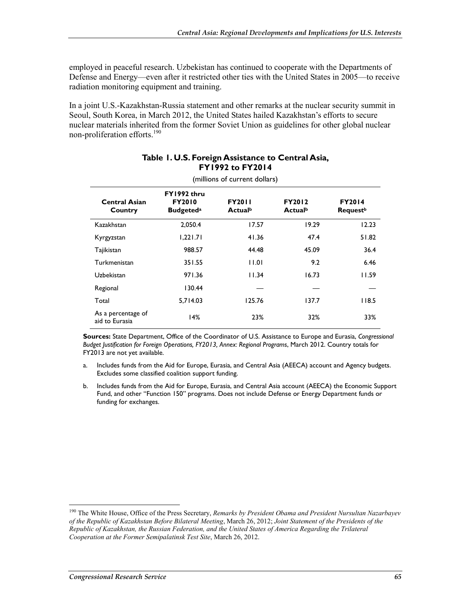employed in peaceful research. Uzbekistan has continued to cooperate with the Departments of Defense and Energy—even after it restricted other ties with the United States in 2005—to receive radiation monitoring equipment and training.

In a joint U.S.-Kazakhstan-Russia statement and other remarks at the nuclear security summit in Seoul, South Korea, in March 2012, the United States hailed Kazakhstan's efforts to secure nuclear materials inherited from the former Soviet Union as guidelines for other global nuclear non-proliferation efforts.<sup>190</sup>

| (millions of current dollars)        |                                                              |                          |                          |                                              |  |  |  |  |  |  |
|--------------------------------------|--------------------------------------------------------------|--------------------------|--------------------------|----------------------------------------------|--|--|--|--|--|--|
| <b>Central Asian</b><br>Country      | FY1992 thru<br><b>FY2010</b><br><b>Budgeted</b> <sup>a</sup> | <b>FY2011</b><br>Actualb | <b>FY2012</b><br>Actualb | <b>FY2014</b><br><b>Request</b> <sup>b</sup> |  |  |  |  |  |  |
| Kazakhstan                           | 2.050.4                                                      | 17.57                    | 19.29                    | 12.23                                        |  |  |  |  |  |  |
| Kyrgyzstan                           | 1,221.71                                                     | 41.36                    | 47.4                     | 51.82                                        |  |  |  |  |  |  |
| Tajikistan                           | 988.57                                                       | 44.48                    | 45.09                    | 36.4                                         |  |  |  |  |  |  |
| Turkmenistan                         | 351.55                                                       | 11.01                    | 9.2                      | 6.46                                         |  |  |  |  |  |  |
| Uzbekistan                           | 971.36                                                       | 11.34                    | 16.73                    | 11.59                                        |  |  |  |  |  |  |
| Regional                             | 130.44                                                       |                          |                          |                                              |  |  |  |  |  |  |
| Total                                | 5,714.03                                                     | 125.76                   | 137.7                    | 118.5                                        |  |  |  |  |  |  |
| As a percentage of<br>aid to Eurasia | 14%                                                          | 23%                      | 32%                      | 33%                                          |  |  |  |  |  |  |

#### **Table 1. U.S. Foreign Assistance to Central Asia, FY1992 to FY2014**

**Sources:** State Department, Office of the Coordinator of U.S. Assistance to Europe and Eurasia, *Congressional Budget Justification for Foreign Operations, FY2013, Annex: Regional Programs*, March 2012. Country totals for FY2013 are not yet available.

- a. Includes funds from the Aid for Europe, Eurasia, and Central Asia (AEECA) account and Agency budgets. Excludes some classified coalition support funding.
- b. Includes funds from the Aid for Europe, Eurasia, and Central Asia account (AEECA) the Economic Support Fund, and other "Function 150" programs. Does not include Defense or Energy Department funds or funding for exchanges.

<sup>190</sup> The White House, Office of the Press Secretary, *Remarks by President Obama and President Nursultan Nazarbayev of the Republic of Kazakhstan Before Bilateral Meeting*, March 26, 2012; *Joint Statement of the Presidents of the Republic of Kazakhstan, the Russian Federation, and the United States of America Regarding the Trilateral Cooperation at the Former Semipalatinsk Test Site*, March 26, 2012.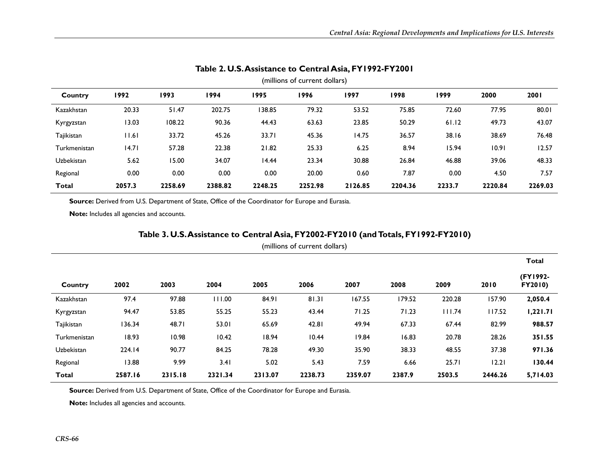| (millions of current dollars) |        |         |         |         |         |         |         |        |         |         |
|-------------------------------|--------|---------|---------|---------|---------|---------|---------|--------|---------|---------|
| Country                       | 1992   | 1993    | 1994    | 1995    | 1996    | 1997    | 1998    | 1999   | 2000    | 2001    |
| Kazakhstan                    | 20.33  | 51.47   | 202.75  | 138.85  | 79.32   | 53.52   | 75.85   | 72.60  | 77.95   | 80.01   |
| Kyrgyzstan                    | 13.03  | 108.22  | 90.36   | 44.43   | 63.63   | 23.85   | 50.29   | 61.12  | 49.73   | 43.07   |
| Tajikistan                    | 11.61  | 33.72   | 45.26   | 33.71   | 45.36   | 14.75   | 36.57   | 38.16  | 38.69   | 76.48   |
| Turkmenistan                  | 14.71  | 57.28   | 22.38   | 21.82   | 25.33   | 6.25    | 8.94    | 15.94  | 10.91   | 12.57   |
| Uzbekistan                    | 5.62   | 15.00   | 34.07   | 14.44   | 23.34   | 30.88   | 26.84   | 46.88  | 39.06   | 48.33   |
| Regional                      | 0.00   | 0.00    | 0.00    | 0.00    | 20.00   | 0.60    | 7.87    | 0.00   | 4.50    | 7.57    |
| <b>Total</b>                  | 2057.3 | 2258.69 | 2388.82 | 2248.25 | 2252.98 | 2126.85 | 2204.36 | 2233.7 | 2220.84 | 2269.03 |

#### **Table 2. U.S. Assistance to Central Asia, FY1992-FY2001**

Source: Derived from U.S. Department of State, Office of the Coordinator for Europe and Eurasia.

**Note:** Includes all agencies and accounts.

#### **Table 3. U.S. Assistance to Central Asia, FY2002-FY2010 (and Totals, FY1992-FY2010)**

|              |         |         |         |         |         |         |        |        |         | <b>Total</b>        |
|--------------|---------|---------|---------|---------|---------|---------|--------|--------|---------|---------------------|
| Country      | 2002    | 2003    | 2004    | 2005    | 2006    | 2007    | 2008   | 2009   | 2010    | (FY1992-<br>FY2010) |
| Kazakhstan   | 97.4    | 97.88   | 111.00  | 84.91   | 81.31   | 167.55  | 179.52 | 220.28 | 157.90  | 2,050.4             |
| Kyrgyzstan   | 94.47   | 53.85   | 55.25   | 55.23   | 43.44   | 71.25   | 71.23  | 111.74 | 117.52  | 1,221.71            |
| Tajikistan   | 136.34  | 48.71   | 53.01   | 65.69   | 42.81   | 49.94   | 67.33  | 67.44  | 82.99   | 988.57              |
| Turkmenistan | 18.93   | 10.98   | 10.42   | 18.94   | 10.44   | 19.84   | 16.83  | 20.78  | 28.26   | 351.55              |
| Uzbekistan   | 224.14  | 90.77   | 84.25   | 78.28   | 49.30   | 35.90   | 38.33  | 48.55  | 37.38   | 971.36              |
| Regional     | 13.88   | 9.99    | 3.41    | 5.02    | 5.43    | 7.59    | 6.66   | 25.71  | 12.21   | 130.44              |
| Total        | 2587.16 | 2315.18 | 2321.34 | 2313.07 | 2238.73 | 2359.07 | 2387.9 | 2503.5 | 2446.26 | 5,714.03            |

Source: Derived from U.S. Department of State, Office of the Coordinator for Europe and Eurasia.

**Note:** Includes all agencies and accounts.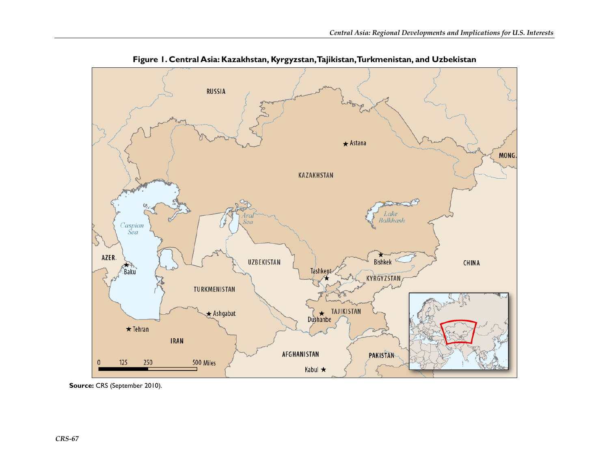

**Figure 1. Central Asia: Kazakhstan, Kyrgyzstan, Tajikistan, Turkmenistan, and Uzbekistan** 

**Source:** CRS (September 2010).